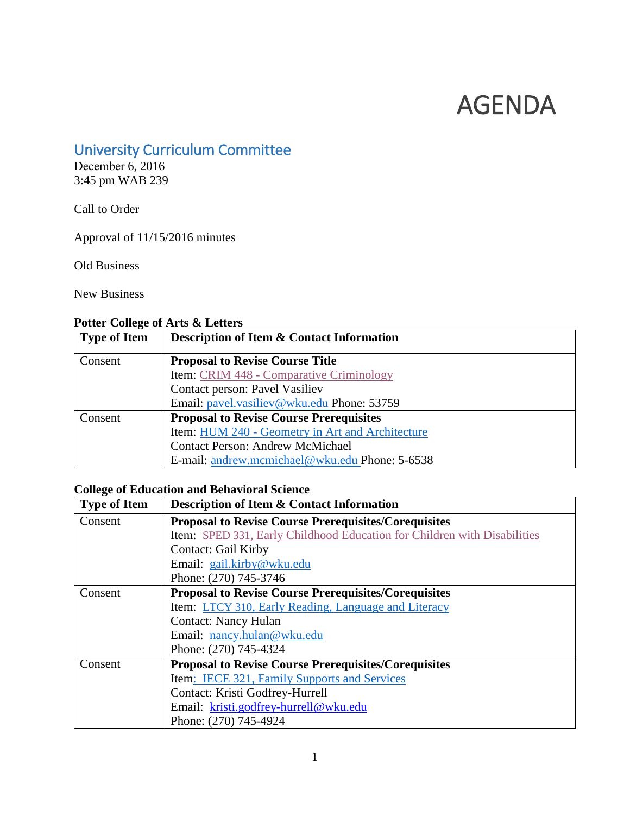# AGENDA

## University Curriculum Committee

December 6, 2016 3:45 pm WAB 239

Call to Order

Approval of 11/15/2016 minutes

Old Business

New Business

## <span id="page-0-1"></span>**Potter College of Arts & Letters**

| <b>Type of Item</b> | <b>Description of Item &amp; Contact Information</b> |  |
|---------------------|------------------------------------------------------|--|
| Consent             | <b>Proposal to Revise Course Title</b>               |  |
|                     | Item: CRIM 448 - Comparative Criminology             |  |
|                     | Contact person: Pavel Vasiliev                       |  |
|                     | Email: pavel.vasiliev@wku.edu Phone: 53759           |  |
| Consent             | <b>Proposal to Revise Course Prerequisites</b>       |  |
|                     | Item: HUM 240 - Geometry in Art and Architecture     |  |
|                     | <b>Contact Person: Andrew McMichael</b>              |  |
|                     | E-mail: andrew.mcmichael@wku.edu Phone: 5-6538       |  |

## <span id="page-0-2"></span><span id="page-0-0"></span>**College of Education and Behavioral Science**

| <b>Type of Item</b> | <b>Description of Item &amp; Contact Information</b>                     |  |
|---------------------|--------------------------------------------------------------------------|--|
| Consent             | <b>Proposal to Revise Course Prerequisites/Corequisites</b>              |  |
|                     | Item: SPED 331, Early Childhood Education for Children with Disabilities |  |
|                     | <b>Contact: Gail Kirby</b>                                               |  |
|                     | Email: gail.kirby@wku.edu                                                |  |
|                     | Phone: (270) 745-3746                                                    |  |
| Consent             | <b>Proposal to Revise Course Prerequisites/Corequisites</b>              |  |
|                     | Item: LTCY 310, Early Reading, Language and Literacy                     |  |
|                     | <b>Contact: Nancy Hulan</b>                                              |  |
|                     | Email: nancy.hulan@wku.edu                                               |  |
|                     | Phone: (270) 745-4324                                                    |  |
| Consent             | <b>Proposal to Revise Course Prerequisites/Corequisites</b>              |  |
|                     | Item: IECE 321, Family Supports and Services                             |  |
|                     | Contact: Kristi Godfrey-Hurrell                                          |  |
|                     | Email: kristi.godfrey-hurrell@wku.edu                                    |  |
|                     | Phone: (270) 745-4924                                                    |  |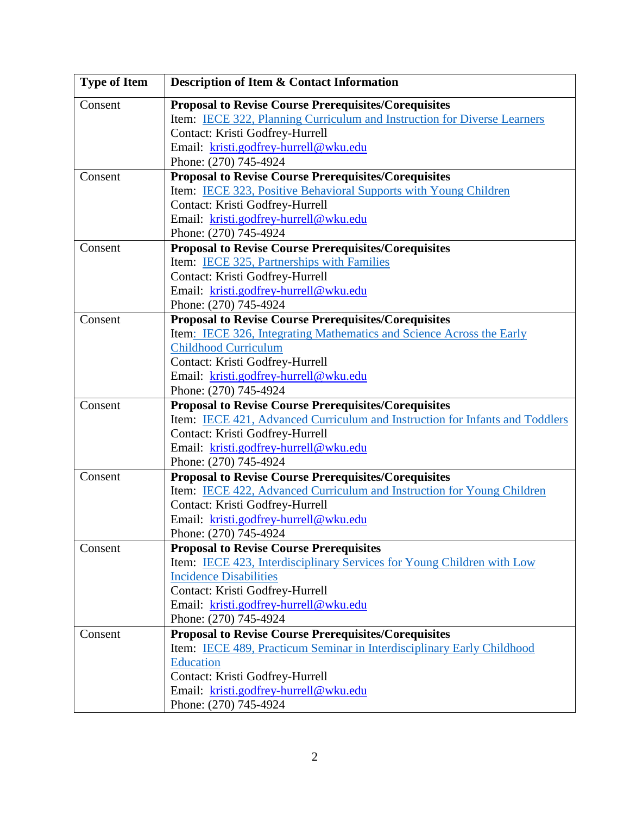<span id="page-1-0"></span>

| <b>Type of Item</b>                                                    | <b>Description of Item &amp; Contact Information</b>                         |  |
|------------------------------------------------------------------------|------------------------------------------------------------------------------|--|
| Consent                                                                | <b>Proposal to Revise Course Prerequisites/Corequisites</b>                  |  |
|                                                                        | Item: IECE 322, Planning Curriculum and Instruction for Diverse Learners     |  |
|                                                                        | Contact: Kristi Godfrey-Hurrell                                              |  |
|                                                                        | Email: kristi.godfrey-hurrell@wku.edu                                        |  |
|                                                                        | Phone: (270) 745-4924                                                        |  |
| Consent                                                                | <b>Proposal to Revise Course Prerequisites/Corequisites</b>                  |  |
|                                                                        | Item: IECE 323, Positive Behavioral Supports with Young Children             |  |
|                                                                        | Contact: Kristi Godfrey-Hurrell                                              |  |
|                                                                        | Email: kristi.godfrey-hurrell@wku.edu                                        |  |
|                                                                        | Phone: (270) 745-4924                                                        |  |
| Consent                                                                | <b>Proposal to Revise Course Prerequisites/Corequisites</b>                  |  |
|                                                                        | Item: IECE 325, Partnerships with Families                                   |  |
|                                                                        | Contact: Kristi Godfrey-Hurrell                                              |  |
|                                                                        | Email: kristi.godfrey-hurrell@wku.edu                                        |  |
|                                                                        | Phone: (270) 745-4924                                                        |  |
| <b>Proposal to Revise Course Prerequisites/Corequisites</b><br>Consent |                                                                              |  |
|                                                                        | Item: IECE 326, Integrating Mathematics and Science Across the Early         |  |
|                                                                        | Childhood Curriculum                                                         |  |
|                                                                        | Contact: Kristi Godfrey-Hurrell                                              |  |
|                                                                        | Email: kristi.godfrey-hurrell@wku.edu                                        |  |
|                                                                        | Phone: (270) 745-4924                                                        |  |
| Consent                                                                | <b>Proposal to Revise Course Prerequisites/Corequisites</b>                  |  |
|                                                                        | Item: IECE 421, Advanced Curriculum and Instruction for Infants and Toddlers |  |
|                                                                        | Contact: Kristi Godfrey-Hurrell                                              |  |
|                                                                        | Email: kristi.godfrey-hurrell@wku.edu                                        |  |
|                                                                        | Phone: (270) 745-4924                                                        |  |
| Consent                                                                | <b>Proposal to Revise Course Prerequisites/Corequisites</b>                  |  |
|                                                                        | Item: IECE 422, Advanced Curriculum and Instruction for Young Children       |  |
|                                                                        | Contact: Kristi Godfrey-Hurrell                                              |  |
|                                                                        | Email: kristi.godfrey-hurrell@wku.edu                                        |  |
|                                                                        | Phone: (270) 745-4924                                                        |  |
| Consent                                                                | <b>Proposal to Revise Course Prerequisites</b>                               |  |
|                                                                        | Item: IECE 423, Interdisciplinary Services for Young Children with Low       |  |
|                                                                        | <b>Incidence Disabilities</b><br>Contact: Kristi Godfrey-Hurrell             |  |
|                                                                        |                                                                              |  |
|                                                                        | Email: kristi.godfrey-hurrell@wku.edu<br>Phone: (270) 745-4924               |  |
| Consent                                                                | <b>Proposal to Revise Course Prerequisites/Corequisites</b>                  |  |
|                                                                        | Item: IECE 489, Practicum Seminar in Interdisciplinary Early Childhood       |  |
|                                                                        | Education                                                                    |  |
|                                                                        | Contact: Kristi Godfrey-Hurrell                                              |  |
|                                                                        | Email: kristi.godfrey-hurrell@wku.edu                                        |  |
|                                                                        | Phone: (270) 745-4924                                                        |  |
|                                                                        |                                                                              |  |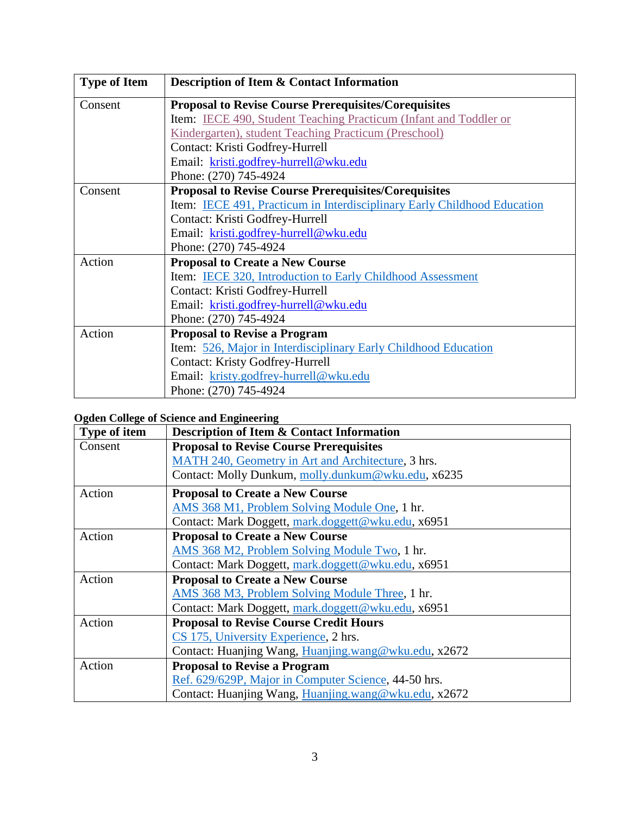<span id="page-2-0"></span>

| <b>Type of Item</b> | <b>Description of Item &amp; Contact Information</b>                     |  |
|---------------------|--------------------------------------------------------------------------|--|
| Consent             | <b>Proposal to Revise Course Prerequisites/Corequisites</b>              |  |
|                     | Item: IECE 490, Student Teaching Practicum (Infant and Toddler or        |  |
|                     | Kindergarten), student Teaching Practicum (Preschool)                    |  |
|                     | Contact: Kristi Godfrey-Hurrell                                          |  |
|                     | Email: kristi.godfrey-hurrell@wku.edu                                    |  |
|                     | Phone: (270) 745-4924                                                    |  |
| Consent             | <b>Proposal to Revise Course Prerequisites/Corequisites</b>              |  |
|                     | Item: IECE 491, Practicum in Interdisciplinary Early Childhood Education |  |
|                     | Contact: Kristi Godfrey-Hurrell                                          |  |
|                     | Email: kristi.godfrey-hurrell@wku.edu                                    |  |
|                     | Phone: (270) 745-4924                                                    |  |
| Action              | <b>Proposal to Create a New Course</b>                                   |  |
|                     | <b>Item:</b> IECE 320, Introduction to Early Childhood Assessment        |  |
|                     | Contact: Kristi Godfrey-Hurrell                                          |  |
|                     | Email: kristi.godfrey-hurrell@wku.edu                                    |  |
|                     | Phone: (270) 745-4924                                                    |  |
| Action              | <b>Proposal to Revise a Program</b>                                      |  |
|                     | Item: 526, Major in Interdisciplinary Early Childhood Education          |  |
|                     | <b>Contact: Kristy Godfrey-Hurrell</b>                                   |  |
|                     | Email: kristy.godfrey-hurrell@wku.edu                                    |  |
|                     | Phone: (270) 745-4924                                                    |  |

## <span id="page-2-1"></span>**Ogden College of Science and Engineering**

| <b>Type of item</b> | Description of Item & Contact Information            |  |
|---------------------|------------------------------------------------------|--|
| Consent             | <b>Proposal to Revise Course Prerequisites</b>       |  |
|                     | MATH 240, Geometry in Art and Architecture, 3 hrs.   |  |
|                     | Contact: Molly Dunkum, molly.dunkum@wku.edu, x6235   |  |
| Action              | <b>Proposal to Create a New Course</b>               |  |
|                     | AMS 368 M1, Problem Solving Module One, 1 hr.        |  |
|                     | Contact: Mark Doggett, mark.doggett@wku.edu, x6951   |  |
| Action              | <b>Proposal to Create a New Course</b>               |  |
|                     | AMS 368 M2, Problem Solving Module Two, 1 hr.        |  |
|                     | Contact: Mark Doggett, mark.doggett@wku.edu, x6951   |  |
| Action              | <b>Proposal to Create a New Course</b>               |  |
|                     | AMS 368 M3, Problem Solving Module Three, 1 hr.      |  |
|                     | Contact: Mark Doggett, mark.doggett@wku.edu, x6951   |  |
| Action              | <b>Proposal to Revise Course Credit Hours</b>        |  |
|                     | CS 175, University Experience, 2 hrs.                |  |
|                     | Contact: Huanjing Wang, Huanjing.wang@wku.edu, x2672 |  |
| Action              | <b>Proposal to Revise a Program</b>                  |  |
|                     | Ref. 629/629P, Major in Computer Science, 44-50 hrs. |  |
|                     | Contact: Huanjing Wang, Huanjing.wang@wku.edu, x2672 |  |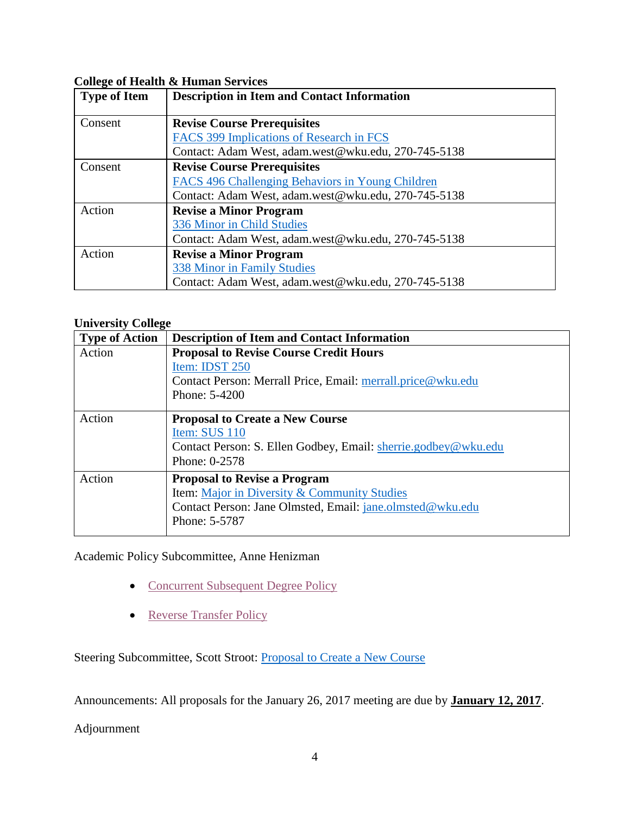## <span id="page-3-1"></span>**College of Health & Human Services**

<span id="page-3-0"></span>

| <b>Type of Item</b> | <b>Description in Item and Contact Information</b>  |  |
|---------------------|-----------------------------------------------------|--|
| Consent             | <b>Revise Course Prerequisites</b>                  |  |
|                     | <b>FACS 399 Implications of Research in FCS</b>     |  |
|                     | Contact: Adam West, adam.west@wku.edu, 270-745-5138 |  |
| Consent             | <b>Revise Course Prerequisites</b>                  |  |
|                     | FACS 496 Challenging Behaviors in Young Children    |  |
|                     | Contact: Adam West, adam.west@wku.edu, 270-745-5138 |  |
| Action              | <b>Revise a Minor Program</b>                       |  |
|                     | 336 Minor in Child Studies                          |  |
|                     | Contact: Adam West, adam.west@wku.edu, 270-745-5138 |  |
| Action              | <b>Revise a Minor Program</b>                       |  |
|                     | <b>338 Minor in Family Studies</b>                  |  |
|                     | Contact: Adam West, adam.west@wku.edu, 270-745-5138 |  |

## <span id="page-3-2"></span>**University College**

| <b>Type of Action</b> | <b>Description of Item and Contact Information</b>                                                                                                                       |
|-----------------------|--------------------------------------------------------------------------------------------------------------------------------------------------------------------------|
| Action                | <b>Proposal to Revise Course Credit Hours</b><br>Item: IDST 250<br>Contact Person: Merrall Price, Email: merrall.price@wku.edu<br>Phone: $5-4200$                        |
| Action                | <b>Proposal to Create a New Course</b><br>Item: SUS 110<br>Contact Person: S. Ellen Godbey, Email: sherrie.godbey@wku.edu<br>Phone: 0-2578                               |
| Action                | <b>Proposal to Revise a Program</b><br><b>Item:</b> Major in Diversity & Community Studies<br>Contact Person: Jane Olmsted, Email: jane.olmsted@wku.edu<br>Phone: 5-5787 |

Academic Policy Subcommittee, Anne Henizman

- [Concurrent Subsequent Degree Policy](#page-55-0)
- [Reverse Transfer Policy](#page-55-1)

Steering Subcommittee, Scott Stroot: [Proposal to Create a New Course](#page-56-0)

Announcements: All proposals for the January 26, 2017 meeting are due by **January 12, 2017**.

Adjournment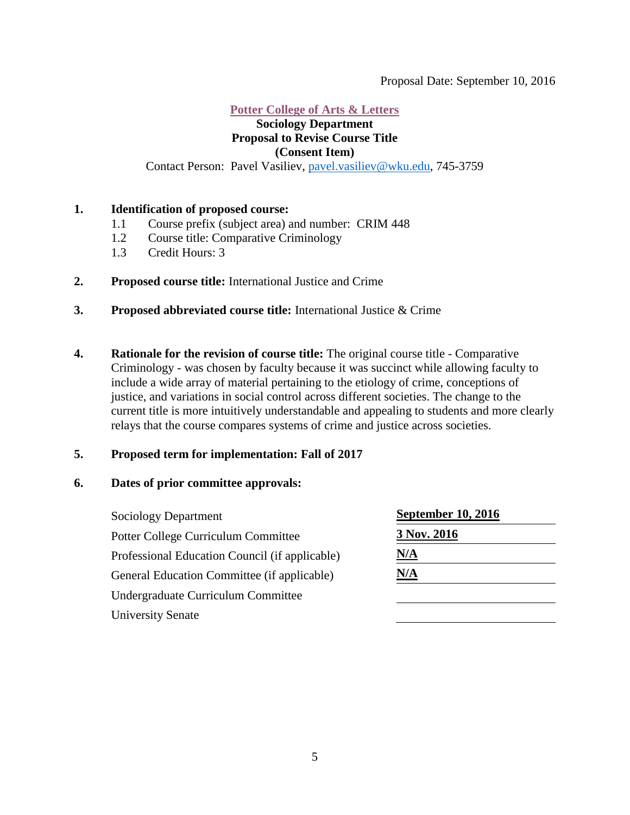#### <span id="page-4-0"></span>Proposal Date: September 10, 2016

#### **[Potter College of Arts & Letters](#page-0-1)**

#### **Sociology Department Proposal to Revise Course Title (Consent Item)**

Contact Person: Pavel Vasiliev, [pavel.vasiliev@wku.edu,](mailto:pavel.vasiliev@wku.edu) 745-3759

#### **1. Identification of proposed course:**

- 1.1 Course prefix (subject area) and number: CRIM 448
- 1.2 Course title: Comparative Criminology
- 1.3 Credit Hours: 3
- **2. Proposed course title:** International Justice and Crime
- **3. Proposed abbreviated course title:** International Justice & Crime
- **4. Rationale for the revision of course title:** The original course title Comparative Criminology - was chosen by faculty because it was succinct while allowing faculty to include a wide array of material pertaining to the etiology of crime, conceptions of justice, and variations in social control across different societies. The change to the current title is more intuitively understandable and appealing to students and more clearly relays that the course compares systems of crime and justice across societies.

### **5. Proposed term for implementation: Fall of 2017**

#### **6. Dates of prior committee approvals:**

Sociology Department **September 10, 2016** Potter College Curriculum Committee 3 Nov. 2016 Professional Education Council (if applicable) **N/A** General Education Committee (if applicable) **N/A** Undergraduate Curriculum Committee University Senate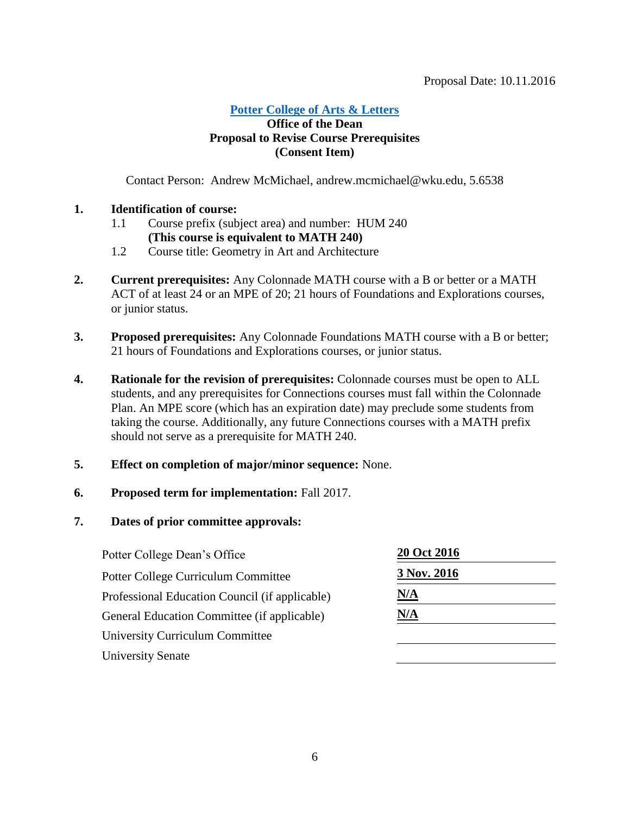## **[Potter College of Arts &](#page-0-1) Letters**

## **Office of the Dean Proposal to Revise Course Prerequisites (Consent Item)**

Contact Person: Andrew McMichael, andrew.mcmichael@wku.edu, 5.6538

## **1. Identification of course:**

- 1.1 Course prefix (subject area) and number: HUM 240 **(This course is equivalent to MATH 240)**
- 1.2 Course title: Geometry in Art and Architecture
- **2. Current prerequisites:** Any Colonnade MATH course with a B or better or a MATH ACT of at least 24 or an MPE of 20; 21 hours of Foundations and Explorations courses, or junior status.
- **3. Proposed prerequisites:** Any Colonnade Foundations MATH course with a B or better; 21 hours of Foundations and Explorations courses, or junior status.
- **4. Rationale for the revision of prerequisites:** Colonnade courses must be open to ALL students, and any prerequisites for Connections courses must fall within the Colonnade Plan. An MPE score (which has an expiration date) may preclude some students from taking the course. Additionally, any future Connections courses with a MATH prefix should not serve as a prerequisite for MATH 240.
- **5. Effect on completion of major/minor sequence:** None.
- **6. Proposed term for implementation:** Fall 2017.

| Potter College Dean's Office                   | 20 Oct 2016 |
|------------------------------------------------|-------------|
| <b>Potter College Curriculum Committee</b>     | 3 Nov. 2016 |
| Professional Education Council (if applicable) | <u>N/A</u>  |
| General Education Committee (if applicable)    | <u>N/A</u>  |
| <b>University Curriculum Committee</b>         |             |
| <b>University Senate</b>                       |             |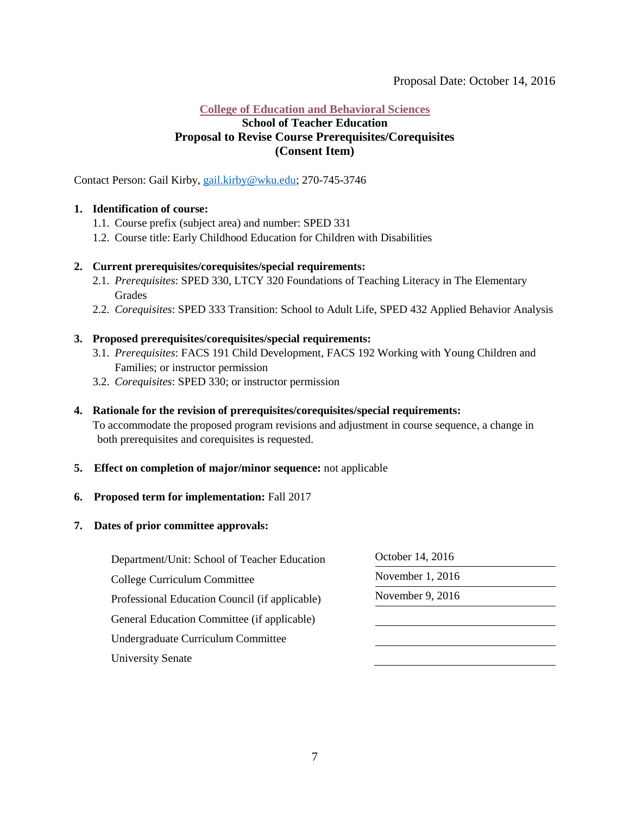#### <span id="page-6-0"></span>**[College of Education and Behavioral Sciences](#page-0-2)**

#### **School of Teacher Education Proposal to Revise Course Prerequisites/Corequisites (Consent Item)**

Contact Person: Gail Kirby, [gail.kirby@wku.edu;](mailto:gail.kirby@wku.edu) 270-745-3746

#### **1. Identification of course:**

- 1.1. Course prefix (subject area) and number: SPED 331
- 1.2. Course title: Early Childhood Education for Children with Disabilities

#### **2. Current prerequisites/corequisites/special requirements:**

- 2.1. *Prerequisites*: SPED 330, LTCY 320 Foundations of Teaching Literacy in The Elementary Grades
- 2.2. *Corequisites*: SPED 333 Transition: School to Adult Life, SPED 432 Applied Behavior Analysis

#### **3. Proposed prerequisites/corequisites/special requirements:**

- 3.1. *Prerequisites*: FACS 191 Child Development, FACS 192 Working with Young Children and Families; or instructor permission
- 3.2. *Corequisites*: SPED 330; or instructor permission

#### **4. Rationale for the revision of prerequisites/corequisites/special requirements:**

To accommodate the proposed program revisions and adjustment in course sequence, a change in both prerequisites and corequisites is requested.

#### **5. Effect on completion of major/minor sequence:** not applicable

#### **6. Proposed term for implementation:** Fall 2017

| Department/Unit: School of Teacher Education   | October 14, 2016<br>November 1, 2016 |  |
|------------------------------------------------|--------------------------------------|--|
| College Curriculum Committee                   |                                      |  |
| Professional Education Council (if applicable) | November 9, 2016                     |  |
| General Education Committee (if applicable)    |                                      |  |
| Undergraduate Curriculum Committee             |                                      |  |
| <b>University Senate</b>                       |                                      |  |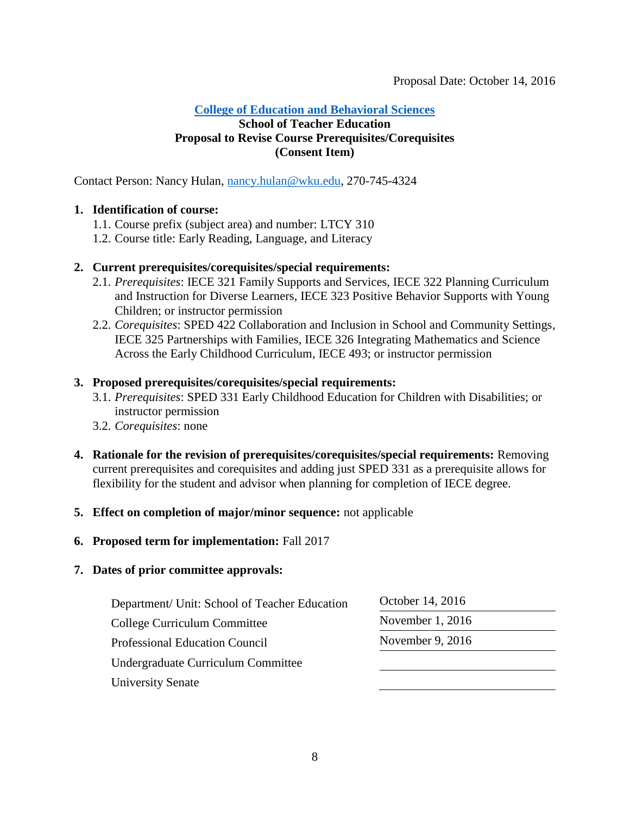## <span id="page-7-0"></span>**School of Teacher Education Proposal to Revise Course Prerequisites/Corequisites (Consent Item)**

Contact Person: Nancy Hulan, [nancy.hulan@wku.edu,](mailto:nancy.hulan@wku.edu) 270-745-4324

## **1. Identification of course:**

- 1.1. Course prefix (subject area) and number: LTCY 310
- 1.2. Course title: Early Reading, Language, and Literacy

## **2. Current prerequisites/corequisites/special requirements:**

- 2.1. *Prerequisites*: IECE 321 Family Supports and Services, IECE 322 Planning Curriculum and Instruction for Diverse Learners, IECE 323 Positive Behavior Supports with Young Children; or instructor permission
- 2.2. *Corequisites*: SPED 422 Collaboration and Inclusion in School and Community Settings, IECE 325 Partnerships with Families, IECE 326 Integrating Mathematics and Science Across the Early Childhood Curriculum, IECE 493; or instructor permission

## **3. Proposed prerequisites/corequisites/special requirements:**

- 3.1. *Prerequisites*: SPED 331 Early Childhood Education for Children with Disabilities; or instructor permission
- 3.2. *Corequisites*: none
- **4. Rationale for the revision of prerequisites/corequisites/special requirements:** Removing current prerequisites and corequisites and adding just SPED 331 as a prerequisite allows for flexibility for the student and advisor when planning for completion of IECE degree.
- **5. Effect on completion of major/minor sequence:** not applicable
- **6. Proposed term for implementation:** Fall 2017

| Department/ Unit: School of Teacher Education | October 14, 2016<br>November 1, 2016 |  |
|-----------------------------------------------|--------------------------------------|--|
| College Curriculum Committee                  |                                      |  |
| Professional Education Council                | November 9, 2016                     |  |
| Undergraduate Curriculum Committee            |                                      |  |
| <b>University Senate</b>                      |                                      |  |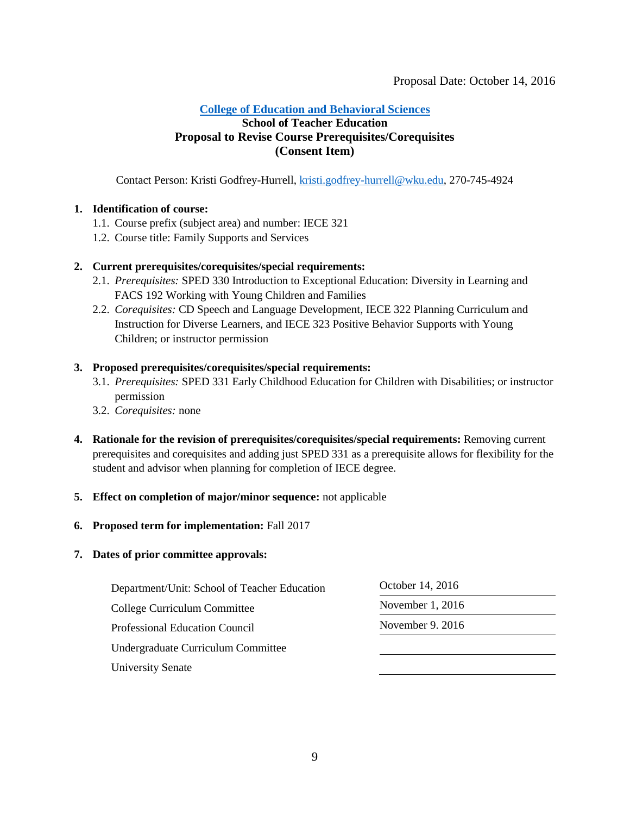#### <span id="page-8-0"></span>**School of Teacher Education Proposal to Revise Course Prerequisites/Corequisites (Consent Item)**

Contact Person: Kristi Godfrey-Hurrell, [kristi.godfrey-hurrell@wku.edu,](mailto:kristi.godfrey-hurrell@wku.edu) 270-745-4924

#### **1. Identification of course:**

- 1.1. Course prefix (subject area) and number: IECE 321
- 1.2. Course title: Family Supports and Services

#### **2. Current prerequisites/corequisites/special requirements:**

- 2.1. *Prerequisites:* SPED 330 Introduction to Exceptional Education: Diversity in Learning and FACS 192 Working with Young Children and Families
- 2.2. *Corequisites:* CD Speech and Language Development, IECE 322 Planning Curriculum and Instruction for Diverse Learners, and IECE 323 Positive Behavior Supports with Young Children; or instructor permission

#### **3. Proposed prerequisites/corequisites/special requirements:**

- 3.1. *Prerequisites:* SPED 331 Early Childhood Education for Children with Disabilities; or instructor permission
- 3.2. *Corequisites:* none
- **4. Rationale for the revision of prerequisites/corequisites/special requirements:** Removing current prerequisites and corequisites and adding just SPED 331 as a prerequisite allows for flexibility for the student and advisor when planning for completion of IECE degree.

#### **5. Effect on completion of major/minor sequence:** not applicable

#### **6. Proposed term for implementation:** Fall 2017

| Department/Unit: School of Teacher Education | October 14, 2016<br>November $1, 2016$<br>November 9. 2016 |  |
|----------------------------------------------|------------------------------------------------------------|--|
| College Curriculum Committee                 |                                                            |  |
| <b>Professional Education Council</b>        |                                                            |  |
| Undergraduate Curriculum Committee           |                                                            |  |
| <b>University Senate</b>                     |                                                            |  |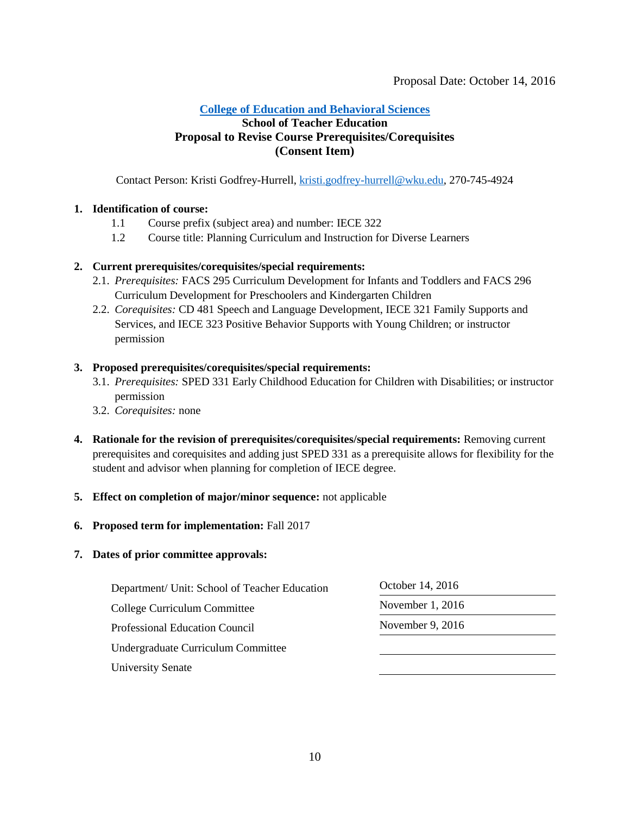### <span id="page-9-0"></span>**School of Teacher Education Proposal to Revise Course Prerequisites/Corequisites (Consent Item)**

Contact Person: Kristi Godfrey-Hurrell, [kristi.godfrey-hurrell@wku.edu,](mailto:kristi.godfrey-hurrell@wku.edu) 270-745-4924

#### **1. Identification of course:**

- 1.1 Course prefix (subject area) and number: IECE 322
- 1.2 Course title: Planning Curriculum and Instruction for Diverse Learners

#### **2. Current prerequisites/corequisites/special requirements:**

- 2.1. *Prerequisites:* FACS 295 Curriculum Development for Infants and Toddlers and FACS 296 Curriculum Development for Preschoolers and Kindergarten Children
- 2.2. *Corequisites:* CD 481 Speech and Language Development, IECE 321 Family Supports and Services, and IECE 323 Positive Behavior Supports with Young Children; or instructor permission

#### **3. Proposed prerequisites/corequisites/special requirements:**

- 3.1. *Prerequisites:* SPED 331 Early Childhood Education for Children with Disabilities; or instructor permission
- 3.2. *Corequisites:* none
- **4. Rationale for the revision of prerequisites/corequisites/special requirements:** Removing current prerequisites and corequisites and adding just SPED 331 as a prerequisite allows for flexibility for the student and advisor when planning for completion of IECE degree.

#### **5. Effect on completion of major/minor sequence:** not applicable

#### **6. Proposed term for implementation:** Fall 2017

| Department/ Unit: School of Teacher Education | October 14, 2016<br>November $1, 2016$ |  |
|-----------------------------------------------|----------------------------------------|--|
| College Curriculum Committee                  |                                        |  |
| Professional Education Council                | November 9, $2016$                     |  |
| Undergraduate Curriculum Committee            |                                        |  |
| <b>University Senate</b>                      |                                        |  |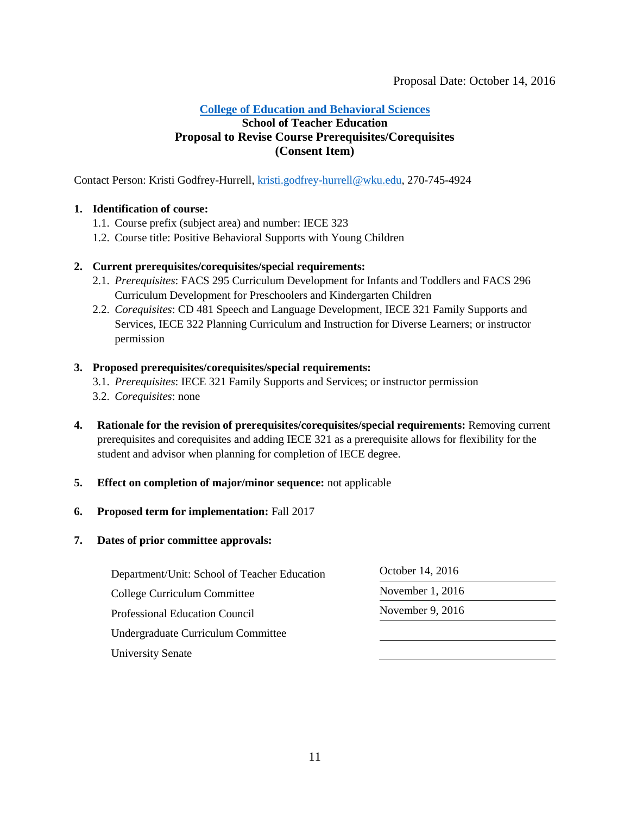#### <span id="page-10-0"></span>**[College of Education and Behavioral Sciences](#page-1-0)**

## **School of Teacher Education Proposal to Revise Course Prerequisites/Corequisites (Consent Item)**

Contact Person: Kristi Godfrey-Hurrell, [kristi.godfrey-hurrell@wku.edu,](mailto:kristi.godfrey-hurrell@wku.edu) 270-745-4924

#### **1. Identification of course:**

- 1.1. Course prefix (subject area) and number: IECE 323
- 1.2. Course title: Positive Behavioral Supports with Young Children

#### **2. Current prerequisites/corequisites/special requirements:**

- 2.1. *Prerequisites*: FACS 295 Curriculum Development for Infants and Toddlers and FACS 296 Curriculum Development for Preschoolers and Kindergarten Children
- 2.2. *Corequisites*: CD 481 Speech and Language Development, IECE 321 Family Supports and Services, IECE 322 Planning Curriculum and Instruction for Diverse Learners; or instructor permission

#### **3. Proposed prerequisites/corequisites/special requirements:**

- 3.1. *Prerequisites*: IECE 321 Family Supports and Services; or instructor permission
- 3.2. *Corequisites*: none
- **4. Rationale for the revision of prerequisites/corequisites/special requirements:** Removing current prerequisites and corequisites and adding IECE 321 as a prerequisite allows for flexibility for the student and advisor when planning for completion of IECE degree.

#### **5. Effect on completion of major/minor sequence:** not applicable

#### **6. Proposed term for implementation:** Fall 2017

| Department/Unit: School of Teacher Education | October 14, 2016 |  |
|----------------------------------------------|------------------|--|
| College Curriculum Committee                 | November 1, 2016 |  |
| <b>Professional Education Council</b>        | November 9, 2016 |  |
| Undergraduate Curriculum Committee           |                  |  |
| <b>University Senate</b>                     |                  |  |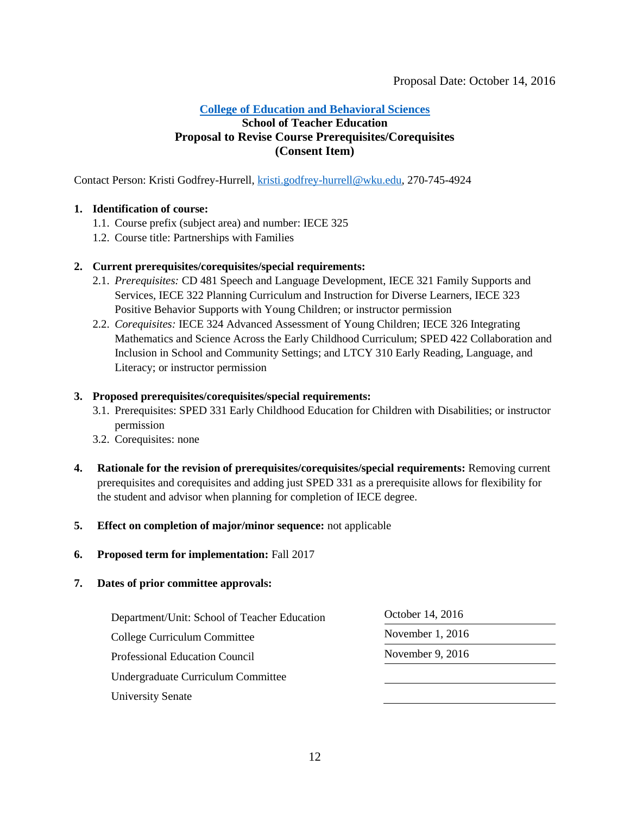#### <span id="page-11-0"></span>**School of Teacher Education Proposal to Revise Course Prerequisites/Corequisites (Consent Item)**

Contact Person: Kristi Godfrey-Hurrell, [kristi.godfrey-hurrell@wku.edu,](mailto:kristi.godfrey-hurrell@wku.edu) 270-745-4924

#### **1. Identification of course:**

- 1.1. Course prefix (subject area) and number: IECE 325
- 1.2. Course title: Partnerships with Families

#### **2. Current prerequisites/corequisites/special requirements:**

- 2.1. *Prerequisites:* CD 481 Speech and Language Development, IECE 321 Family Supports and Services, IECE 322 Planning Curriculum and Instruction for Diverse Learners, IECE 323 Positive Behavior Supports with Young Children; or instructor permission
- 2.2. *Corequisites:* IECE 324 Advanced Assessment of Young Children; IECE 326 Integrating Mathematics and Science Across the Early Childhood Curriculum; SPED 422 Collaboration and Inclusion in School and Community Settings; and LTCY 310 Early Reading, Language, and Literacy; or instructor permission

#### **3. Proposed prerequisites/corequisites/special requirements:**

- 3.1. Prerequisites: SPED 331 Early Childhood Education for Children with Disabilities; or instructor permission
- 3.2. Corequisites: none
- **4. Rationale for the revision of prerequisites/corequisites/special requirements:** Removing current prerequisites and corequisites and adding just SPED 331 as a prerequisite allows for flexibility for the student and advisor when planning for completion of IECE degree.

#### **5. Effect on completion of major/minor sequence:** not applicable

**6. Proposed term for implementation:** Fall 2017

| Department/Unit: School of Teacher Education | October 14, 2016   |  |
|----------------------------------------------|--------------------|--|
| College Curriculum Committee                 | November $1, 2016$ |  |
| Professional Education Council               | November $9, 2016$ |  |
| Undergraduate Curriculum Committee           |                    |  |
| <b>University Senate</b>                     |                    |  |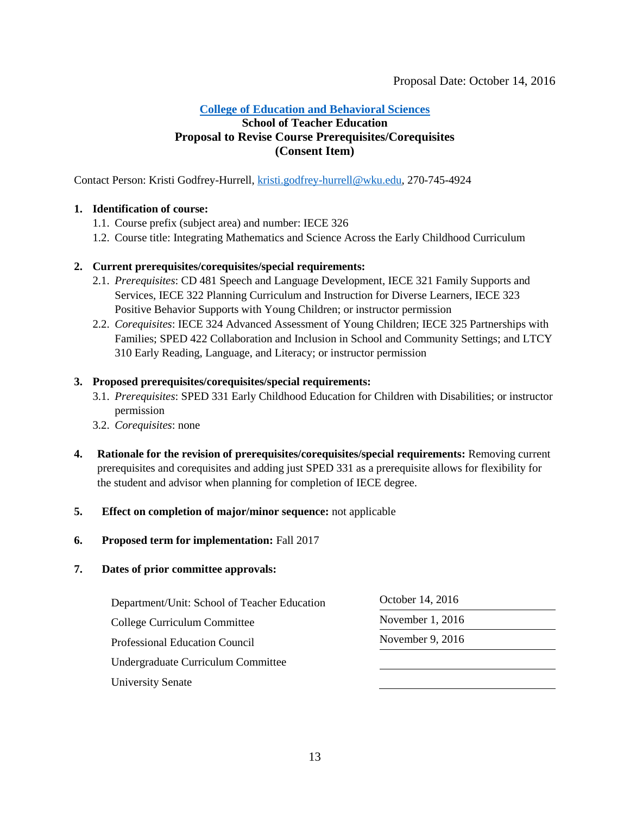#### <span id="page-12-0"></span>**[College of Education and Behavioral Sciences](#page-1-0)**

## **School of Teacher Education Proposal to Revise Course Prerequisites/Corequisites (Consent Item)**

Contact Person: Kristi Godfrey-Hurrell, [kristi.godfrey-hurrell@wku.edu,](mailto:kristi.godfrey-hurrell@wku.edu) 270-745-4924

#### **1. Identification of course:**

- 1.1. Course prefix (subject area) and number: IECE 326
- 1.2. Course title: Integrating Mathematics and Science Across the Early Childhood Curriculum

#### **2. Current prerequisites/corequisites/special requirements:**

- 2.1. *Prerequisites*: CD 481 Speech and Language Development, IECE 321 Family Supports and Services, IECE 322 Planning Curriculum and Instruction for Diverse Learners, IECE 323 Positive Behavior Supports with Young Children; or instructor permission
- 2.2. *Corequisites*: IECE 324 Advanced Assessment of Young Children; IECE 325 Partnerships with Families; SPED 422 Collaboration and Inclusion in School and Community Settings; and LTCY 310 Early Reading, Language, and Literacy; or instructor permission

#### **3. Proposed prerequisites/corequisites/special requirements:**

- 3.1. *Prerequisites*: SPED 331 Early Childhood Education for Children with Disabilities; or instructor permission
- 3.2. *Corequisites*: none
- **4. Rationale for the revision of prerequisites/corequisites/special requirements:** Removing current prerequisites and corequisites and adding just SPED 331 as a prerequisite allows for flexibility for the student and advisor when planning for completion of IECE degree.

#### **5. Effect on completion of major/minor sequence:** not applicable

**6. Proposed term for implementation:** Fall 2017

| Department/Unit: School of Teacher Education<br>College Curriculum Committee | October 14, 2016<br>November 1, 2016 |  |
|------------------------------------------------------------------------------|--------------------------------------|--|
|                                                                              |                                      |  |
| Undergraduate Curriculum Committee                                           |                                      |  |
| <b>University Senate</b>                                                     |                                      |  |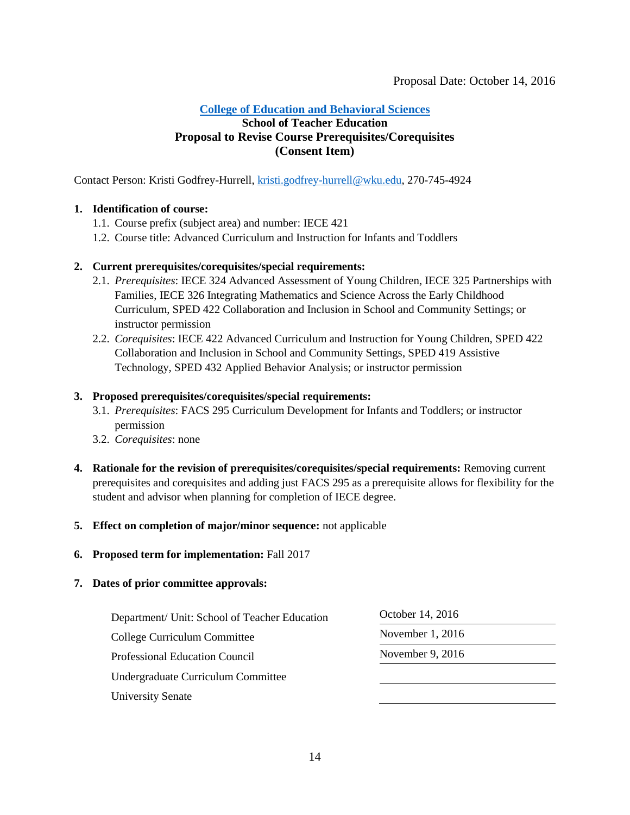#### <span id="page-13-0"></span>**[College of Education and Behavioral Sciences](#page-1-0)**

#### **School of Teacher Education Proposal to Revise Course Prerequisites/Corequisites (Consent Item)**

Contact Person: Kristi Godfrey-Hurrell, [kristi.godfrey-hurrell@wku.edu,](mailto:kristi.godfrey-hurrell@wku.edu) 270-745-4924

#### **1. Identification of course:**

- 1.1. Course prefix (subject area) and number: IECE 421
- 1.2. Course title: Advanced Curriculum and Instruction for Infants and Toddlers

#### **2. Current prerequisites/corequisites/special requirements:**

- 2.1. *Prerequisites*: IECE 324 Advanced Assessment of Young Children, IECE 325 Partnerships with Families, IECE 326 Integrating Mathematics and Science Across the Early Childhood Curriculum, SPED 422 Collaboration and Inclusion in School and Community Settings; or instructor permission
- 2.2. *Corequisites*: IECE 422 Advanced Curriculum and Instruction for Young Children, SPED 422 Collaboration and Inclusion in School and Community Settings, SPED 419 Assistive Technology, SPED 432 Applied Behavior Analysis; or instructor permission

#### **3. Proposed prerequisites/corequisites/special requirements:**

- 3.1. *Prerequisites*: FACS 295 Curriculum Development for Infants and Toddlers; or instructor permission
- 3.2. *Corequisites*: none
- **4. Rationale for the revision of prerequisites/corequisites/special requirements:** Removing current prerequisites and corequisites and adding just FACS 295 as a prerequisite allows for flexibility for the student and advisor when planning for completion of IECE degree.

#### **5. Effect on completion of major/minor sequence:** not applicable

**6. Proposed term for implementation:** Fall 2017

| Department/ Unit: School of Teacher Education | October 14, 2016  |  |
|-----------------------------------------------|-------------------|--|
| College Curriculum Committee                  | November $1,2016$ |  |
| <b>Professional Education Council</b>         | November 9, 2016  |  |
| Undergraduate Curriculum Committee            |                   |  |
| <b>University Senate</b>                      |                   |  |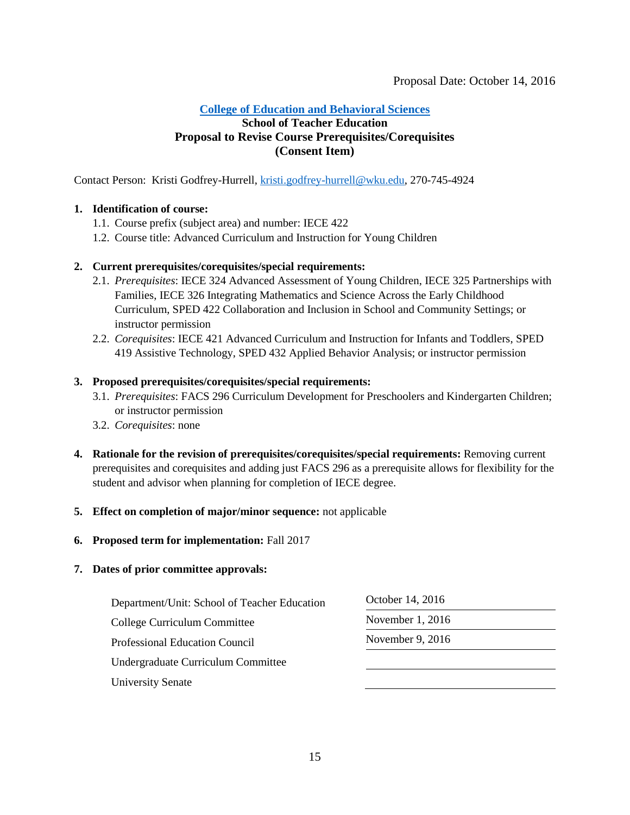#### <span id="page-14-0"></span>**[College of Education and Behavioral Sciences](#page-1-0)**

#### **School of Teacher Education Proposal to Revise Course Prerequisites/Corequisites (Consent Item)**

Contact Person: Kristi Godfrey-Hurrell, [kristi.godfrey-hurrell@wku.edu,](mailto:kristi.godfrey-hurrell@wku.edu) 270-745-4924

#### **1. Identification of course:**

- 1.1. Course prefix (subject area) and number: IECE 422
- 1.2. Course title: Advanced Curriculum and Instruction for Young Children

#### **2. Current prerequisites/corequisites/special requirements:**

- 2.1. *Prerequisites*: IECE 324 Advanced Assessment of Young Children, IECE 325 Partnerships with Families, IECE 326 Integrating Mathematics and Science Across the Early Childhood Curriculum, SPED 422 Collaboration and Inclusion in School and Community Settings; or instructor permission
- 2.2. *Corequisites*: IECE 421 Advanced Curriculum and Instruction for Infants and Toddlers, SPED 419 Assistive Technology, SPED 432 Applied Behavior Analysis; or instructor permission

#### **3. Proposed prerequisites/corequisites/special requirements:**

- 3.1. *Prerequisites*: FACS 296 Curriculum Development for Preschoolers and Kindergarten Children; or instructor permission
- 3.2. *Corequisites*: none
- **4. Rationale for the revision of prerequisites/corequisites/special requirements:** Removing current prerequisites and corequisites and adding just FACS 296 as a prerequisite allows for flexibility for the student and advisor when planning for completion of IECE degree.
- **5. Effect on completion of major/minor sequence:** not applicable
- **6. Proposed term for implementation:** Fall 2017

| Department/Unit: School of Teacher Education | October 14, 2016   |
|----------------------------------------------|--------------------|
| College Curriculum Committee                 | November $1, 2016$ |
| <b>Professional Education Council</b>        | November 9, 2016   |
| Undergraduate Curriculum Committee           |                    |
| <b>University Senate</b>                     |                    |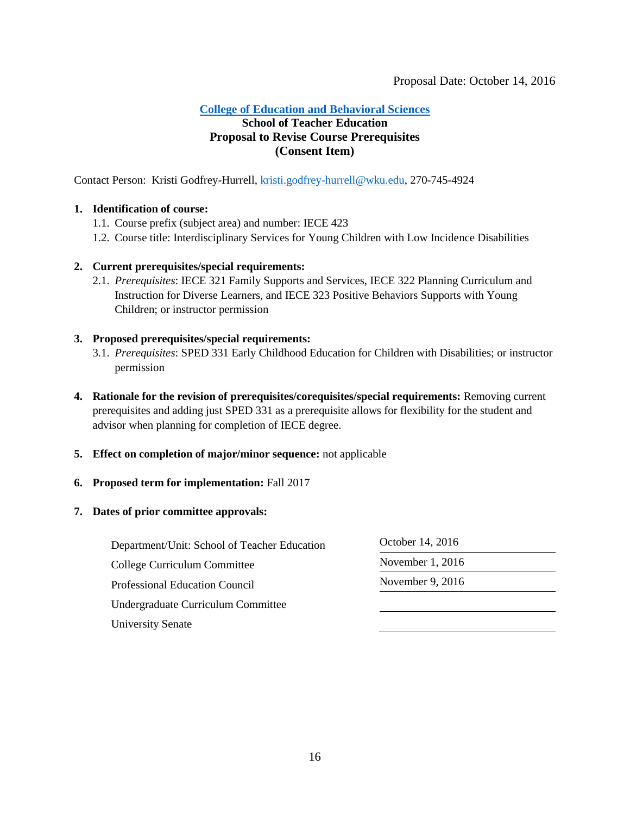## **[College of Education and Behavioral Sciences](#page-1-0)**

## <span id="page-15-0"></span>**School of Teacher Education Proposal to Revise Course Prerequisites (Consent Item)**

Contact Person: Kristi Godfrey-Hurrell, [kristi.godfrey-hurrell@wku.edu,](mailto:kristi.godfrey-hurrell@wku.edu) 270-745-4924

#### **1. Identification of course:**

- 1.1. Course prefix (subject area) and number: IECE 423
- 1.2. Course title: Interdisciplinary Services for Young Children with Low Incidence Disabilities

#### **2. Current prerequisites/special requirements:**

2.1. *Prerequisites*: IECE 321 Family Supports and Services, IECE 322 Planning Curriculum and Instruction for Diverse Learners, and IECE 323 Positive Behaviors Supports with Young Children; or instructor permission

#### **3. Proposed prerequisites/special requirements:**

- 3.1. *Prerequisites*: SPED 331 Early Childhood Education for Children with Disabilities; or instructor permission
- **4. Rationale for the revision of prerequisites/corequisites/special requirements:** Removing current prerequisites and adding just SPED 331 as a prerequisite allows for flexibility for the student and advisor when planning for completion of IECE degree.
- **5. Effect on completion of major/minor sequence:** not applicable

#### **6. Proposed term for implementation:** Fall 2017

| Department/Unit: School of Teacher Education | October 14, 2016 |  |
|----------------------------------------------|------------------|--|
| College Curriculum Committee                 | November 1, 2016 |  |
| Professional Education Council               | November 9, 2016 |  |
| Undergraduate Curriculum Committee           |                  |  |
| <b>University Senate</b>                     |                  |  |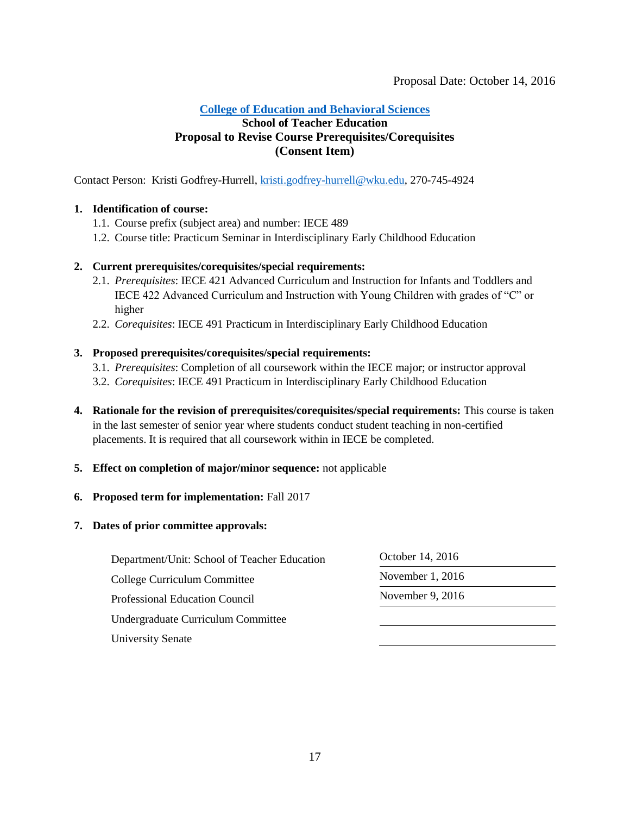#### <span id="page-16-0"></span>**[College of Education and Behavioral Sciences](#page-1-0)**

## **School of Teacher Education Proposal to Revise Course Prerequisites/Corequisites (Consent Item)**

Contact Person: Kristi Godfrey-Hurrell, [kristi.godfrey-hurrell@wku.edu,](mailto:kristi.godfrey-hurrell@wku.edu) 270-745-4924

#### **1. Identification of course:**

- 1.1. Course prefix (subject area) and number: IECE 489
- 1.2. Course title: Practicum Seminar in Interdisciplinary Early Childhood Education

#### **2. Current prerequisites/corequisites/special requirements:**

- 2.1. *Prerequisites*: IECE 421 Advanced Curriculum and Instruction for Infants and Toddlers and IECE 422 Advanced Curriculum and Instruction with Young Children with grades of "C" or higher
- 2.2. *Corequisites*: IECE 491 Practicum in Interdisciplinary Early Childhood Education

#### **3. Proposed prerequisites/corequisites/special requirements:**

- 3.1. *Prerequisites*: Completion of all coursework within the IECE major; or instructor approval
- 3.2. *Corequisites*: IECE 491 Practicum in Interdisciplinary Early Childhood Education
- **4. Rationale for the revision of prerequisites/corequisites/special requirements:** This course is taken in the last semester of senior year where students conduct student teaching in non-certified placements. It is required that all coursework within in IECE be completed.
- **5. Effect on completion of major/minor sequence:** not applicable

#### **6. Proposed term for implementation:** Fall 2017

| Department/Unit: School of Teacher Education | October 14, 2016   |  |
|----------------------------------------------|--------------------|--|
| College Curriculum Committee                 | November $1, 2016$ |  |
| Professional Education Council               | November 9, $2016$ |  |
| Undergraduate Curriculum Committee           |                    |  |
| <b>University Senate</b>                     |                    |  |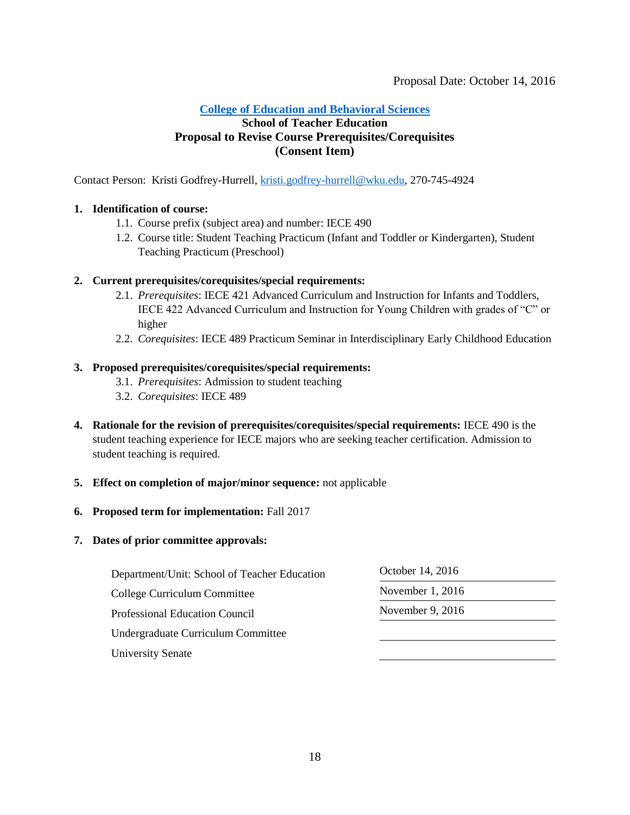#### <span id="page-17-0"></span>**[College of Education and Behavioral Sciences](#page-2-0)**

#### **School of Teacher Education Proposal to Revise Course Prerequisites/Corequisites (Consent Item)**

Contact Person: Kristi Godfrey-Hurrell, [kristi.godfrey-hurrell@wku.edu,](mailto:kristi.godfrey-hurrell@wku.edu) 270-745-4924

#### **1. Identification of course:**

- 1.1. Course prefix (subject area) and number: IECE 490
- 1.2. Course title: Student Teaching Practicum (Infant and Toddler or Kindergarten), Student Teaching Practicum (Preschool)

#### **2. Current prerequisites/corequisites/special requirements:**

- 2.1. *Prerequisites*: IECE 421 Advanced Curriculum and Instruction for Infants and Toddlers, IECE 422 Advanced Curriculum and Instruction for Young Children with grades of "C" or higher
- 2.2. *Corequisites*: IECE 489 Practicum Seminar in Interdisciplinary Early Childhood Education

#### **3. Proposed prerequisites/corequisites/special requirements:**

- 3.1. *Prerequisites*: Admission to student teaching
- 3.2. *Corequisites*: IECE 489
- **4. Rationale for the revision of prerequisites/corequisites/special requirements:** IECE 490 is the student teaching experience for IECE majors who are seeking teacher certification. Admission to student teaching is required.

#### **5. Effect on completion of major/minor sequence:** not applicable

#### **6. Proposed term for implementation:** Fall 2017

| Department/Unit: School of Teacher Education | October 14, 2016 |  |
|----------------------------------------------|------------------|--|
| College Curriculum Committee                 | November 1, 2016 |  |
| <b>Professional Education Council</b>        | November 9, 2016 |  |
| Undergraduate Curriculum Committee           |                  |  |
| <b>University Senate</b>                     |                  |  |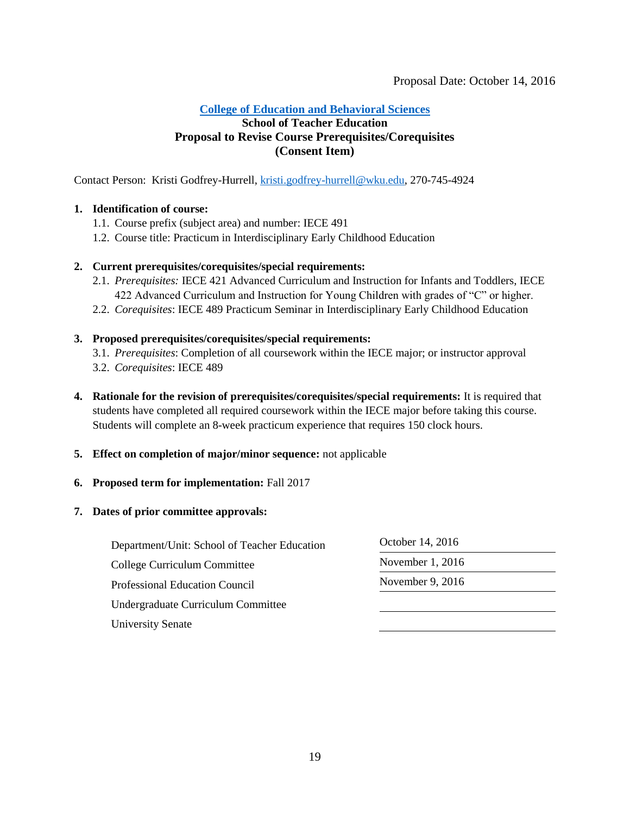#### <span id="page-18-0"></span>**College of [Education and Behavioral Sciences](#page-2-0)**

## **School of Teacher Education Proposal to Revise Course Prerequisites/Corequisites (Consent Item)**

Contact Person: Kristi Godfrey-Hurrell, [kristi.godfrey-hurrell@wku.edu,](mailto:kristi.godfrey-hurrell@wku.edu) 270-745-4924

#### **1. Identification of course:**

- 1.1. Course prefix (subject area) and number: IECE 491
- 1.2. Course title: Practicum in Interdisciplinary Early Childhood Education

#### **2. Current prerequisites/corequisites/special requirements:**

- 2.1. *Prerequisites:* IECE 421 Advanced Curriculum and Instruction for Infants and Toddlers, IECE 422 Advanced Curriculum and Instruction for Young Children with grades of "C" or higher.
- 2.2. *Corequisites*: IECE 489 Practicum Seminar in Interdisciplinary Early Childhood Education

#### **3. Proposed prerequisites/corequisites/special requirements:**

- 3.1. *Prerequisites*: Completion of all coursework within the IECE major; or instructor approval
- 3.2. *Corequisites*: IECE 489
- **4. Rationale for the revision of prerequisites/corequisites/special requirements:** It is required that students have completed all required coursework within the IECE major before taking this course. Students will complete an 8-week practicum experience that requires 150 clock hours.
- **5. Effect on completion of major/minor sequence:** not applicable

#### **6. Proposed term for implementation:** Fall 2017

| Department/Unit: School of Teacher Education<br>College Curriculum Committee | October 14, 2016<br>November $1, 2016$ |  |
|------------------------------------------------------------------------------|----------------------------------------|--|
|                                                                              |                                        |  |
| Undergraduate Curriculum Committee                                           |                                        |  |
| <b>University Senate</b>                                                     |                                        |  |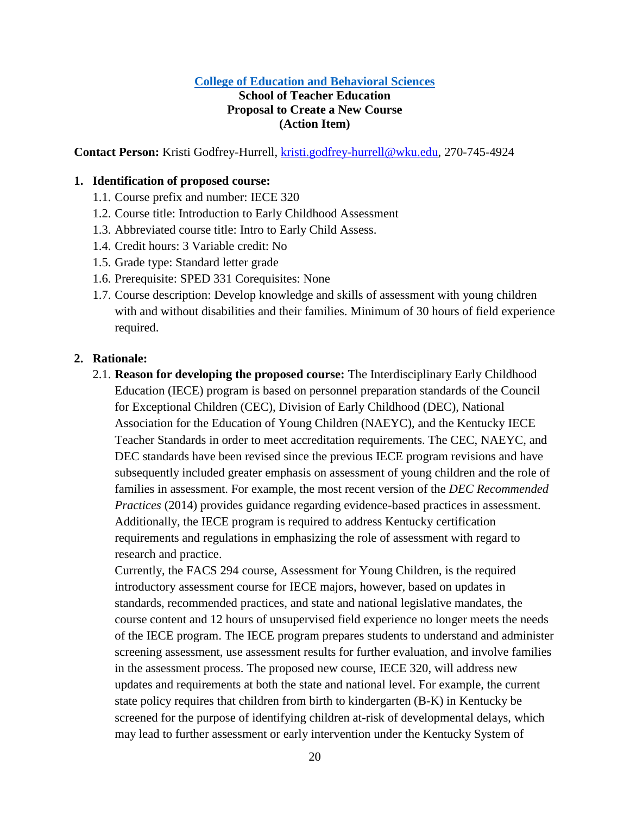## <span id="page-19-0"></span>**School of Teacher Education Proposal to Create a New Course (Action Item)**

**Contact Person:** Kristi Godfrey-Hurrell, [kristi.godfrey-hurrell@wku.edu,](mailto:kristi.godfrey-hurrell@wku.edu) 270-745-4924

#### **1. Identification of proposed course:**

- 1.1. Course prefix and number: IECE 320
- 1.2. Course title: Introduction to Early Childhood Assessment
- 1.3. Abbreviated course title: Intro to Early Child Assess.
- 1.4. Credit hours: 3 Variable credit: No
- 1.5. Grade type: Standard letter grade
- 1.6. Prerequisite: SPED 331 Corequisites: None
- 1.7. Course description: Develop knowledge and skills of assessment with young children with and without disabilities and their families. Minimum of 30 hours of field experience required.

#### **2. Rationale:**

2.1. **Reason for developing the proposed course:** The Interdisciplinary Early Childhood Education (IECE) program is based on personnel preparation standards of the Council for Exceptional Children (CEC), Division of Early Childhood (DEC), National Association for the Education of Young Children (NAEYC), and the Kentucky IECE Teacher Standards in order to meet accreditation requirements. The CEC, NAEYC, and DEC standards have been revised since the previous IECE program revisions and have subsequently included greater emphasis on assessment of young children and the role of families in assessment. For example, the most recent version of the *DEC Recommended Practices* (2014) provides guidance regarding evidence-based practices in assessment. Additionally, the IECE program is required to address Kentucky certification requirements and regulations in emphasizing the role of assessment with regard to research and practice.

Currently, the FACS 294 course, Assessment for Young Children, is the required introductory assessment course for IECE majors, however, based on updates in standards, recommended practices, and state and national legislative mandates, the course content and 12 hours of unsupervised field experience no longer meets the needs of the IECE program. The IECE program prepares students to understand and administer screening assessment, use assessment results for further evaluation, and involve families in the assessment process. The proposed new course, IECE 320, will address new updates and requirements at both the state and national level. For example, the current state policy requires that children from birth to kindergarten (B-K) in Kentucky be screened for the purpose of identifying children at-risk of developmental delays, which may lead to further assessment or early intervention under the Kentucky System of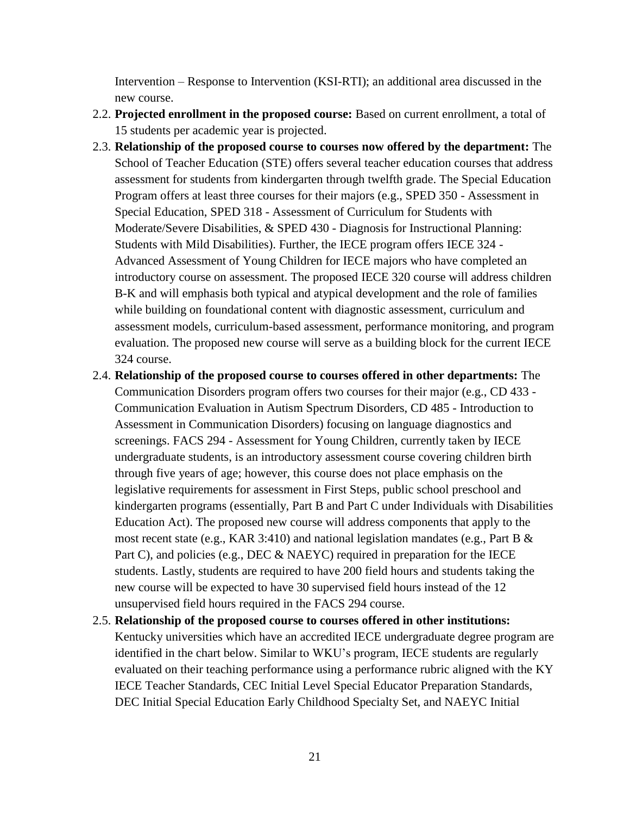Intervention – Response to Intervention (KSI-RTI); an additional area discussed in the new course.

- 2.2. **Projected enrollment in the proposed course:** Based on current enrollment, a total of 15 students per academic year is projected.
- 2.3. **Relationship of the proposed course to courses now offered by the department:** The School of Teacher Education (STE) offers several teacher education courses that address assessment for students from kindergarten through twelfth grade. The Special Education Program offers at least three courses for their majors (e.g., SPED 350 - Assessment in Special Education, SPED 318 - Assessment of Curriculum for Students with Moderate/Severe Disabilities, & SPED 430 - Diagnosis for Instructional Planning: Students with Mild Disabilities). Further, the IECE program offers IECE 324 - Advanced Assessment of Young Children for IECE majors who have completed an introductory course on assessment. The proposed IECE 320 course will address children B-K and will emphasis both typical and atypical development and the role of families while building on foundational content with diagnostic assessment, curriculum and assessment models, curriculum-based assessment, performance monitoring, and program evaluation. The proposed new course will serve as a building block for the current IECE 324 course.
- 2.4. **Relationship of the proposed course to courses offered in other departments:** The Communication Disorders program offers two courses for their major (e.g., CD 433 - Communication Evaluation in Autism Spectrum Disorders, CD 485 - Introduction to Assessment in Communication Disorders) focusing on language diagnostics and screenings. FACS 294 - Assessment for Young Children, currently taken by IECE undergraduate students, is an introductory assessment course covering children birth through five years of age; however, this course does not place emphasis on the legislative requirements for assessment in First Steps, public school preschool and kindergarten programs (essentially, Part B and Part C under Individuals with Disabilities Education Act). The proposed new course will address components that apply to the most recent state (e.g., KAR 3:410) and national legislation mandates (e.g., Part B  $\&$ Part C), and policies (e.g., DEC & NAEYC) required in preparation for the IECE students. Lastly, students are required to have 200 field hours and students taking the new course will be expected to have 30 supervised field hours instead of the 12 unsupervised field hours required in the FACS 294 course.
- 2.5. **Relationship of the proposed course to courses offered in other institutions:**  Kentucky universities which have an accredited IECE undergraduate degree program are identified in the chart below. Similar to WKU's program, IECE students are regularly evaluated on their teaching performance using a performance rubric aligned with the KY IECE Teacher Standards, CEC Initial Level Special Educator Preparation Standards, DEC Initial Special Education Early Childhood Specialty Set, and NAEYC Initial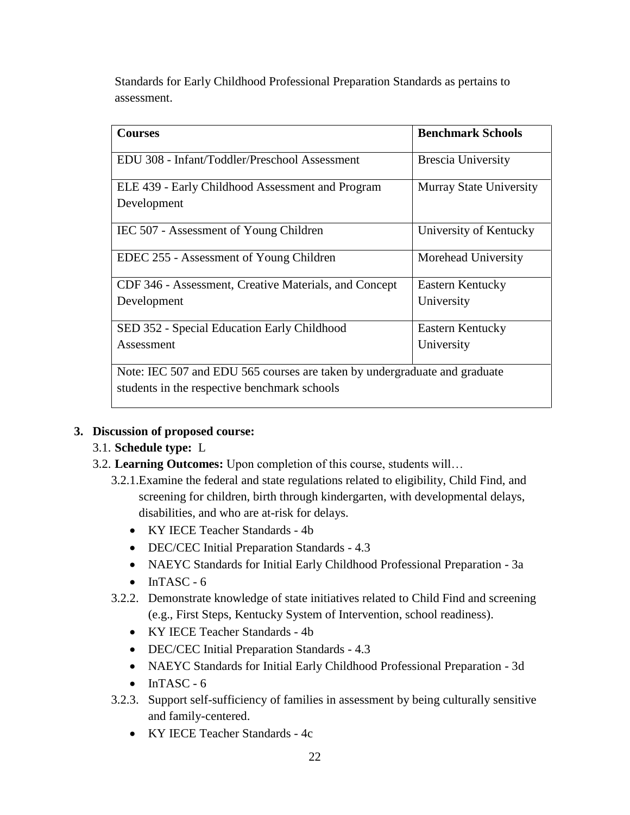Standards for Early Childhood Professional Preparation Standards as pertains to assessment.

| <b>Courses</b>                                                            | <b>Benchmark Schools</b>       |
|---------------------------------------------------------------------------|--------------------------------|
| EDU 308 - Infant/Toddler/Preschool Assessment                             | <b>Brescia University</b>      |
| ELE 439 - Early Childhood Assessment and Program                          | <b>Murray State University</b> |
| Development                                                               |                                |
| IEC 507 - Assessment of Young Children                                    | University of Kentucky         |
| EDEC 255 - Assessment of Young Children                                   | Morehead University            |
| CDF 346 - Assessment, Creative Materials, and Concept                     | <b>Eastern Kentucky</b>        |
| Development                                                               | University                     |
| SED 352 - Special Education Early Childhood                               | Eastern Kentucky               |
| Assessment                                                                | University                     |
| Note: IEC 507 and EDU 565 courses are taken by undergraduate and graduate |                                |
| students in the respective benchmark schools                              |                                |

## **3. Discussion of proposed course:**

## 3.1. **Schedule type:** L

- 3.2. **Learning Outcomes:** Upon completion of this course, students will…
	- 3.2.1.Examine the federal and state regulations related to eligibility, Child Find, and screening for children, birth through kindergarten, with developmental delays, disabilities, and who are at-risk for delays.
		- KY IECE Teacher Standards 4b
		- DEC/CEC Initial Preparation Standards 4.3
		- NAEYC Standards for Initial Early Childhood Professional Preparation 3a
		- $\bullet$  InTASC 6
	- 3.2.2. Demonstrate knowledge of state initiatives related to Child Find and screening (e.g., First Steps, Kentucky System of Intervention, school readiness).
		- KY IECE Teacher Standards 4b
		- DEC/CEC Initial Preparation Standards 4.3
		- NAEYC Standards for Initial Early Childhood Professional Preparation 3d
		- $\bullet$  InTASC 6
	- 3.2.3. Support self-sufficiency of families in assessment by being culturally sensitive and family-centered.
		- KY IECE Teacher Standards 4c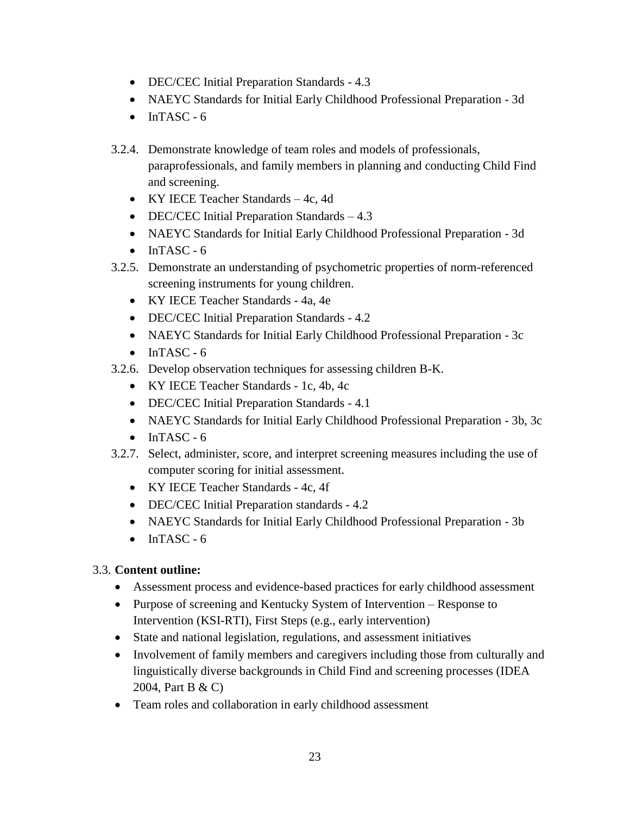- DEC/CEC Initial Preparation Standards 4.3
- NAEYC Standards for Initial Early Childhood Professional Preparation 3d
- $\bullet$  InTASC 6
- 3.2.4. Demonstrate knowledge of team roles and models of professionals, paraprofessionals, and family members in planning and conducting Child Find and screening.
	- KY IECE Teacher Standards 4c, 4d
	- DEC/CEC Initial Preparation Standards 4.3
	- NAEYC Standards for Initial Early Childhood Professional Preparation 3d
	- $\bullet$  InTASC 6
- 3.2.5. Demonstrate an understanding of psychometric properties of norm-referenced screening instruments for young children.
	- KY IECE Teacher Standards 4a, 4e
	- DEC/CEC Initial Preparation Standards 4.2
	- NAEYC Standards for Initial Early Childhood Professional Preparation 3c
	- $\bullet$  InTASC 6
- 3.2.6. Develop observation techniques for assessing children B-K.
	- KY IECE Teacher Standards 1c, 4b, 4c
	- DEC/CEC Initial Preparation Standards 4.1
	- NAEYC Standards for Initial Early Childhood Professional Preparation 3b, 3c
	- $\bullet$  InTASC 6
- 3.2.7. Select, administer, score, and interpret screening measures including the use of computer scoring for initial assessment.
	- KY IECE Teacher Standards 4c, 4f
	- DEC/CEC Initial Preparation standards 4.2
	- NAEYC Standards for Initial Early Childhood Professional Preparation 3b
	- $\bullet$  InTASC 6

## 3.3. **Content outline:**

- Assessment process and evidence-based practices for early childhood assessment
- Purpose of screening and Kentucky System of Intervention Response to Intervention (KSI-RTI), First Steps (e.g., early intervention)
- State and national legislation, regulations, and assessment initiatives
- Involvement of family members and caregivers including those from culturally and linguistically diverse backgrounds in Child Find and screening processes (IDEA 2004, Part B & C)
- Team roles and collaboration in early childhood assessment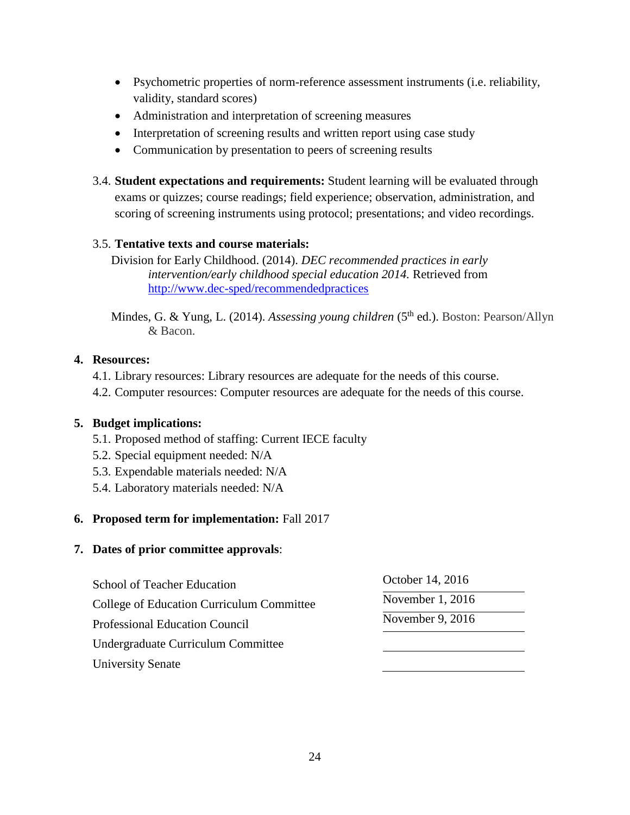- Psychometric properties of norm-reference assessment instruments (i.e. reliability, validity, standard scores)
- Administration and interpretation of screening measures
- Interpretation of screening results and written report using case study
- Communication by presentation to peers of screening results
- 3.4. **Student expectations and requirements:** Student learning will be evaluated through exams or quizzes; course readings; field experience; observation, administration, and scoring of screening instruments using protocol; presentations; and video recordings.

## 3.5. **Tentative texts and course materials:**

Division for Early Childhood. (2014). *DEC recommended practices in early intervention/early childhood special education 2014.* Retrieved from <http://www.dec-sped/recommendedpractices>

Mindes, G. & Yung, L. (2014). *Assessing young children* (5<sup>th</sup> ed.). Boston: Pearson/Allyn & Bacon.

## **4. Resources:**

- 4.1. Library resources: Library resources are adequate for the needs of this course.
- 4.2. Computer resources: Computer resources are adequate for the needs of this course.

## **5. Budget implications:**

- 5.1. Proposed method of staffing: Current IECE faculty
- 5.2. Special equipment needed: N/A
- 5.3. Expendable materials needed: N/A
- 5.4. Laboratory materials needed: N/A

## **6. Proposed term for implementation:** Fall 2017

| <b>School of Teacher Education</b><br><b>College of Education Curriculum Committee</b> | October 14, 2016 |  |
|----------------------------------------------------------------------------------------|------------------|--|
|                                                                                        | November 1, 2016 |  |
| <b>Professional Education Council</b>                                                  | November 9, 2016 |  |
| Undergraduate Curriculum Committee                                                     |                  |  |
| University Senate                                                                      |                  |  |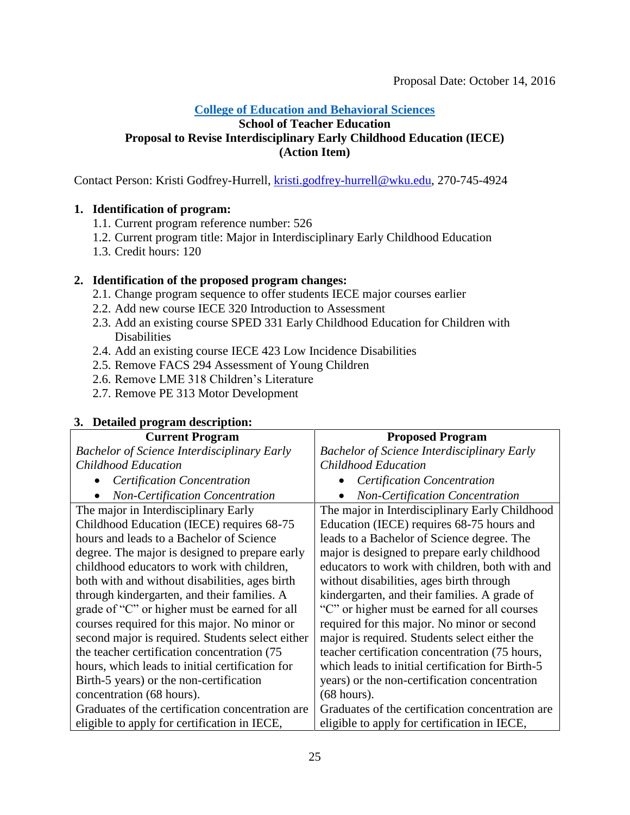#### <span id="page-24-0"></span>**School of Teacher Education Proposal to Revise Interdisciplinary Early Childhood Education (IECE) (Action Item)**

Contact Person: Kristi Godfrey-Hurrell, [kristi.godfrey-hurrell@wku.edu,](mailto:krist.godfrey-hurrell@wku.edu) 270-745-4924

## **1. Identification of program:**

- 1.1. Current program reference number: 526
- 1.2. Current program title: Major in Interdisciplinary Early Childhood Education
- 1.3. Credit hours: 120

## **2. Identification of the proposed program changes:**

- 2.1. Change program sequence to offer students IECE major courses earlier
- 2.2. Add new course IECE 320 Introduction to Assessment
- 2.3. Add an existing course SPED 331 Early Childhood Education for Children with **Disabilities**
- 2.4. Add an existing course IECE 423 Low Incidence Disabilities
- 2.5. Remove FACS 294 Assessment of Young Children
- 2.6. Remove LME 318 Children's Literature
- 2.7. Remove PE 313 Motor Development

#### **Current Program** *Bachelor of Science Interdisciplinary Early Childhood Education Certification Concentration Non-Certification Concentration* **Proposed Program** *Bachelor of Science Interdisciplinary Early Childhood Education Certification Concentration Non-Certification Concentration* The major in Interdisciplinary Early Childhood Education (IECE) requires 68-75 hours and leads to a Bachelor of Science degree. The major is designed to prepare early childhood educators to work with children, both with and without disabilities, ages birth through kindergarten, and their families. A grade of "C" or higher must be earned for all courses required for this major. No minor or second major is required. Students select either the teacher certification concentration (75 hours, which leads to initial certification for Birth-5 years) or the non-certification concentration (68 hours). Graduates of the certification concentration are eligible to apply for certification in IECE, The major in Interdisciplinary Early Childhood Education (IECE) requires 68-75 hours and leads to a Bachelor of Science degree. The major is designed to prepare early childhood educators to work with children, both with and without disabilities, ages birth through kindergarten, and their families. A grade of "C" or higher must be earned for all courses required for this major. No minor or second major is required. Students select either the teacher certification concentration (75 hours, which leads to initial certification for Birth-5 years) or the non-certification concentration (68 hours). Graduates of the certification concentration are eligible to apply for certification in IECE,

## **3. Detailed program description:**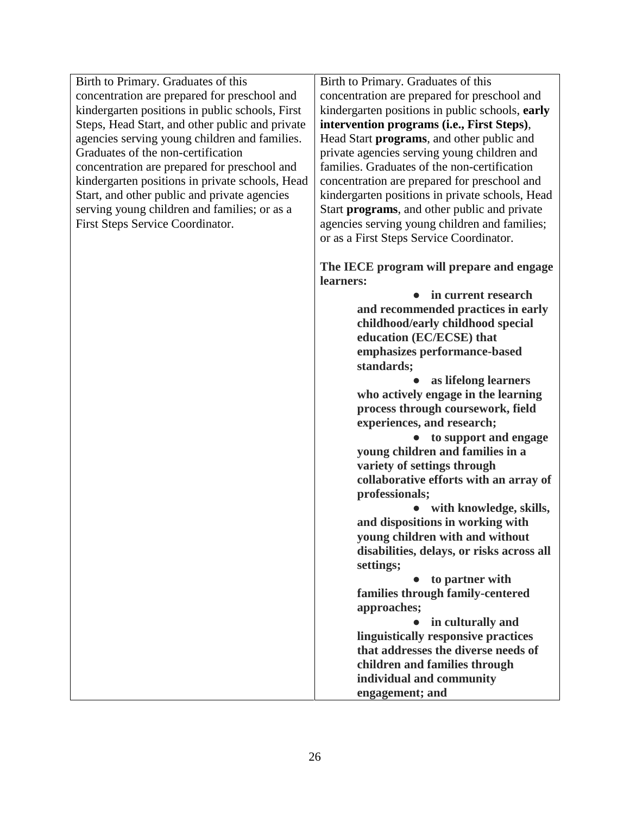Birth to Primary. Graduates of this concentration are prepared for preschool and kindergarten positions in public schools, First Steps, Head Start, and other public and private agencies serving young children and families. Graduates of the non-certification concentration are prepared for preschool and kindergarten positions in private schools, Head Start, and other public and private agencies serving young children and families; or as a First Steps Service Coordinator.

Birth to Primary. Graduates of this concentration are prepared for preschool and kindergarten positions in public schools, **early intervention programs (i.e., First Steps)**, Head Start **programs**, and other public and private agencies serving young children and families. Graduates of the non-certification concentration are prepared for preschool and kindergarten positions in private schools, Head Start **programs**, and other public and private agencies serving young children and families; or as a First Steps Service Coordinator.

**The IECE program will prepare and engage learners:**

> ● **in current research and recommended practices in early childhood/early childhood special education (EC/ECSE) that emphasizes performance-based standards;**

● **as lifelong learners who actively engage in the learning process through coursework, field experiences, and research;**

● **to support and engage young children and families in a variety of settings through collaborative efforts with an array of professionals;**

● **with knowledge, skills, and dispositions in working with young children with and without disabilities, delays, or risks across all settings;** 

● **to partner with families through family-centered approaches;**

● **in culturally and linguistically responsive practices that addresses the diverse needs of children and families through individual and community engagement; and**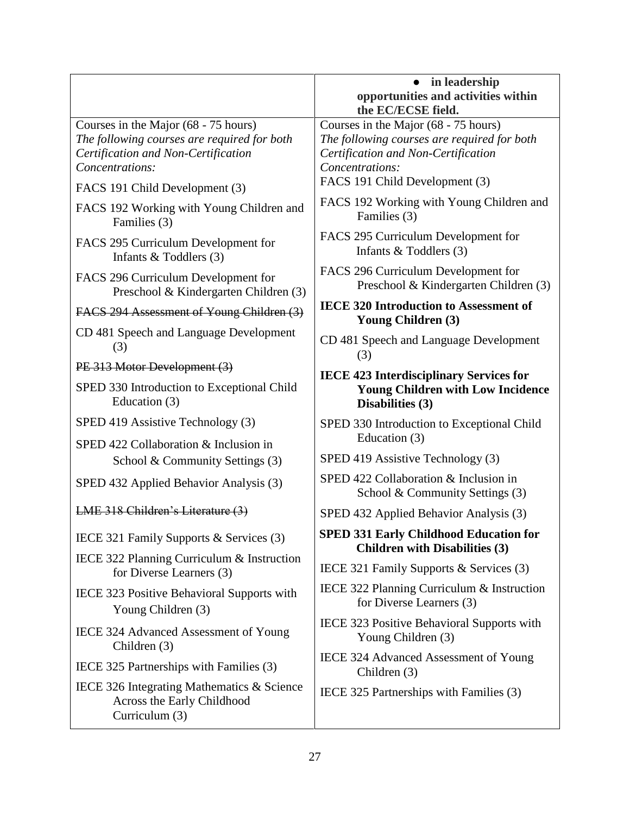|                                                                                                                                               | in leadership<br>$\bullet$<br>opportunities and activities within<br>the EC/ECSE field.                                                       |
|-----------------------------------------------------------------------------------------------------------------------------------------------|-----------------------------------------------------------------------------------------------------------------------------------------------|
| Courses in the Major (68 - 75 hours)<br>The following courses are required for both<br>Certification and Non-Certification<br>Concentrations: | Courses in the Major (68 - 75 hours)<br>The following courses are required for both<br>Certification and Non-Certification<br>Concentrations: |
| FACS 191 Child Development (3)                                                                                                                | FACS 191 Child Development (3)                                                                                                                |
| FACS 192 Working with Young Children and<br>Families (3)                                                                                      | FACS 192 Working with Young Children and<br>Families (3)                                                                                      |
| FACS 295 Curriculum Development for<br>Infants $&$ Toddlers (3)                                                                               | FACS 295 Curriculum Development for<br>Infants $&$ Toddlers (3)                                                                               |
| FACS 296 Curriculum Development for<br>Preschool & Kindergarten Children (3)                                                                  | FACS 296 Curriculum Development for<br>Preschool & Kindergarten Children (3)                                                                  |
| FACS 294 Assessment of Young Children (3)                                                                                                     | <b>IECE 320 Introduction to Assessment of</b><br><b>Young Children (3)</b>                                                                    |
| CD 481 Speech and Language Development<br>(3)                                                                                                 | CD 481 Speech and Language Development<br>(3)                                                                                                 |
| PE 313 Motor Development (3)                                                                                                                  | <b>IECE 423 Interdisciplinary Services for</b>                                                                                                |
| SPED 330 Introduction to Exceptional Child<br>Education (3)                                                                                   | <b>Young Children with Low Incidence</b><br>Disabilities (3)                                                                                  |
| SPED 419 Assistive Technology (3)                                                                                                             | SPED 330 Introduction to Exceptional Child                                                                                                    |
| SPED 422 Collaboration & Inclusion in                                                                                                         | Education (3)                                                                                                                                 |
| School & Community Settings (3)                                                                                                               | SPED 419 Assistive Technology (3)                                                                                                             |
| SPED 432 Applied Behavior Analysis (3)                                                                                                        | SPED 422 Collaboration & Inclusion in<br>School & Community Settings (3)                                                                      |
| LME 318 Children's Literature (3)                                                                                                             | SPED 432 Applied Behavior Analysis (3)                                                                                                        |
| IECE 321 Family Supports & Services (3)                                                                                                       | <b>SPED 331 Early Childhood Education for</b><br><b>Children with Disabilities (3)</b>                                                        |
| IECE 322 Planning Curriculum & Instruction<br>for Diverse Learners (3)                                                                        | IECE 321 Family Supports & Services (3)                                                                                                       |
| IECE 323 Positive Behavioral Supports with<br>Young Children (3)                                                                              | IECE 322 Planning Curriculum & Instruction<br>for Diverse Learners (3)                                                                        |
| IECE 324 Advanced Assessment of Young<br>Children (3)                                                                                         | IECE 323 Positive Behavioral Supports with<br>Young Children (3)                                                                              |
| IECE 325 Partnerships with Families (3)                                                                                                       | IECE 324 Advanced Assessment of Young<br>Children (3)                                                                                         |
| IECE 326 Integrating Mathematics & Science<br>Across the Early Childhood<br>Curriculum (3)                                                    | IECE 325 Partnerships with Families (3)                                                                                                       |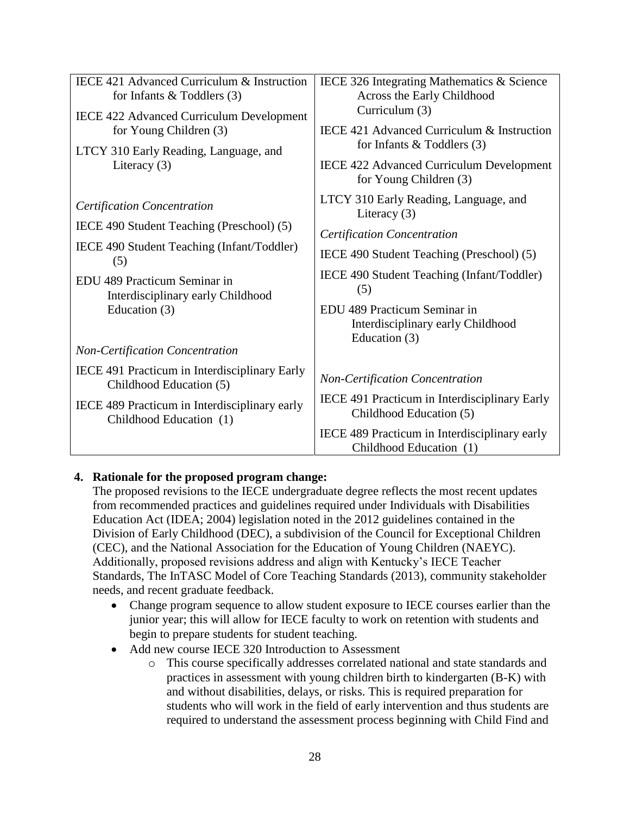| IECE 421 Advanced Curriculum & Instruction<br>for Infants $&$ Toddlers (3)<br><b>IECE 422 Advanced Curriculum Development</b><br>for Young Children (3)<br>LTCY 310 Early Reading, Language, and<br>Literacy $(3)$           | IECE 326 Integrating Mathematics & Science<br>Across the Early Childhood<br>Curriculum (3)<br>IECE 421 Advanced Curriculum & Instruction<br>for Infants $&$ Toddlers (3)<br><b>IECE 422 Advanced Curriculum Development</b><br>for Young Children (3)                                 |
|------------------------------------------------------------------------------------------------------------------------------------------------------------------------------------------------------------------------------|---------------------------------------------------------------------------------------------------------------------------------------------------------------------------------------------------------------------------------------------------------------------------------------|
| <b>Certification Concentration</b><br>IECE 490 Student Teaching (Preschool) (5)<br>IECE 490 Student Teaching (Infant/Toddler)<br>(5)<br>EDU 489 Practicum Seminar in<br>Interdisciplinary early Childhood<br>Education $(3)$ | LTCY 310 Early Reading, Language, and<br>Literacy $(3)$<br><b>Certification Concentration</b><br>IECE 490 Student Teaching (Preschool) (5)<br>IECE 490 Student Teaching (Infant/Toddler)<br>(5)<br>EDU 489 Practicum Seminar in<br>Interdisciplinary early Childhood<br>Education (3) |
| <b>Non-Certification Concentration</b>                                                                                                                                                                                       |                                                                                                                                                                                                                                                                                       |
| IECE 491 Practicum in Interdisciplinary Early<br>Childhood Education (5)                                                                                                                                                     | <b>Non-Certification Concentration</b>                                                                                                                                                                                                                                                |
| IECE 489 Practicum in Interdisciplinary early<br>Childhood Education (1)                                                                                                                                                     | IECE 491 Practicum in Interdisciplinary Early<br>Childhood Education (5)                                                                                                                                                                                                              |
|                                                                                                                                                                                                                              | IECE 489 Practicum in Interdisciplinary early<br>Childhood Education (1)                                                                                                                                                                                                              |

## **4. Rationale for the proposed program change:**

The proposed revisions to the IECE undergraduate degree reflects the most recent updates from recommended practices and guidelines required under Individuals with Disabilities Education Act (IDEA; 2004) legislation noted in the 2012 guidelines contained in the Division of Early Childhood (DEC), a subdivision of the Council for Exceptional Children (CEC), and the National Association for the Education of Young Children (NAEYC). Additionally, proposed revisions address and align with Kentucky's IECE Teacher Standards, The InTASC Model of Core Teaching Standards (2013), community stakeholder needs, and recent graduate feedback.

- Change program sequence to allow student exposure to IECE courses earlier than the junior year; this will allow for IECE faculty to work on retention with students and begin to prepare students for student teaching.
- Add new course IECE 320 Introduction to Assessment
	- o This course specifically addresses correlated national and state standards and practices in assessment with young children birth to kindergarten (B-K) with and without disabilities, delays, or risks. This is required preparation for students who will work in the field of early intervention and thus students are required to understand the assessment process beginning with Child Find and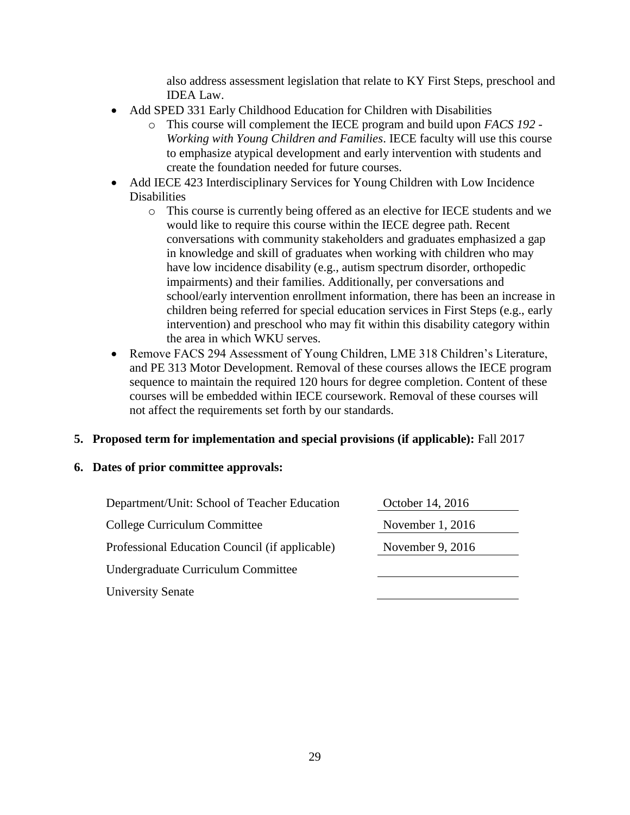also address assessment legislation that relate to KY First Steps, preschool and IDEA Law.

- Add SPED 331 Early Childhood Education for Children with Disabilities
	- o This course will complement the IECE program and build upon *FACS 192 - Working with Young Children and Families*. IECE faculty will use this course to emphasize atypical development and early intervention with students and create the foundation needed for future courses.
- Add IECE 423 Interdisciplinary Services for Young Children with Low Incidence Disabilities
	- o This course is currently being offered as an elective for IECE students and we would like to require this course within the IECE degree path. Recent conversations with community stakeholders and graduates emphasized a gap in knowledge and skill of graduates when working with children who may have low incidence disability (e.g., autism spectrum disorder, orthopedic impairments) and their families. Additionally, per conversations and school/early intervention enrollment information, there has been an increase in children being referred for special education services in First Steps (e.g., early intervention) and preschool who may fit within this disability category within the area in which WKU serves.
- Remove FACS 294 Assessment of Young Children, LME 318 Children's Literature, and PE 313 Motor Development. Removal of these courses allows the IECE program sequence to maintain the required 120 hours for degree completion. Content of these courses will be embedded within IECE coursework. Removal of these courses will not affect the requirements set forth by our standards.

## **5. Proposed term for implementation and special provisions (if applicable):** Fall 2017

| Department/Unit: School of Teacher Education   | October 14, 2016   |
|------------------------------------------------|--------------------|
| College Curriculum Committee                   | November 1, 2016   |
| Professional Education Council (if applicable) | November 9, $2016$ |
| Undergraduate Curriculum Committee             |                    |
| <b>University Senate</b>                       |                    |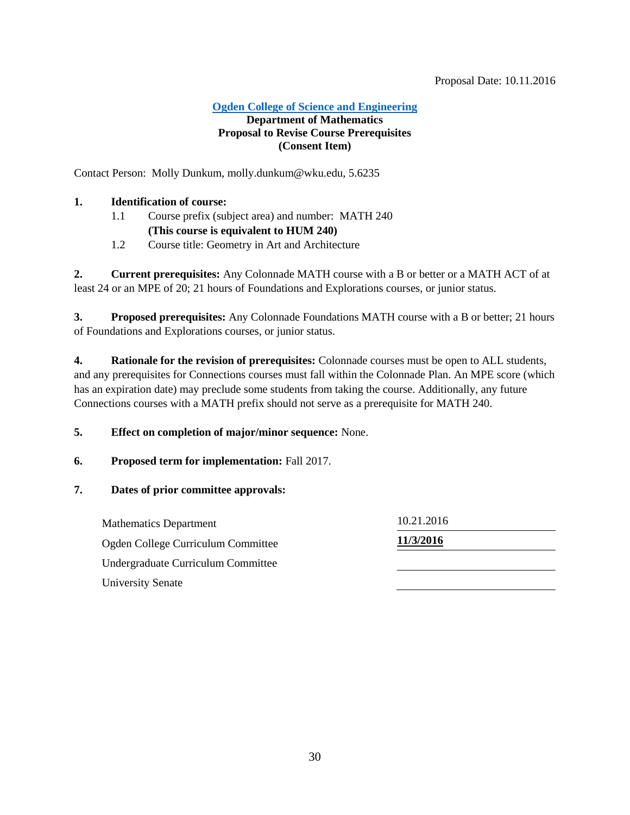**[Ogden College of Science and Engineering](#page-2-1)**

#### <span id="page-29-0"></span>**Department of Mathematics Proposal to Revise Course Prerequisites (Consent Item)**

Contact Person: Molly Dunkum, molly.dunkum@wku.edu, 5.6235

## **1. Identification of course:**

- 1.1 Course prefix (subject area) and number: MATH 240 **(This course is equivalent to HUM 240)**
- 1.2 Course title: Geometry in Art and Architecture

**2. Current prerequisites:** Any Colonnade MATH course with a B or better or a MATH ACT of at least 24 or an MPE of 20; 21 hours of Foundations and Explorations courses, or junior status.

**3. Proposed prerequisites:** Any Colonnade Foundations MATH course with a B or better; 21 hours of Foundations and Explorations courses, or junior status.

**4. Rationale for the revision of prerequisites:** Colonnade courses must be open to ALL students, and any prerequisites for Connections courses must fall within the Colonnade Plan. An MPE score (which has an expiration date) may preclude some students from taking the course. Additionally, any future Connections courses with a MATH prefix should not serve as a prerequisite for MATH 240.

**5. Effect on completion of major/minor sequence:** None.

#### **6. Proposed term for implementation:** Fall 2017.

#### **7. Dates of prior committee approvals:**

Mathematics Department 10.21.2016 Ogden College Curriculum Committee **11/3/2016** Undergraduate Curriculum Committee University Senate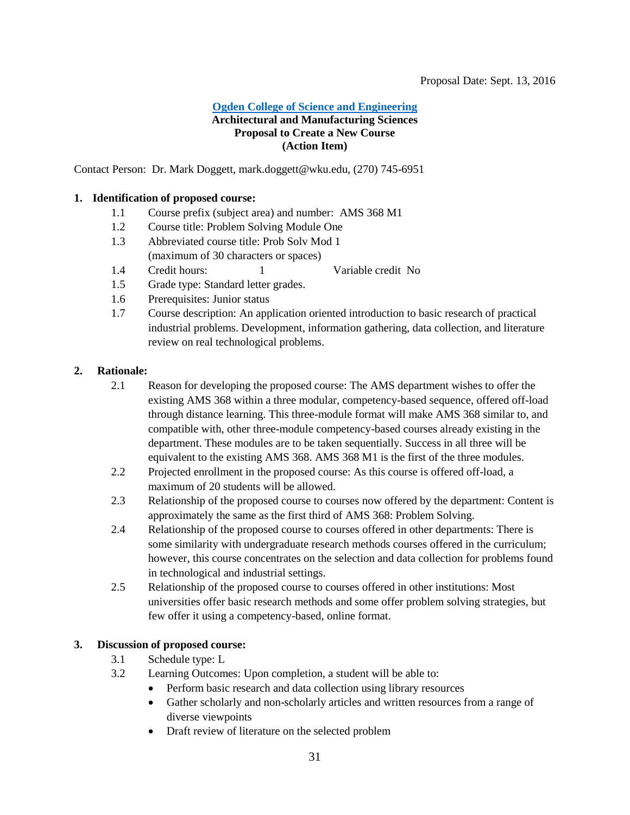#### <span id="page-30-0"></span>**[Ogden College of Science and Engineering](#page-2-1) Architectural and Manufacturing Sciences Proposal to Create a New Course (Action Item)**

Contact Person: Dr. Mark Doggett, mark.doggett@wku.edu, (270) 745-6951

#### **1. Identification of proposed course:**

- 1.1 Course prefix (subject area) and number: AMS 368 M1
- 1.2 Course title: Problem Solving Module One
- 1.3 Abbreviated course title: Prob Solv Mod 1 (maximum of 30 characters or spaces)
- 1.4 Credit hours: 1 Variable credit No
- 1.5 Grade type: Standard letter grades.
- 1.6 Prerequisites: Junior status
- 1.7 Course description: An application oriented introduction to basic research of practical industrial problems. Development, information gathering, data collection, and literature review on real technological problems.

#### **2. Rationale:**

- 2.1 Reason for developing the proposed course: The AMS department wishes to offer the existing AMS 368 within a three modular, competency-based sequence, offered off-load through distance learning. This three-module format will make AMS 368 similar to, and compatible with, other three-module competency-based courses already existing in the department. These modules are to be taken sequentially. Success in all three will be equivalent to the existing AMS 368. AMS 368 M1 is the first of the three modules.
- 2.2 Projected enrollment in the proposed course: As this course is offered off-load, a maximum of 20 students will be allowed.
- 2.3 Relationship of the proposed course to courses now offered by the department: Content is approximately the same as the first third of AMS 368: Problem Solving.
- 2.4 Relationship of the proposed course to courses offered in other departments: There is some similarity with undergraduate research methods courses offered in the curriculum; however, this course concentrates on the selection and data collection for problems found in technological and industrial settings.
- 2.5 Relationship of the proposed course to courses offered in other institutions: Most universities offer basic research methods and some offer problem solving strategies, but few offer it using a competency-based, online format.

#### **3. Discussion of proposed course:**

- 3.1 Schedule type: L
- 3.2 Learning Outcomes: Upon completion, a student will be able to:
	- Perform basic research and data collection using library resources
	- Gather scholarly and non-scholarly articles and written resources from a range of diverse viewpoints
	- Draft review of literature on the selected problem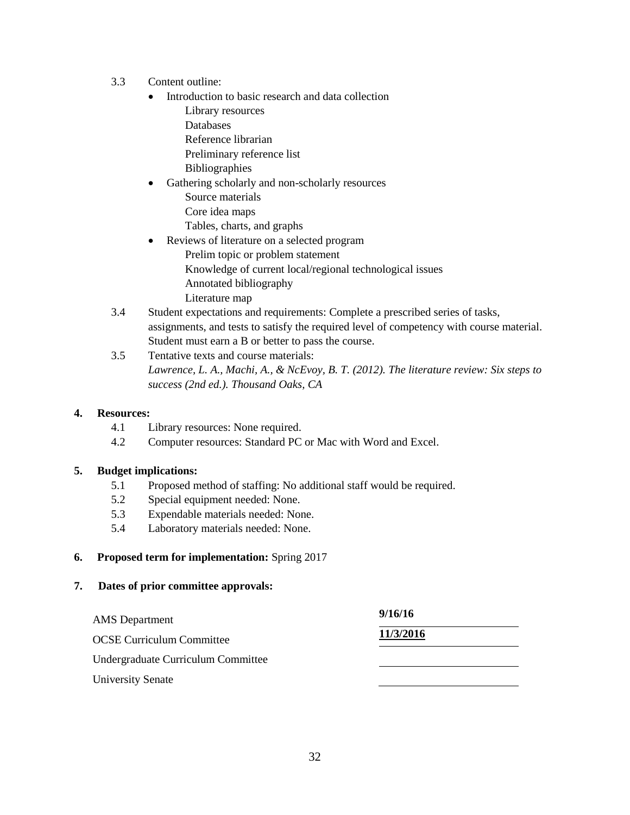- 3.3 Content outline:
	- Introduction to basic research and data collection Library resources Databases Reference librarian Preliminary reference list Bibliographies
	- Gathering scholarly and non-scholarly resources Source materials Core idea maps Tables, charts, and graphs
	- Reviews of literature on a selected program Prelim topic or problem statement Knowledge of current local/regional technological issues Annotated bibliography Literature map
- 3.4 Student expectations and requirements: Complete a prescribed series of tasks, assignments, and tests to satisfy the required level of competency with course material. Student must earn a B or better to pass the course.
- 3.5 Tentative texts and course materials: *Lawrence, L. A., Machi, A., & NcEvoy, B. T. (2012). The literature review: Six steps to success (2nd ed.). Thousand Oaks, CA*

#### **4. Resources:**

- 4.1 Library resources: None required.
- 4.2 Computer resources: Standard PC or Mac with Word and Excel.

#### **5. Budget implications:**

- 5.1 Proposed method of staffing: No additional staff would be required.
- 5.2 Special equipment needed: None.
- 5.3 Expendable materials needed: None.
- 5.4 Laboratory materials needed: None.

#### **6. Proposed term for implementation:** Spring 2017

| <b>AMS</b> Department              | 9/16/16   |
|------------------------------------|-----------|
| <b>OCSE Curriculum Committee</b>   | 11/3/2016 |
| Undergraduate Curriculum Committee |           |
| <b>University Senate</b>           |           |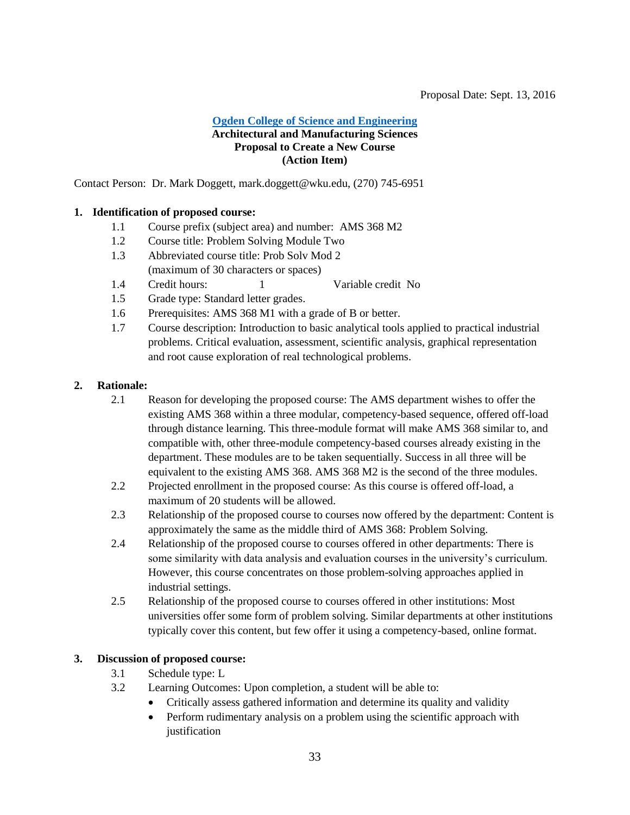#### <span id="page-32-0"></span>Proposal Date: Sept. 13, 2016

#### **[Ogden College of Science and Engineering](#page-2-1) Architectural and Manufacturing Sciences Proposal to Create a New Course (Action Item)**

Contact Person: Dr. Mark Doggett, mark.doggett@wku.edu, (270) 745-6951

#### **1. Identification of proposed course:**

- 1.1 Course prefix (subject area) and number: AMS 368 M2
- 1.2 Course title: Problem Solving Module Two
- 1.3 Abbreviated course title: Prob Solv Mod 2 (maximum of 30 characters or spaces)
- 1.4 Credit hours: 1 Variable credit No
- 1.5 Grade type: Standard letter grades.
- 1.6 Prerequisites: AMS 368 M1 with a grade of B or better.
- 1.7 Course description: Introduction to basic analytical tools applied to practical industrial problems. Critical evaluation, assessment, scientific analysis, graphical representation and root cause exploration of real technological problems.

#### **2. Rationale:**

- 2.1 Reason for developing the proposed course: The AMS department wishes to offer the existing AMS 368 within a three modular, competency-based sequence, offered off-load through distance learning. This three-module format will make AMS 368 similar to, and compatible with, other three-module competency-based courses already existing in the department. These modules are to be taken sequentially. Success in all three will be equivalent to the existing AMS 368. AMS 368 M2 is the second of the three modules.
- 2.2 Projected enrollment in the proposed course: As this course is offered off-load, a maximum of 20 students will be allowed.
- 2.3 Relationship of the proposed course to courses now offered by the department: Content is approximately the same as the middle third of AMS 368: Problem Solving.
- 2.4 Relationship of the proposed course to courses offered in other departments: There is some similarity with data analysis and evaluation courses in the university's curriculum. However, this course concentrates on those problem-solving approaches applied in industrial settings.
- 2.5 Relationship of the proposed course to courses offered in other institutions: Most universities offer some form of problem solving. Similar departments at other institutions typically cover this content, but few offer it using a competency-based, online format.

#### **3. Discussion of proposed course:**

- 3.1 Schedule type: L
- 3.2 Learning Outcomes: Upon completion, a student will be able to:
	- Critically assess gathered information and determine its quality and validity
	- Perform rudimentary analysis on a problem using the scientific approach with justification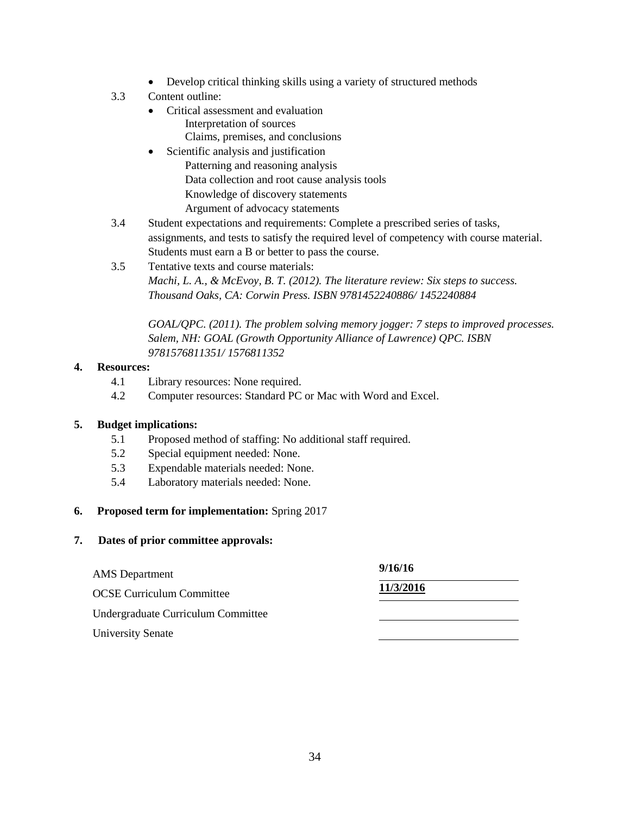- Develop critical thinking skills using a variety of structured methods
- 3.3 Content outline:
	- Critical assessment and evaluation Interpretation of sources Claims, premises, and conclusions
	- Scientific analysis and justification Patterning and reasoning analysis Data collection and root cause analysis tools Knowledge of discovery statements Argument of advocacy statements
- 3.4 Student expectations and requirements: Complete a prescribed series of tasks, assignments, and tests to satisfy the required level of competency with course material. Students must earn a B or better to pass the course.
- 3.5 Tentative texts and course materials: *Machi, L. A., & McEvoy, B. T. (2012). The literature review: Six steps to success. Thousand Oaks, CA: Corwin Press. ISBN 9781452240886/ 1452240884*

*GOAL/QPC. (2011). The problem solving memory jogger: 7 steps to improved processes. Salem, NH: GOAL (Growth Opportunity Alliance of Lawrence) QPC. ISBN 9781576811351/ 1576811352*

## **4. Resources:**

- 4.1 Library resources: None required.
- 4.2 Computer resources: Standard PC or Mac with Word and Excel.

#### **5. Budget implications:**

- 5.1 Proposed method of staffing: No additional staff required.
- 5.2 Special equipment needed: None.
- 5.3 Expendable materials needed: None.
- 5.4 Laboratory materials needed: None.

#### **6. Proposed term for implementation:** Spring 2017

| <b>AMS</b> Department              | 9/16/16   |  |
|------------------------------------|-----------|--|
| <b>OCSE Curriculum Committee</b>   | 11/3/2016 |  |
| Undergraduate Curriculum Committee |           |  |
| <b>University Senate</b>           |           |  |
|                                    |           |  |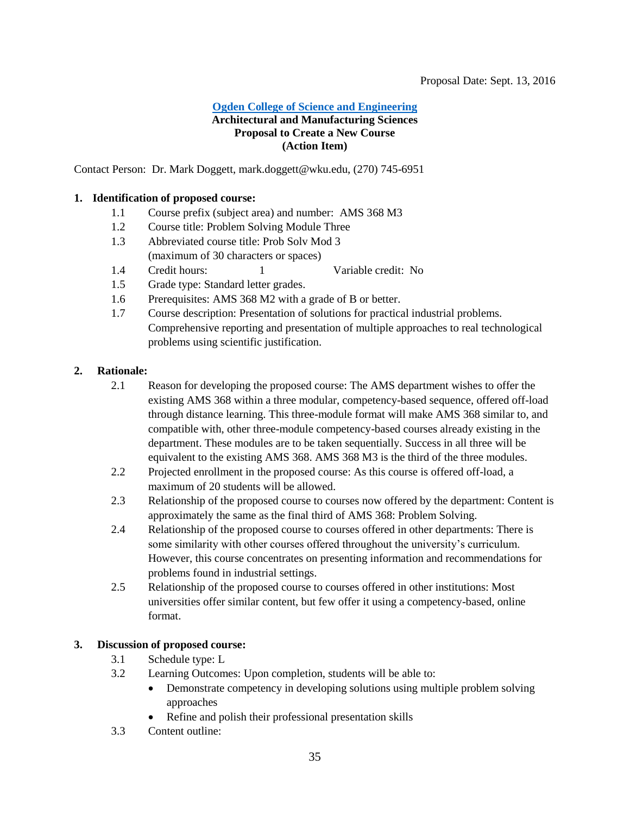#### <span id="page-34-0"></span>**[Ogden College of Science and Engineering](#page-2-1) Architectural and Manufacturing Sciences Proposal to Create a New Course (Action Item)**

Contact Person: Dr. Mark Doggett, mark.doggett@wku.edu, (270) 745-6951

#### **1. Identification of proposed course:**

- 1.1 Course prefix (subject area) and number: AMS 368 M3
- 1.2 Course title: Problem Solving Module Three
- 1.3 Abbreviated course title: Prob Solv Mod 3 (maximum of 30 characters or spaces)
- 1.4 Credit hours: 1 Variable credit: No
- 1.5 Grade type: Standard letter grades.
- 1.6 Prerequisites: AMS 368 M2 with a grade of B or better.
- 1.7 Course description: Presentation of solutions for practical industrial problems. Comprehensive reporting and presentation of multiple approaches to real technological problems using scientific justification.

#### **2. Rationale:**

- 2.1 Reason for developing the proposed course: The AMS department wishes to offer the existing AMS 368 within a three modular, competency-based sequence, offered off-load through distance learning. This three-module format will make AMS 368 similar to, and compatible with, other three-module competency-based courses already existing in the department. These modules are to be taken sequentially. Success in all three will be equivalent to the existing AMS 368. AMS 368 M3 is the third of the three modules.
- 2.2 Projected enrollment in the proposed course: As this course is offered off-load, a maximum of 20 students will be allowed.
- 2.3 Relationship of the proposed course to courses now offered by the department: Content is approximately the same as the final third of AMS 368: Problem Solving.
- 2.4 Relationship of the proposed course to courses offered in other departments: There is some similarity with other courses offered throughout the university's curriculum. However, this course concentrates on presenting information and recommendations for problems found in industrial settings.
- 2.5 Relationship of the proposed course to courses offered in other institutions: Most universities offer similar content, but few offer it using a competency-based, online format.

#### **3. Discussion of proposed course:**

- 3.1 Schedule type: L
- 3.2 Learning Outcomes: Upon completion, students will be able to:
	- Demonstrate competency in developing solutions using multiple problem solving approaches
	- Refine and polish their professional presentation skills
- 3.3 Content outline: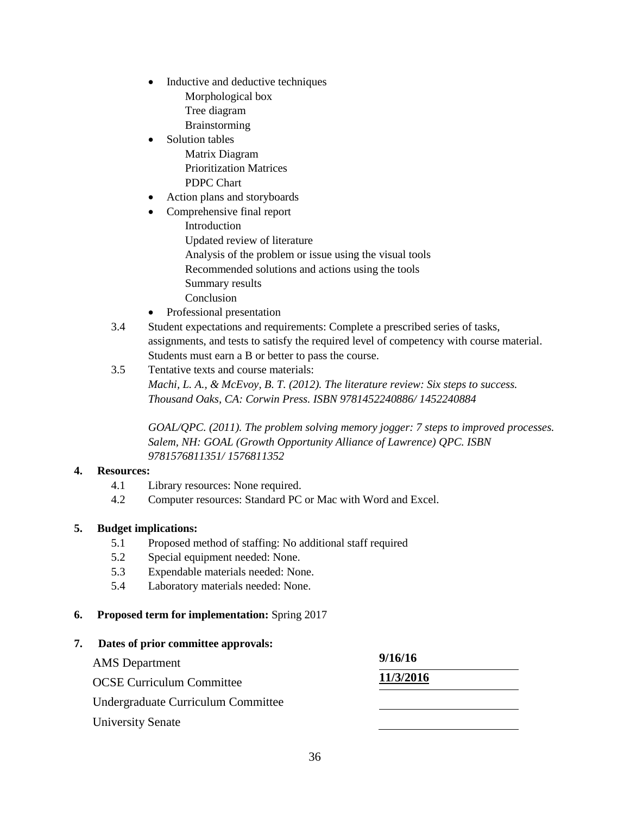- Inductive and deductive techniques Morphological box Tree diagram Brainstorming
- Solution tables Matrix Diagram Prioritization Matrices PDPC Chart
- Action plans and storyboards
	- Comprehensive final report Introduction Updated review of literature Analysis of the problem or issue using the visual tools Recommended solutions and actions using the tools Summary results Conclusion
- Professional presentation
- 3.4 Student expectations and requirements: Complete a prescribed series of tasks, assignments, and tests to satisfy the required level of competency with course material. Students must earn a B or better to pass the course.
- 3.5 Tentative texts and course materials: *Machi, L. A., & McEvoy, B. T. (2012). The literature review: Six steps to success. Thousand Oaks, CA: Corwin Press. ISBN 9781452240886/ 1452240884*

*GOAL/QPC. (2011). The problem solving memory jogger: 7 steps to improved processes. Salem, NH: GOAL (Growth Opportunity Alliance of Lawrence) QPC. ISBN 9781576811351/ 1576811352*

#### **4. Resources:**

- 4.1 Library resources: None required.
- 4.2 Computer resources: Standard PC or Mac with Word and Excel.

#### **5. Budget implications:**

- 5.1 Proposed method of staffing: No additional staff required
- 5.2 Special equipment needed: None.
- 5.3 Expendable materials needed: None.
- 5.4 Laboratory materials needed: None.

#### **6. Proposed term for implementation:** Spring 2017

## **7. Dates of prior committee approvals:** AMS Department **9/16/16** OCSE Curriculum Committee **11/3/2016** Undergraduate Curriculum Committee University Senate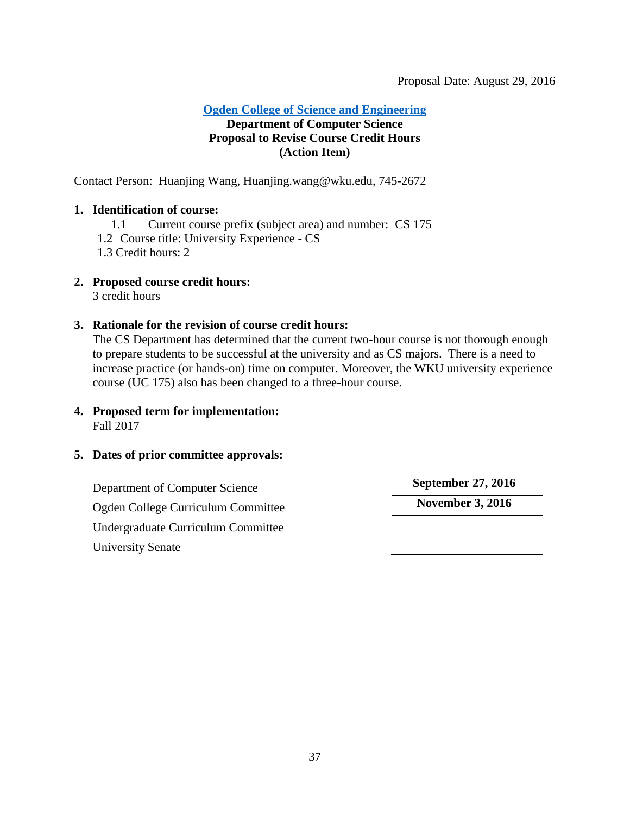#### <span id="page-36-0"></span>Proposal Date: August 29, 2016

**[Ogden College of Science and Engineering](#page-2-1)**

## **Department of Computer Science Proposal to Revise Course Credit Hours (Action Item)**

Contact Person: Huanjing Wang, Huanjing.wang@wku.edu, 745-2672

## **1. Identification of course:**

- 1.1 Current course prefix (subject area) and number: CS 175
- 1.2 Course title: University Experience CS
- 1.3 Credit hours: 2
- **2. Proposed course credit hours:**

3 credit hours

## **3. Rationale for the revision of course credit hours:**

The CS Department has determined that the current two-hour course is not thorough enough to prepare students to be successful at the university and as CS majors. There is a need to increase practice (or hands-on) time on computer. Moreover, the WKU university experience course (UC 175) also has been changed to a three-hour course.

**4. Proposed term for implementation:** Fall 2017

## **5. Dates of prior committee approvals:**

Department of Computer Science **September 27, 2016** Ogden College Curriculum Committee **November 3, 2016** Undergraduate Curriculum Committee University Senate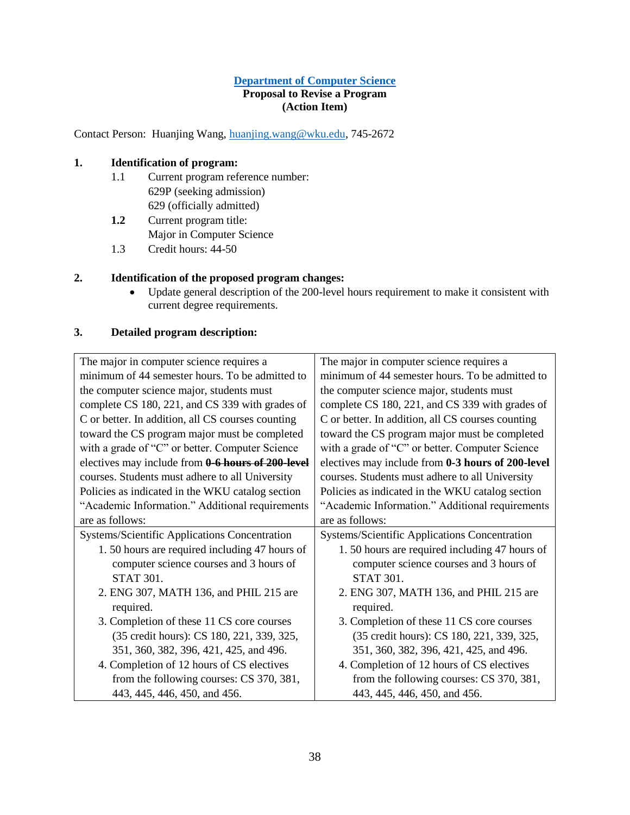#### **[Department of Computer Science](#page-2-1) Proposal to Revise a Program (Action Item)**

Contact Person: Huanjing Wang, [huanjing.wang@wku.edu,](mailto:huanjing.wang@wku.edu) 745-2672

## <span id="page-37-0"></span>**1. Identification of program:**

- 1.1 Current program reference number: 629P (seeking admission) 629 (officially admitted)
- **1.2** Current program title: Major in Computer Science
- 1.3 Credit hours: 44-50

## **2. Identification of the proposed program changes:**

 Update general description of the 200-level hours requirement to make it consistent with current degree requirements.

#### **3. Detailed program description:**

| The major in computer science requires a          | The major in computer science requires a          |
|---------------------------------------------------|---------------------------------------------------|
| minimum of 44 semester hours. To be admitted to   | minimum of 44 semester hours. To be admitted to   |
| the computer science major, students must         | the computer science major, students must         |
| complete CS 180, 221, and CS 339 with grades of   | complete CS 180, 221, and CS 339 with grades of   |
| C or better. In addition, all CS courses counting | C or better. In addition, all CS courses counting |
| toward the CS program major must be completed     | toward the CS program major must be completed     |
| with a grade of "C" or better. Computer Science   | with a grade of "C" or better. Computer Science   |
| electives may include from 0-6 hours of 200-level | electives may include from 0-3 hours of 200-level |
| courses. Students must adhere to all University   | courses. Students must adhere to all University   |
| Policies as indicated in the WKU catalog section  | Policies as indicated in the WKU catalog section  |
| "Academic Information." Additional requirements   | "Academic Information." Additional requirements   |
| are as follows:                                   | are as follows:                                   |
| Systems/Scientific Applications Concentration     | Systems/Scientific Applications Concentration     |
| 1.50 hours are required including 47 hours of     | 1.50 hours are required including 47 hours of     |
| computer science courses and 3 hours of           | computer science courses and 3 hours of           |
| <b>STAT 301.</b>                                  | <b>STAT 301.</b>                                  |
| 2. ENG 307, MATH 136, and PHIL 215 are            | 2. ENG 307, MATH 136, and PHIL 215 are            |
| required.                                         | required.                                         |
| 3. Completion of these 11 CS core courses         | 3. Completion of these 11 CS core courses         |
| (35 credit hours): CS 180, 221, 339, 325,         | (35 credit hours): CS 180, 221, 339, 325,         |
| 351, 360, 382, 396, 421, 425, and 496.            | 351, 360, 382, 396, 421, 425, and 496.            |
| 4. Completion of 12 hours of CS electives         | 4. Completion of 12 hours of CS electives         |
| from the following courses: CS 370, 381,          | from the following courses: CS 370, 381,          |
| 443, 445, 446, 450, and 456.                      | 443, 445, 446, 450, and 456.                      |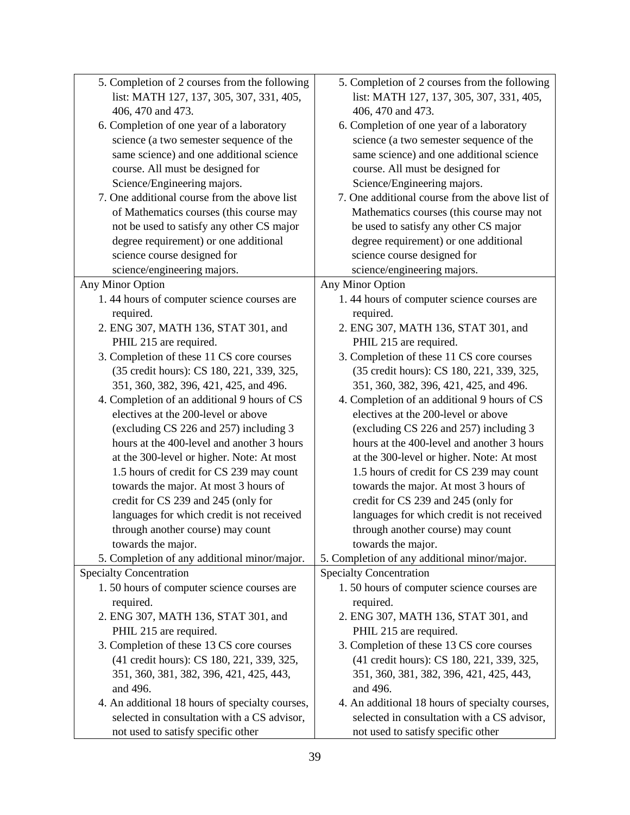| 5. Completion of 2 courses from the following   | 5. Completion of 2 courses from the following   |
|-------------------------------------------------|-------------------------------------------------|
| list: MATH 127, 137, 305, 307, 331, 405,        | list: MATH 127, 137, 305, 307, 331, 405,        |
| 406, 470 and 473.                               | 406, 470 and 473.                               |
| 6. Completion of one year of a laboratory       | 6. Completion of one year of a laboratory       |
| science (a two semester sequence of the         | science (a two semester sequence of the         |
| same science) and one additional science        | same science) and one additional science        |
| course. All must be designed for                | course. All must be designed for                |
| Science/Engineering majors.                     | Science/Engineering majors.                     |
| 7. One additional course from the above list    | 7. One additional course from the above list of |
| of Mathematics courses (this course may         | Mathematics courses (this course may not        |
| not be used to satisfy any other CS major       | be used to satisfy any other CS major           |
| degree requirement) or one additional           | degree requirement) or one additional           |
| science course designed for                     | science course designed for                     |
| science/engineering majors.                     | science/engineering majors.                     |
| Any Minor Option                                | Any Minor Option                                |
| 1.44 hours of computer science courses are      | 1.44 hours of computer science courses are      |
| required.                                       | required.                                       |
| 2. ENG 307, MATH 136, STAT 301, and             | 2. ENG 307, MATH 136, STAT 301, and             |
| PHIL 215 are required.                          | PHIL 215 are required.                          |
| 3. Completion of these 11 CS core courses       | 3. Completion of these 11 CS core courses       |
| (35 credit hours): CS 180, 221, 339, 325,       | (35 credit hours): CS 180, 221, 339, 325,       |
| 351, 360, 382, 396, 421, 425, and 496.          | 351, 360, 382, 396, 421, 425, and 496.          |
| 4. Completion of an additional 9 hours of CS    | 4. Completion of an additional 9 hours of CS    |
| electives at the 200-level or above             | electives at the 200-level or above             |
| (excluding CS 226 and 257) including 3          | (excluding CS 226 and 257) including 3          |
| hours at the 400-level and another 3 hours      | hours at the 400-level and another 3 hours      |
| at the 300-level or higher. Note: At most       | at the 300-level or higher. Note: At most       |
| 1.5 hours of credit for CS 239 may count        | 1.5 hours of credit for CS 239 may count        |
|                                                 | towards the major. At most 3 hours of           |
| towards the major. At most 3 hours of           |                                                 |
| credit for CS 239 and 245 (only for             | credit for CS 239 and 245 (only for             |
| languages for which credit is not received      | languages for which credit is not received      |
| through another course) may count               | through another course) may count               |
| towards the major.                              | towards the major.                              |
| 5. Completion of any additional minor/major.    | 5. Completion of any additional minor/major.    |
| <b>Specialty Concentration</b>                  | <b>Specialty Concentration</b>                  |
| 1.50 hours of computer science courses are      | 1.50 hours of computer science courses are      |
| required.                                       | required.                                       |
| 2. ENG 307, MATH 136, STAT 301, and             | 2. ENG 307, MATH 136, STAT 301, and             |
| PHIL 215 are required.                          | PHIL 215 are required.                          |
| 3. Completion of these 13 CS core courses       | 3. Completion of these 13 CS core courses       |
| (41 credit hours): CS 180, 221, 339, 325,       | (41 credit hours): CS 180, 221, 339, 325,       |
| 351, 360, 381, 382, 396, 421, 425, 443,         | 351, 360, 381, 382, 396, 421, 425, 443,         |
| and 496.                                        | and 496.                                        |
| 4. An additional 18 hours of specialty courses, | 4. An additional 18 hours of specialty courses, |
| selected in consultation with a CS advisor,     | selected in consultation with a CS advisor,     |
| not used to satisfy specific other              | not used to satisfy specific other              |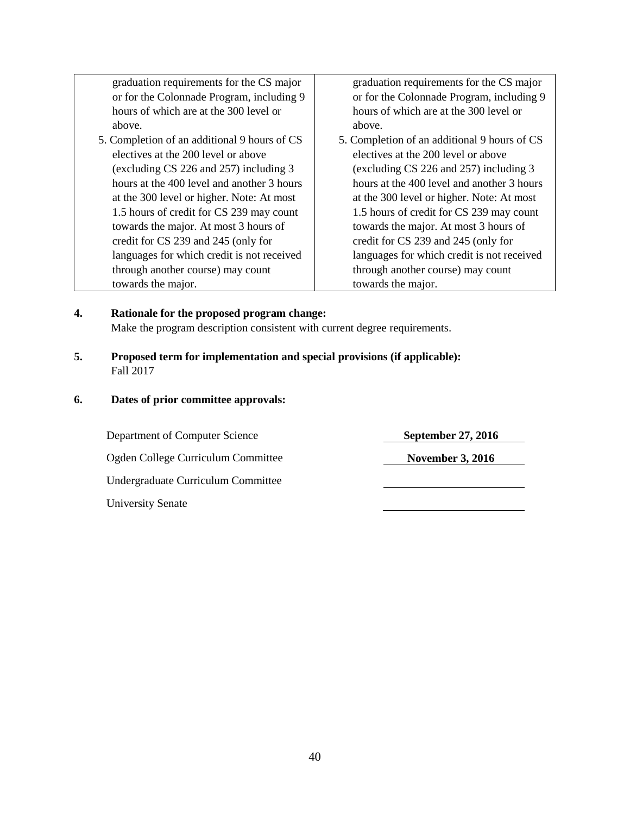graduation requirements for the CS major or for the Colonnade Program, including 9 hours of which are at the 300 level or above.

5. Completion of an additional 9 hours of CS electives at the 200 level or above (excluding CS 226 and 257) including 3 hours at the 400 level and another 3 hours at the 300 level or higher. Note: At most 1.5 hours of credit for CS 239 may count towards the major. At most 3 hours of credit for CS 239 and 245 (only for languages for which credit is not received through another course) may count towards the major.

graduation requirements for the CS major or for the Colonnade Program, including 9 hours of which are at the 300 level or above.

5. Completion of an additional 9 hours of CS electives at the 200 level or above (excluding CS 226 and 257) including 3 hours at the 400 level and another 3 hours at the 300 level or higher. Note: At most 1.5 hours of credit for CS 239 may count towards the major. At most 3 hours of credit for CS 239 and 245 (only for languages for which credit is not received through another course) may count towards the major.

**4. Rationale for the proposed program change:** Make the program description consistent with current degree requirements.

- **5. Proposed term for implementation and special provisions (if applicable):** Fall 2017
- **6. Dates of prior committee approvals:**

Department of Computer Science **September 27, 2016** Ogden College Curriculum Committee **November 3, 2016** Undergraduate Curriculum Committee University Senate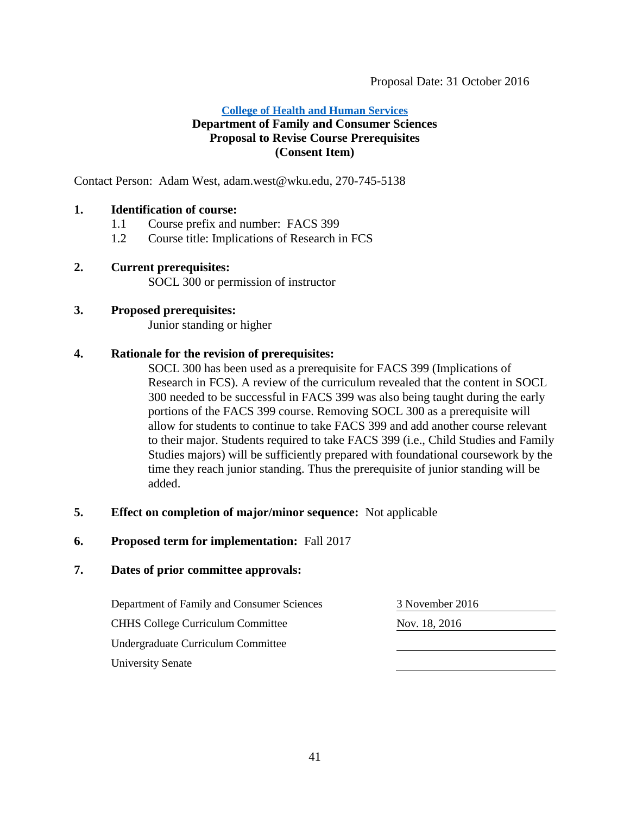#### **[College of Health and Human Services](#page-3-1) Department of Family and Consumer Sciences Proposal to Revise Course Prerequisites**

## <span id="page-40-0"></span>**(Consent Item)**

Contact Person: Adam West, adam.west@wku.edu, 270-745-5138

## **1. Identification of course:**

- 1.1 Course prefix and number: FACS 399
- 1.2 Course title: Implications of Research in FCS

## **2. Current prerequisites:**

SOCL 300 or permission of instructor

## **3. Proposed prerequisites:**

Junior standing or higher

## **4. Rationale for the revision of prerequisites:**

SOCL 300 has been used as a prerequisite for FACS 399 (Implications of Research in FCS). A review of the curriculum revealed that the content in SOCL 300 needed to be successful in FACS 399 was also being taught during the early portions of the FACS 399 course. Removing SOCL 300 as a prerequisite will allow for students to continue to take FACS 399 and add another course relevant to their major. Students required to take FACS 399 (i.e., Child Studies and Family Studies majors) will be sufficiently prepared with foundational coursework by the time they reach junior standing. Thus the prerequisite of junior standing will be added.

#### **5. Effect on completion of major/minor sequence:** Not applicable

**6. Proposed term for implementation:** Fall 2017

#### **7. Dates of prior committee approvals:**

Department of Family and Consumer Sciences 3 November 2016 CHHS College Curriculum Committee Nov. 18, 2016 Undergraduate Curriculum Committee University Senate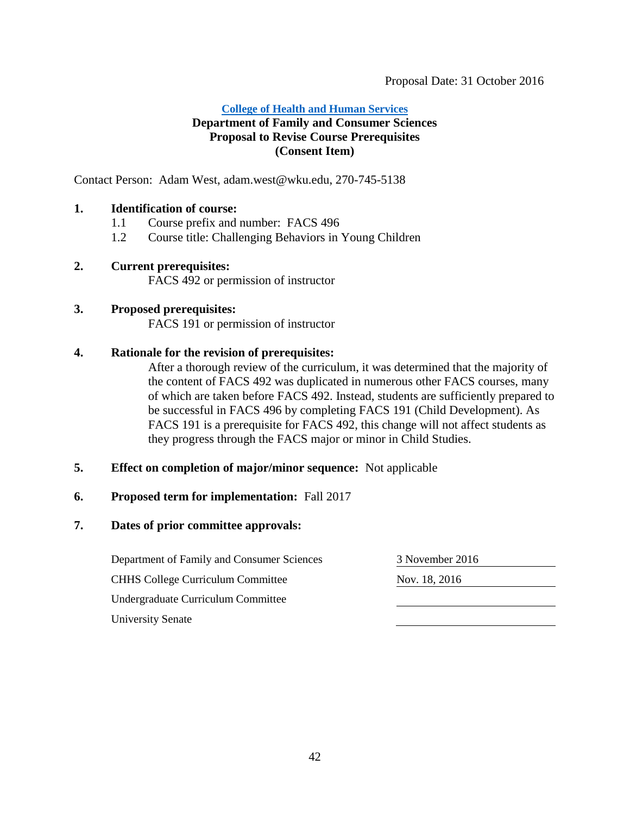#### **College of [Health and Human Services](#page-3-1)**

## **Department of Family and Consumer Sciences Proposal to Revise Course Prerequisites (Consent Item)**

Contact Person: Adam West, adam.west@wku.edu, 270-745-5138

#### **1. Identification of course:**

- 1.1 Course prefix and number: FACS 496
- 1.2 Course title: Challenging Behaviors in Young Children

#### **2. Current prerequisites:**

FACS 492 or permission of instructor

## **3. Proposed prerequisites:**

FACS 191 or permission of instructor

## **4. Rationale for the revision of prerequisites:**

After a thorough review of the curriculum, it was determined that the majority of the content of FACS 492 was duplicated in numerous other FACS courses, many of which are taken before FACS 492. Instead, students are sufficiently prepared to be successful in FACS 496 by completing FACS 191 (Child Development). As FACS 191 is a prerequisite for FACS 492, this change will not affect students as they progress through the FACS major or minor in Child Studies.

#### **5. Effect on completion of major/minor sequence:** Not applicable

#### **6. Proposed term for implementation:** Fall 2017

#### **7. Dates of prior committee approvals:**

Department of Family and Consumer Sciences 3 November 2016 CHHS College Curriculum Committee Nov. 18, 2016 Undergraduate Curriculum Committee University Senate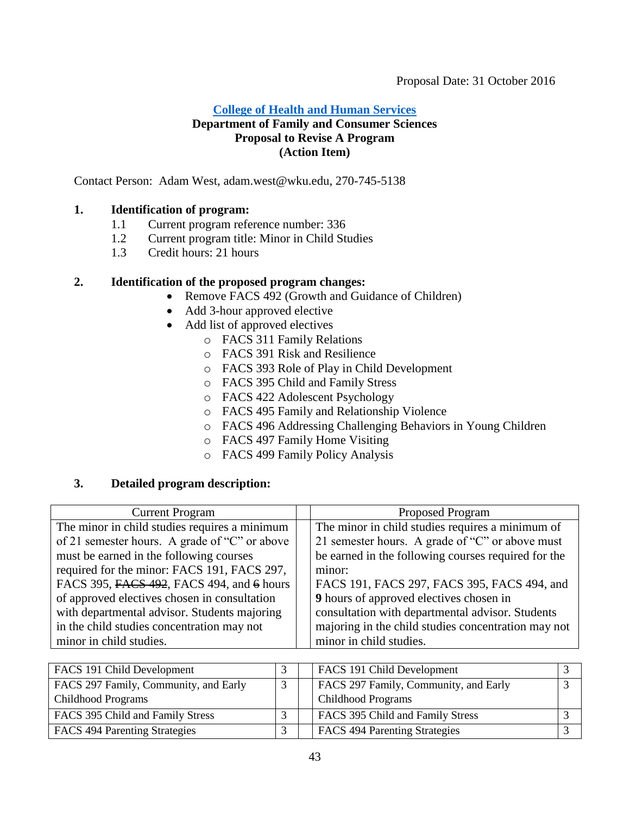## **[College of Health and Human Services](#page-3-1) Department of Family and Consumer Sciences Proposal to Revise A Program (Action Item)**

Contact Person: Adam West, adam.west@wku.edu, 270-745-5138

## **1. Identification of program:**

- 1.1 Current program reference number: 336
- 1.2 Current program title: Minor in Child Studies
- 1.3 Credit hours: 21 hours

## **2. Identification of the proposed program changes:**

- <span id="page-42-0"></span>• Remove FACS 492 (Growth and Guidance of Children)
- Add 3-hour approved elective
- Add list of approved electives
	- o FACS 311 Family Relations
	- o FACS 391 Risk and Resilience
	- o FACS 393 Role of Play in Child Development
	- o FACS 395 Child and Family Stress
	- o FACS 422 Adolescent Psychology
	- o FACS 495 Family and Relationship Violence
	- o FACS 496 Addressing Challenging Behaviors in Young Children
	- o FACS 497 Family Home Visiting
	- o FACS 499 Family Policy Analysis

## **3. Detailed program description:**

| <b>Current Program</b>                        | <b>Proposed Program</b>                             |
|-----------------------------------------------|-----------------------------------------------------|
| The minor in child studies requires a minimum | The minor in child studies requires a minimum of    |
| of 21 semester hours. A grade of "C" or above | 21 semester hours. A grade of "C" or above must     |
| must be earned in the following courses       | be earned in the following courses required for the |
| required for the minor: FACS 191, FACS 297,   | minor:                                              |
| FACS 395, FACS 492, FACS 494, and 6 hours     | FACS 191, FACS 297, FACS 395, FACS 494, and         |
| of approved electives chosen in consultation  | <b>9</b> hours of approved electives chosen in      |
| with departmental advisor. Students majoring  | consultation with departmental advisor. Students    |
| in the child studies concentration may not    | majoring in the child studies concentration may not |
| minor in child studies.                       | minor in child studies.                             |

| FACS 191 Child Development            |  | FACS 191 Child Development            |  |
|---------------------------------------|--|---------------------------------------|--|
| FACS 297 Family, Community, and Early |  | FACS 297 Family, Community, and Early |  |
| <b>Childhood Programs</b>             |  | <b>Childhood Programs</b>             |  |
| FACS 395 Child and Family Stress      |  | FACS 395 Child and Family Stress      |  |
| FACS 494 Parenting Strategies         |  | FACS 494 Parenting Strategies         |  |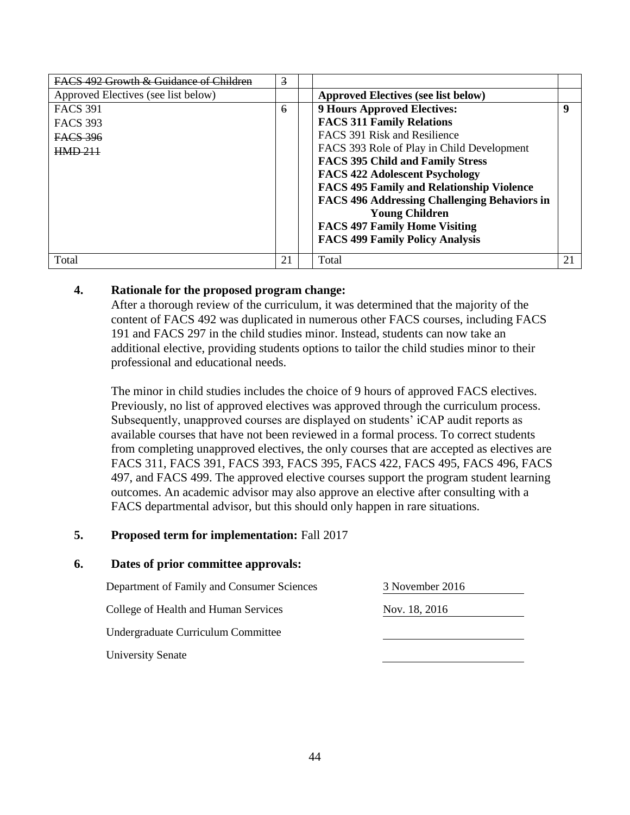| <b>EACS</b> 492 Growth & Guidance of Children | $\overline{3}$ |                                                     |    |
|-----------------------------------------------|----------------|-----------------------------------------------------|----|
| Approved Electives (see list below)           |                | <b>Approved Electives (see list below)</b>          |    |
| <b>FACS 391</b>                               | 6              | <b>9 Hours Approved Electives:</b>                  | -9 |
| <b>FACS 393</b>                               |                | <b>FACS 311 Family Relations</b>                    |    |
| FACS 396                                      |                | <b>FACS 391 Risk and Resilience</b>                 |    |
| HMD <sub>211</sub>                            |                | FACS 393 Role of Play in Child Development          |    |
|                                               |                | <b>FACS 395 Child and Family Stress</b>             |    |
|                                               |                | <b>FACS 422 Adolescent Psychology</b>               |    |
|                                               |                | <b>FACS 495 Family and Relationship Violence</b>    |    |
|                                               |                | <b>FACS 496 Addressing Challenging Behaviors in</b> |    |
|                                               |                | <b>Young Children</b>                               |    |
|                                               |                | <b>FACS 497 Family Home Visiting</b>                |    |
|                                               |                | <b>FACS 499 Family Policy Analysis</b>              |    |
| Total                                         | 21             | Total                                               | 21 |

## **4. Rationale for the proposed program change:**

After a thorough review of the curriculum, it was determined that the majority of the content of FACS 492 was duplicated in numerous other FACS courses, including FACS 191 and FACS 297 in the child studies minor. Instead, students can now take an additional elective, providing students options to tailor the child studies minor to their professional and educational needs.

The minor in child studies includes the choice of 9 hours of approved FACS electives. Previously, no list of approved electives was approved through the curriculum process. Subsequently, unapproved courses are displayed on students' iCAP audit reports as available courses that have not been reviewed in a formal process. To correct students from completing unapproved electives, the only courses that are accepted as electives are FACS 311, FACS 391, FACS 393, FACS 395, FACS 422, FACS 495, FACS 496, FACS 497, and FACS 499. The approved elective courses support the program student learning outcomes. An academic advisor may also approve an elective after consulting with a FACS departmental advisor, but this should only happen in rare situations.

## **5. Proposed term for implementation:** Fall 2017

| Department of Family and Consumer Sciences | 3 November 2016 |
|--------------------------------------------|-----------------|
| College of Health and Human Services       | Nov. 18, 2016   |
| Undergraduate Curriculum Committee         |                 |
| <b>University Senate</b>                   |                 |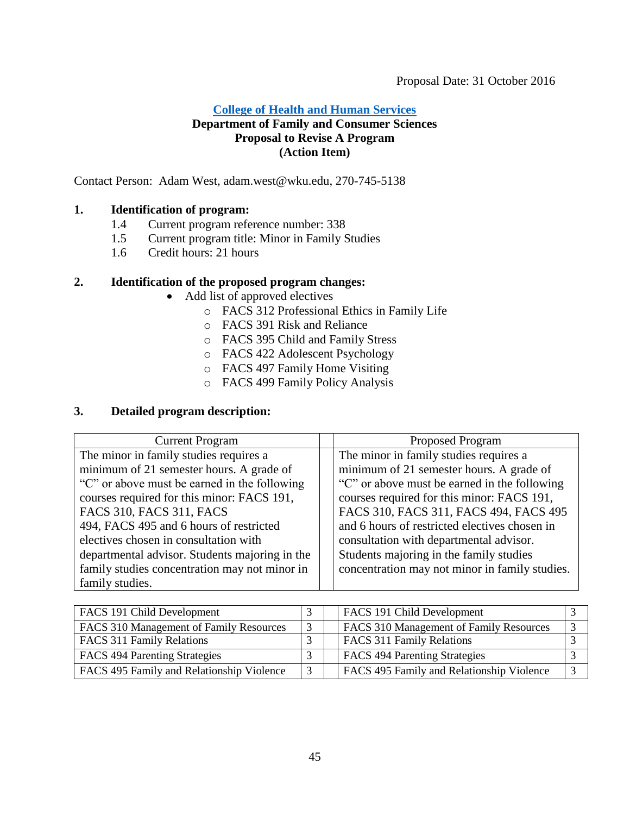## **[College of Health and Human Services](#page-3-1) Department of Family and Consumer Sciences Proposal to Revise A Program (Action Item)**

Contact Person: Adam West, adam.west@wku.edu, 270-745-5138

## **1. Identification of program:**

- 1.4 Current program reference number: 338
- 1.5 Current program title: Minor in Family Studies
- 1.6 Credit hours: 21 hours

## **2. Identification of the proposed program changes:**

- <span id="page-44-0"></span> Add list of approved electives
	- o FACS 312 Professional Ethics in Family Life
	- o FACS 391 Risk and Reliance
	- o FACS 395 Child and Family Stress
	- o FACS 422 Adolescent Psychology
	- o FACS 497 Family Home Visiting
	- o FACS 499 Family Policy Analysis

#### **3. Detailed program description:**

| <b>Current Program</b>                         | <b>Proposed Program</b>                        |
|------------------------------------------------|------------------------------------------------|
| The minor in family studies requires a         | The minor in family studies requires a         |
| minimum of 21 semester hours. A grade of       | minimum of 21 semester hours. A grade of       |
| "C" or above must be earned in the following   | "C" or above must be earned in the following   |
| courses required for this minor: FACS 191,     | courses required for this minor: FACS 191,     |
| FACS 310, FACS 311, FACS                       | FACS 310, FACS 311, FACS 494, FACS 495         |
| 494, FACS 495 and 6 hours of restricted        | and 6 hours of restricted electives chosen in  |
| electives chosen in consultation with          | consultation with departmental advisor.        |
| departmental advisor. Students majoring in the | Students majoring in the family studies        |
| family studies concentration may not minor in  | concentration may not minor in family studies. |
| family studies.                                |                                                |

| FACS 191 Child Development                |   | FACS 191 Child Development                |  |
|-------------------------------------------|---|-------------------------------------------|--|
| FACS 310 Management of Family Resources   | 3 | FACS 310 Management of Family Resources   |  |
| FACS 311 Family Relations                 |   | FACS 311 Family Relations                 |  |
| FACS 494 Parenting Strategies             |   | <b>FACS 494 Parenting Strategies</b>      |  |
| FACS 495 Family and Relationship Violence | 3 | FACS 495 Family and Relationship Violence |  |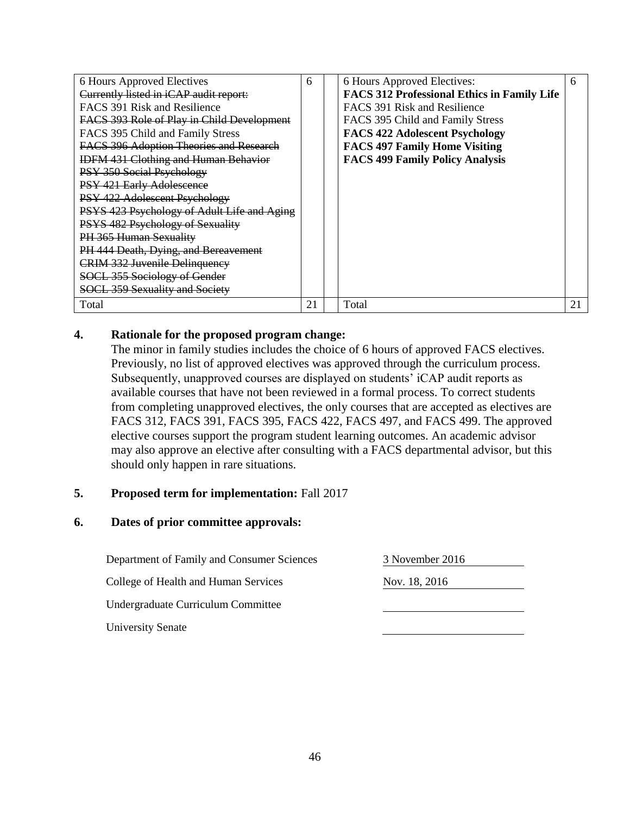| 6 Hours Approved Electives                  | 6  | 6 Hours Approved Electives:                        | 6  |
|---------------------------------------------|----|----------------------------------------------------|----|
| Currently listed in iCAP audit report:      |    | <b>FACS 312 Professional Ethics in Family Life</b> |    |
| FACS 391 Risk and Resilience                |    | FACS 391 Risk and Resilience                       |    |
| FACS 393 Role of Play in Child Development  |    | FACS 395 Child and Family Stress                   |    |
| FACS 395 Child and Family Stress            |    | <b>FACS 422 Adolescent Psychology</b>              |    |
| FACS 396 Adoption Theories and Research     |    | <b>FACS 497 Family Home Visiting</b>               |    |
| <b>IDFM 431 Clothing and Human Behavior</b> |    | <b>FACS 499 Family Policy Analysis</b>             |    |
| PSY 350 Social Psychology                   |    |                                                    |    |
| PSY 421 Early Adolescence                   |    |                                                    |    |
| PSY 422 Adolescent Psychology               |    |                                                    |    |
| PSYS 423 Psychology of Adult Life and Aging |    |                                                    |    |
| <b>PSYS 482 Psychology of Sexuality</b>     |    |                                                    |    |
| <b>PH 365 Human Sexuality</b>               |    |                                                    |    |
| PH 444 Death, Dying, and Bereavement        |    |                                                    |    |
| <b>CRIM 332 Juvenile Delinquency</b>        |    |                                                    |    |
| SOCL 355 Sociology of Gender                |    |                                                    |    |
| <b>SOCL 359 Sexuality and Society</b>       |    |                                                    |    |
| Total                                       | 21 | Total                                              | 21 |

## **4. Rationale for the proposed program change:**

The minor in family studies includes the choice of 6 hours of approved FACS electives. Previously, no list of approved electives was approved through the curriculum process. Subsequently, unapproved courses are displayed on students' iCAP audit reports as available courses that have not been reviewed in a formal process. To correct students from completing unapproved electives, the only courses that are accepted as electives are FACS 312, FACS 391, FACS 395, FACS 422, FACS 497, and FACS 499. The approved elective courses support the program student learning outcomes. An academic advisor may also approve an elective after consulting with a FACS departmental advisor, but this should only happen in rare situations.

#### **5. Proposed term for implementation:** Fall 2017

| Department of Family and Consumer Sciences | 3 November 2016 |  |
|--------------------------------------------|-----------------|--|
| College of Health and Human Services       | Nov. 18, 2016   |  |
| Undergraduate Curriculum Committee         |                 |  |
| <b>University Senate</b>                   |                 |  |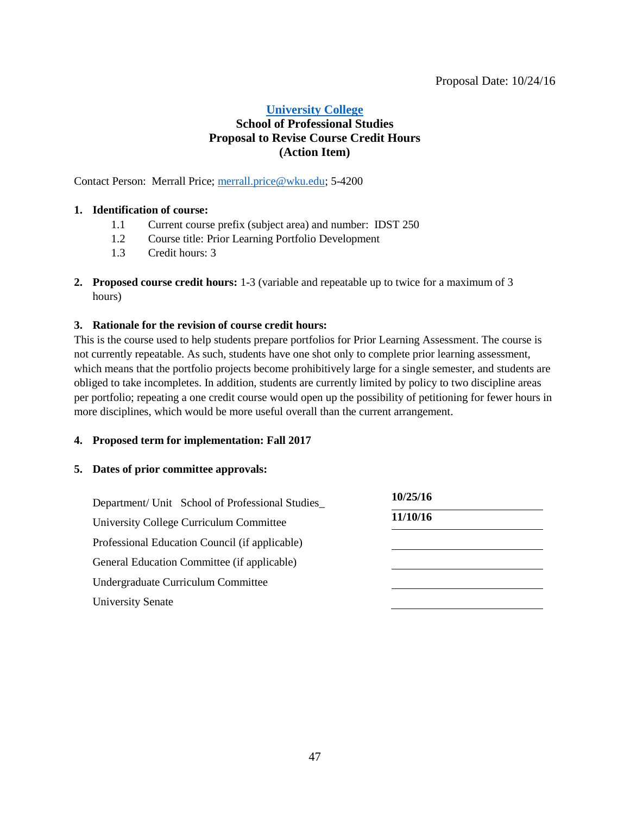## <span id="page-46-0"></span>**[University College](#page-3-2) School of Professional Studies Proposal to Revise Course Credit Hours (Action Item)**

Contact Person: Merrall Price; [merrall.price@wku.edu;](mailto:merrall.price@wku.edu) 5-4200

#### **1. Identification of course:**

- 1.1 Current course prefix (subject area) and number: IDST 250
- 1.2 Course title: Prior Learning Portfolio Development
- 1.3 Credit hours: 3
- **2. Proposed course credit hours:** 1-3 (variable and repeatable up to twice for a maximum of 3 hours)

#### **3. Rationale for the revision of course credit hours:**

This is the course used to help students prepare portfolios for Prior Learning Assessment. The course is not currently repeatable. As such, students have one shot only to complete prior learning assessment, which means that the portfolio projects become prohibitively large for a single semester, and students are obliged to take incompletes. In addition, students are currently limited by policy to two discipline areas per portfolio; repeating a one credit course would open up the possibility of petitioning for fewer hours in more disciplines, which would be more useful overall than the current arrangement.

#### **4. Proposed term for implementation: Fall 2017**

| Department/ Unit School of Professional Studies | 10/25/16 |
|-------------------------------------------------|----------|
| University College Curriculum Committee         | 11/10/16 |
| Professional Education Council (if applicable)  |          |
| General Education Committee (if applicable)     |          |
| Undergraduate Curriculum Committee              |          |
| <b>University Senate</b>                        |          |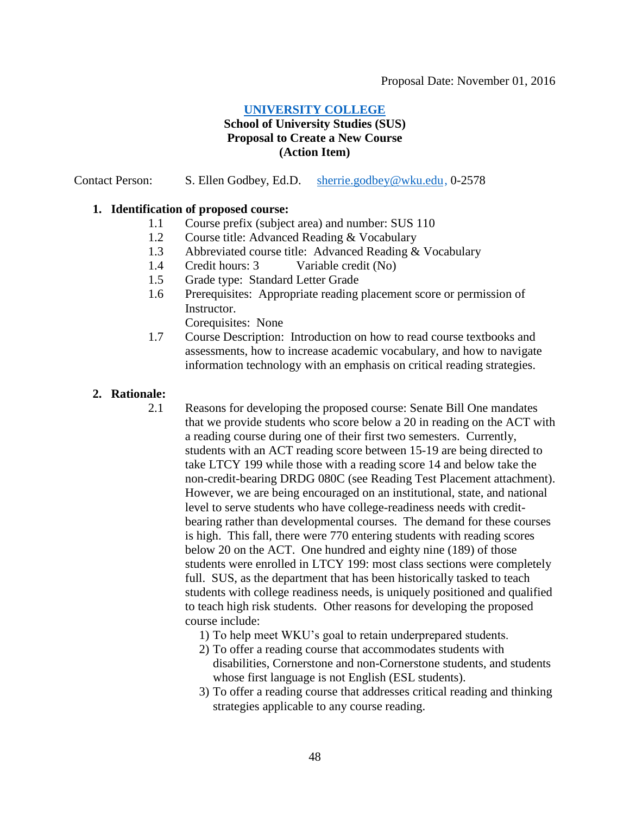## <span id="page-47-0"></span>**[UNIVERSITY COLLEGE](#page-3-2)**

#### **School of University Studies (SUS) Proposal to Create a New Course (Action Item)**

#### Contact Person: S. Ellen Godbey, Ed.D. [sherrie.godbey@wku.edu,](mailto:sherrie.godbey@wku.edu) 0-2578

#### **1. Identification of proposed course:**

- 1.1 Course prefix (subject area) and number: SUS 110
- 1.2 Course title: Advanced Reading & Vocabulary
- 1.3 Abbreviated course title: Advanced Reading & Vocabulary
- 1.4 Credit hours: 3 Variable credit (No)
- 1.5 Grade type: Standard Letter Grade
- 1.6 Prerequisites: Appropriate reading placement score or permission of Instructor.

Corequisites: None

1.7 Course Description: Introduction on how to read course textbooks and assessments, how to increase academic vocabulary, and how to navigate information technology with an emphasis on critical reading strategies.

#### **2. Rationale:**

- 2.1 Reasons for developing the proposed course: Senate Bill One mandates that we provide students who score below a 20 in reading on the ACT with a reading course during one of their first two semesters. Currently, students with an ACT reading score between 15-19 are being directed to take LTCY 199 while those with a reading score 14 and below take the non-credit-bearing DRDG 080C (see Reading Test Placement attachment). However, we are being encouraged on an institutional, state, and national level to serve students who have college-readiness needs with creditbearing rather than developmental courses. The demand for these courses is high. This fall, there were 770 entering students with reading scores below 20 on the ACT. One hundred and eighty nine (189) of those students were enrolled in LTCY 199: most class sections were completely full. SUS, as the department that has been historically tasked to teach students with college readiness needs, is uniquely positioned and qualified to teach high risk students. Other reasons for developing the proposed course include:
	- 1) To help meet WKU's goal to retain underprepared students.
	- 2) To offer a reading course that accommodates students with disabilities, Cornerstone and non-Cornerstone students, and students whose first language is not English (ESL students).
	- 3) To offer a reading course that addresses critical reading and thinking strategies applicable to any course reading.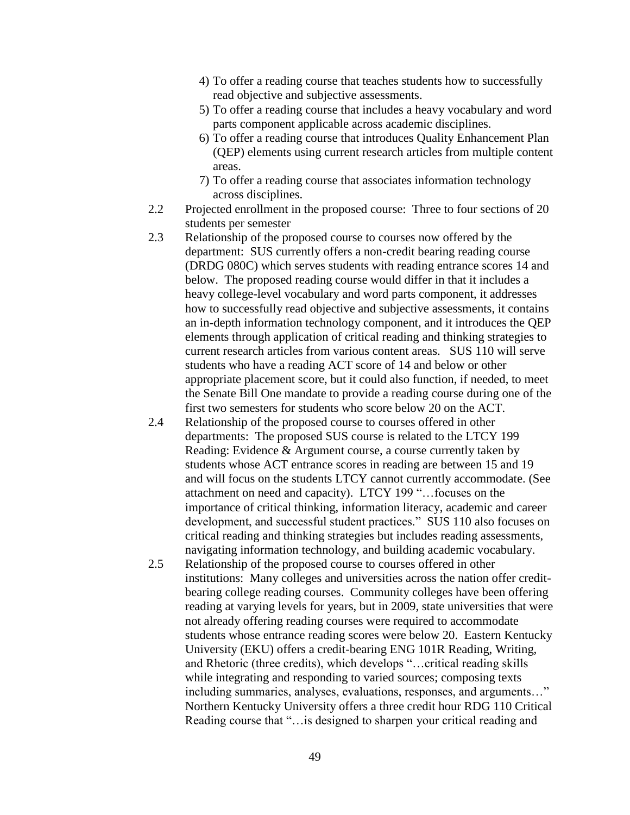- 4) To offer a reading course that teaches students how to successfully read objective and subjective assessments.
- 5) To offer a reading course that includes a heavy vocabulary and word parts component applicable across academic disciplines.
- 6) To offer a reading course that introduces Quality Enhancement Plan (QEP) elements using current research articles from multiple content areas.
- 7) To offer a reading course that associates information technology across disciplines.
- 2.2 Projected enrollment in the proposed course: Three to four sections of 20 students per semester
- 2.3 Relationship of the proposed course to courses now offered by the department: SUS currently offers a non-credit bearing reading course (DRDG 080C) which serves students with reading entrance scores 14 and below. The proposed reading course would differ in that it includes a heavy college-level vocabulary and word parts component, it addresses how to successfully read objective and subjective assessments, it contains an in-depth information technology component, and it introduces the QEP elements through application of critical reading and thinking strategies to current research articles from various content areas. SUS 110 will serve students who have a reading ACT score of 14 and below or other appropriate placement score, but it could also function, if needed, to meet the Senate Bill One mandate to provide a reading course during one of the first two semesters for students who score below 20 on the ACT.
- 2.4 Relationship of the proposed course to courses offered in other departments: The proposed SUS course is related to the LTCY 199 Reading: Evidence & Argument course, a course currently taken by students whose ACT entrance scores in reading are between 15 and 19 and will focus on the students LTCY cannot currently accommodate. (See attachment on need and capacity). LTCY 199 "…focuses on the importance of critical thinking, information literacy, academic and career development, and successful student practices." SUS 110 also focuses on critical reading and thinking strategies but includes reading assessments, navigating information technology, and building academic vocabulary.
- 2.5 Relationship of the proposed course to courses offered in other institutions: Many colleges and universities across the nation offer creditbearing college reading courses. Community colleges have been offering reading at varying levels for years, but in 2009, state universities that were not already offering reading courses were required to accommodate students whose entrance reading scores were below 20. Eastern Kentucky University (EKU) offers a credit-bearing ENG 101R Reading, Writing, and Rhetoric (three credits), which develops "…critical reading skills while integrating and responding to varied sources; composing texts including summaries, analyses, evaluations, responses, and arguments…" Northern Kentucky University offers a three credit hour RDG 110 Critical Reading course that "…is designed to sharpen your critical reading and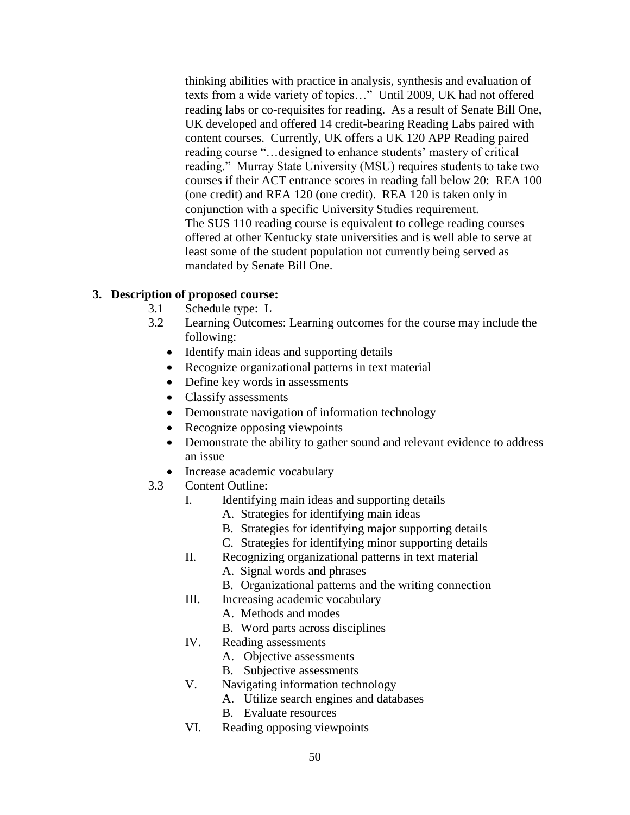thinking abilities with practice in analysis, synthesis and evaluation of texts from a wide variety of topics…" Until 2009, UK had not offered reading labs or co-requisites for reading. As a result of Senate Bill One, UK developed and offered 14 credit-bearing Reading Labs paired with content courses. Currently, UK offers a UK 120 APP Reading paired reading course "…designed to enhance students' mastery of critical reading." Murray State University (MSU) requires students to take two courses if their ACT entrance scores in reading fall below 20: REA 100 (one credit) and REA 120 (one credit). REA 120 is taken only in conjunction with a specific University Studies requirement. The SUS 110 reading course is equivalent to college reading courses offered at other Kentucky state universities and is well able to serve at least some of the student population not currently being served as mandated by Senate Bill One.

## **3. Description of proposed course:**

- 3.1 Schedule type: L
- 3.2 Learning Outcomes: Learning outcomes for the course may include the following:
	- Identify main ideas and supporting details
	- Recognize organizational patterns in text material
	- Define key words in assessments
	- Classify assessments
	- Demonstrate navigation of information technology
	- Recognize opposing viewpoints
	- Demonstrate the ability to gather sound and relevant evidence to address an issue
	- Increase academic vocabulary
- 3.3 Content Outline:
	- I. Identifying main ideas and supporting details
		- A. Strategies for identifying main ideas
		- B. Strategies for identifying major supporting details
		- C. Strategies for identifying minor supporting details
	- II. Recognizing organizational patterns in text material
		- A. Signal words and phrases
			- B. Organizational patterns and the writing connection
	- III. Increasing academic vocabulary
		- A. Methods and modes
		- B. Word parts across disciplines
	- IV. Reading assessments
		- A. Objective assessments
		- B. Subjective assessments
	- V. Navigating information technology
		- A. Utilize search engines and databases
		- B. Evaluate resources
	- VI. Reading opposing viewpoints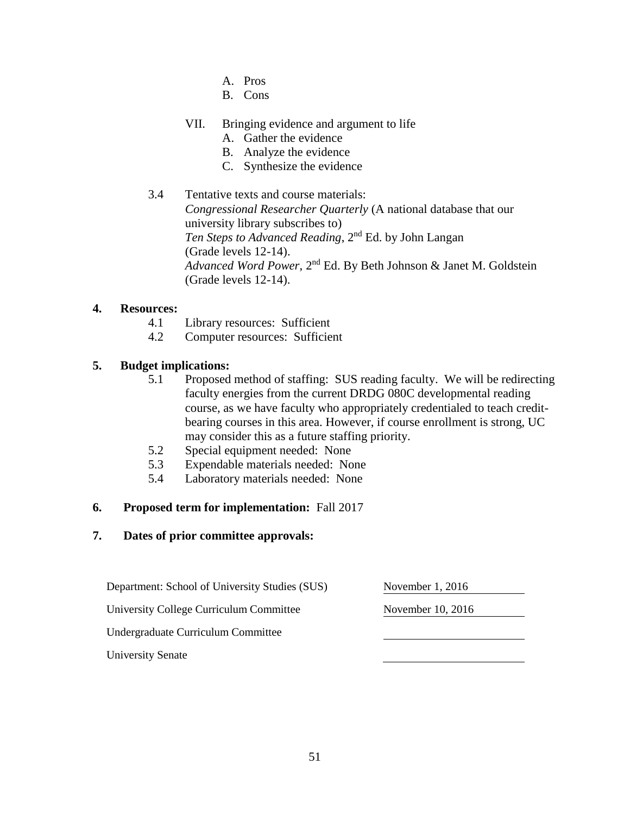- A. Pros
- B. Cons

## VII. Bringing evidence and argument to life

- A. Gather the evidence
- B. Analyze the evidence
- C. Synthesize the evidence

## 3.4 Tentative texts and course materials: *Congressional Researcher Quarterly* (A national database that our university library subscribes to) *Ten Steps to Advanced Reading*, 2nd Ed. by John Langan (Grade levels 12-14). *Advanced Word Power*, 2nd Ed. By Beth Johnson & Janet M. Goldstein (Grade levels 12-14).

## **4. Resources:**

- 4.1 Library resources: Sufficient
- 4.2 Computer resources: Sufficient

## **5. Budget implications:**

- 5.1 Proposed method of staffing: SUS reading faculty. We will be redirecting faculty energies from the current DRDG 080C developmental reading course, as we have faculty who appropriately credentialed to teach creditbearing courses in this area. However, if course enrollment is strong, UC may consider this as a future staffing priority.
- 5.2 Special equipment needed: None
- 5.3 Expendable materials needed: None
- 5.4 Laboratory materials needed: None

#### **6. Proposed term for implementation:** Fall 2017

| Department: School of University Studies (SUS) | November $1, 2016$ |
|------------------------------------------------|--------------------|
| University College Curriculum Committee        | November 10, 2016  |
| Undergraduate Curriculum Committee             |                    |
| <b>University Senate</b>                       |                    |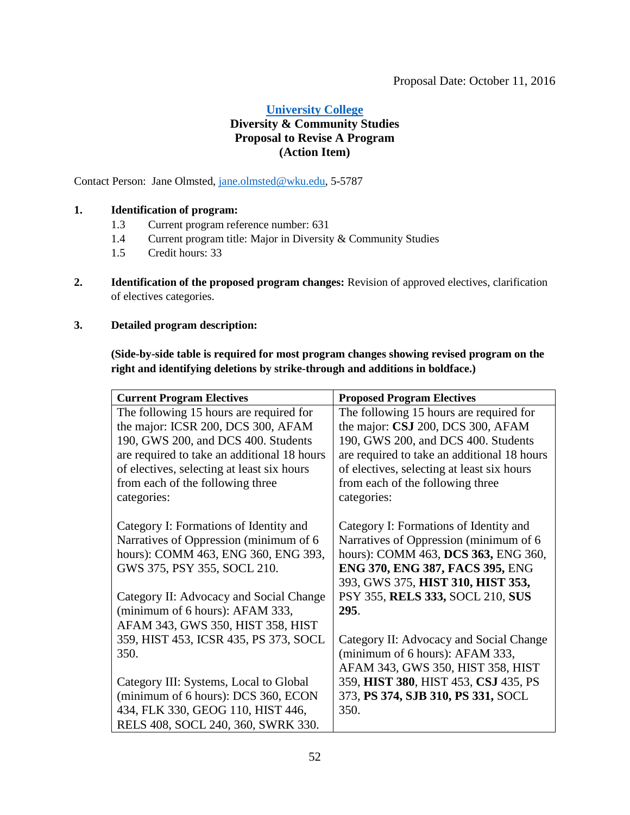## <span id="page-51-0"></span>**[University College](#page-3-2) Diversity & Community Studies Proposal to Revise A Program (Action Item)**

Contact Person: Jane Olmsted, [jane.olmsted@wku.edu,](mailto:jane.olmsted@wku.edu) 5-5787

#### **1. Identification of program:**

- 1.3 Current program reference number: 631
- 1.4 Current program title: Major in Diversity & Community Studies
- 1.5 Credit hours: 33
- **2. Identification of the proposed program changes:** Revision of approved electives, clarification of electives categories.

#### **3. Detailed program description:**

**(Side-by-side table is required for most program changes showing revised program on the right and identifying deletions by strike-through and additions in boldface.)**

| <b>Current Program Electives</b>            | <b>Proposed Program Electives</b>           |
|---------------------------------------------|---------------------------------------------|
| The following 15 hours are required for     | The following 15 hours are required for     |
| the major: ICSR 200, DCS 300, AFAM          | the major: CSJ 200, DCS 300, AFAM           |
| 190, GWS 200, and DCS 400. Students         | 190, GWS 200, and DCS 400. Students         |
| are required to take an additional 18 hours | are required to take an additional 18 hours |
| of electives, selecting at least six hours  | of electives, selecting at least six hours  |
| from each of the following three            | from each of the following three            |
| categories:                                 | categories:                                 |
|                                             |                                             |
| Category I: Formations of Identity and      | Category I: Formations of Identity and      |
| Narratives of Oppression (minimum of 6      | Narratives of Oppression (minimum of 6      |
| hours): COMM 463, ENG 360, ENG 393,         | hours): COMM 463, DCS 363, ENG 360,         |
| GWS 375, PSY 355, SOCL 210.                 | ENG 370, ENG 387, FACS 395, ENG             |
|                                             | 393, GWS 375, HIST 310, HIST 353,           |
| Category II: Advocacy and Social Change     | PSY 355, RELS 333, SOCL 210, SUS            |
| (minimum of 6 hours): AFAM 333,             | 295.                                        |
| AFAM 343, GWS 350, HIST 358, HIST           |                                             |
| 359, HIST 453, ICSR 435, PS 373, SOCL       | Category II: Advocacy and Social Change     |
| 350.                                        | (minimum of 6 hours): AFAM 333,             |
|                                             | AFAM 343, GWS 350, HIST 358, HIST           |
| Category III: Systems, Local to Global      | 359, HIST 380, HIST 453, CSJ 435, PS        |
| (minimum of 6 hours): DCS 360, ECON         | 373, PS 374, SJB 310, PS 331, SOCL          |
| 434, FLK 330, GEOG 110, HIST 446,           | 350.                                        |
| RELS 408, SOCL 240, 360, SWRK 330.          |                                             |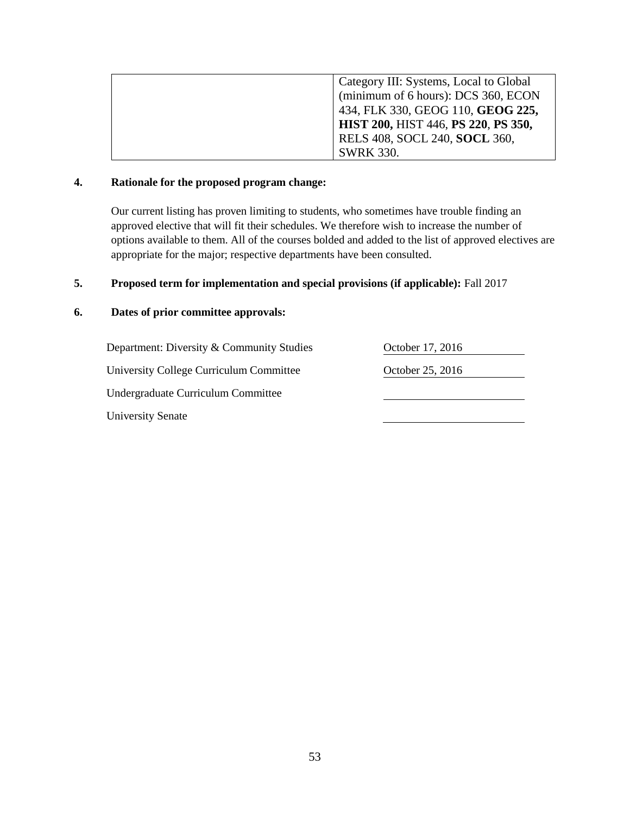| Category III: Systems, Local to Global |
|----------------------------------------|
| (minimum of 6 hours): DCS 360, ECON    |
| 434, FLK 330, GEOG 110, GEOG 225,      |
| HIST 200, HIST 446, PS 220, PS 350,    |
| RELS 408, SOCL 240, SOCL 360,          |
| <b>SWRK 330.</b>                       |

#### **4. Rationale for the proposed program change:**

Our current listing has proven limiting to students, who sometimes have trouble finding an approved elective that will fit their schedules. We therefore wish to increase the number of options available to them. All of the courses bolded and added to the list of approved electives are appropriate for the major; respective departments have been consulted.

## **5. Proposed term for implementation and special provisions (if applicable):** Fall 2017

| Department: Diversity & Community Studies | October 17, 2016 |
|-------------------------------------------|------------------|
| University College Curriculum Committee   | October 25, 2016 |
| Undergraduate Curriculum Committee        |                  |
| <b>University Senate</b>                  |                  |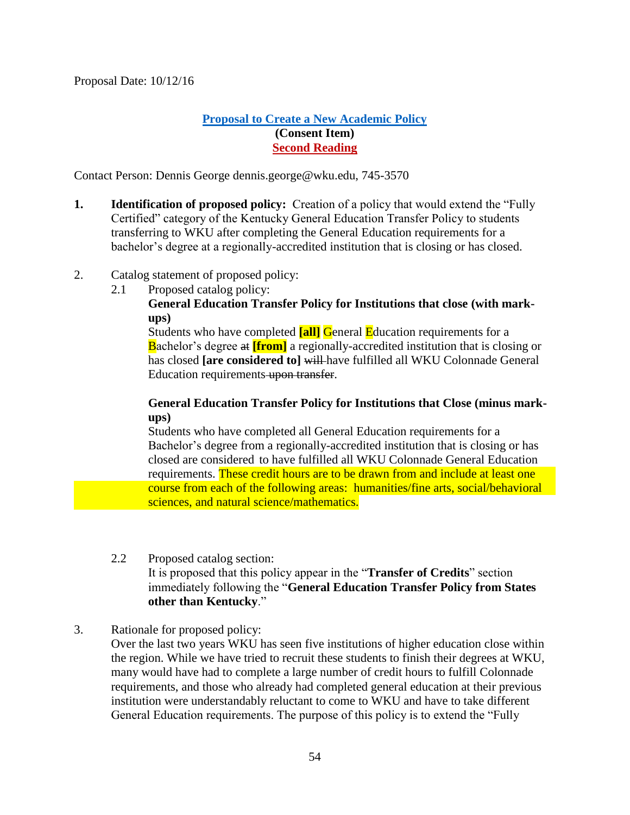## **[Proposal to Create a New Academic Policy](#page-3-2) (Consent Item) Second Reading**

Contact Person: Dennis George dennis.george@wku.edu, 745-3570

- **1. Identification of proposed policy:** Creation of a policy that would extend the "Fully Certified" category of the Kentucky General Education Transfer Policy to students transferring to WKU after completing the General Education requirements for a bachelor's degree at a regionally-accredited institution that is closing or has closed.
- 2. Catalog statement of proposed policy:
	- 2.1 Proposed catalog policy:

## **General Education Transfer Policy for Institutions that close (with markups)**

Students who have completed **[all]** General Education requirements for a Bachelor's degree at **[from]** a regionally-accredited institution that is closing or has closed **[are considered to]** will have fulfilled all WKU Colonnade General Education requirements upon transfer.

## **General Education Transfer Policy for Institutions that Close (minus markups)**

Students who have completed all General Education requirements for a Bachelor's degree from a regionally-accredited institution that is closing or has closed are considered to have fulfilled all WKU Colonnade General Education requirements. These credit hours are to be drawn from and include at least one course from each of the following areas: humanities/fine arts, social/behavioral sciences, and natural science/mathematics.

## 2.2 Proposed catalog section: It is proposed that this policy appear in the "**Transfer of Credits**" section immediately following the "**General Education Transfer Policy from States other than Kentucky**."

3. Rationale for proposed policy:

Over the last two years WKU has seen five institutions of higher education close within the region. While we have tried to recruit these students to finish their degrees at WKU, many would have had to complete a large number of credit hours to fulfill Colonnade requirements, and those who already had completed general education at their previous institution were understandably reluctant to come to WKU and have to take different General Education requirements. The purpose of this policy is to extend the "Fully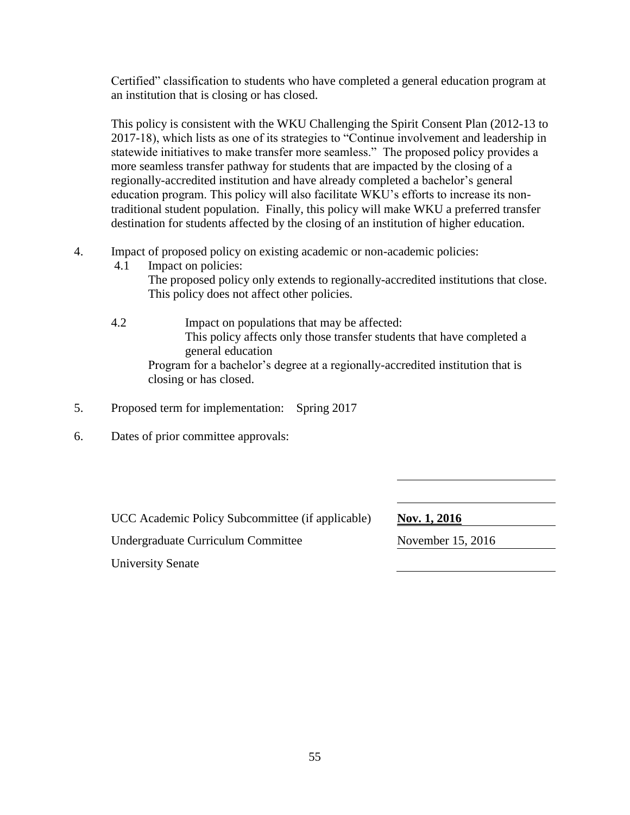Certified" classification to students who have completed a general education program at an institution that is closing or has closed.

This policy is consistent with the WKU Challenging the Spirit Consent Plan (2012-13 to 2017-18), which lists as one of its strategies to "Continue involvement and leadership in statewide initiatives to make transfer more seamless." The proposed policy provides a more seamless transfer pathway for students that are impacted by the closing of a regionally-accredited institution and have already completed a bachelor's general education program. This policy will also facilitate WKU's efforts to increase its nontraditional student population. Finally, this policy will make WKU a preferred transfer destination for students affected by the closing of an institution of higher education.

- 4. Impact of proposed policy on existing academic or non-academic policies:
	- 4.1 Impact on policies:

The proposed policy only extends to regionally-accredited institutions that close. This policy does not affect other policies.

- 4.2 Impact on populations that may be affected: This policy affects only those transfer students that have completed a general education Program for a bachelor's degree at a regionally-accredited institution that is closing or has closed.
- 5. Proposed term for implementation: Spring 2017
- 6. Dates of prior committee approvals:

UCC Academic Policy Subcommittee (if applicable) Nov. 1, 2016

Undergraduate Curriculum Committee November 15, 2016

University Senate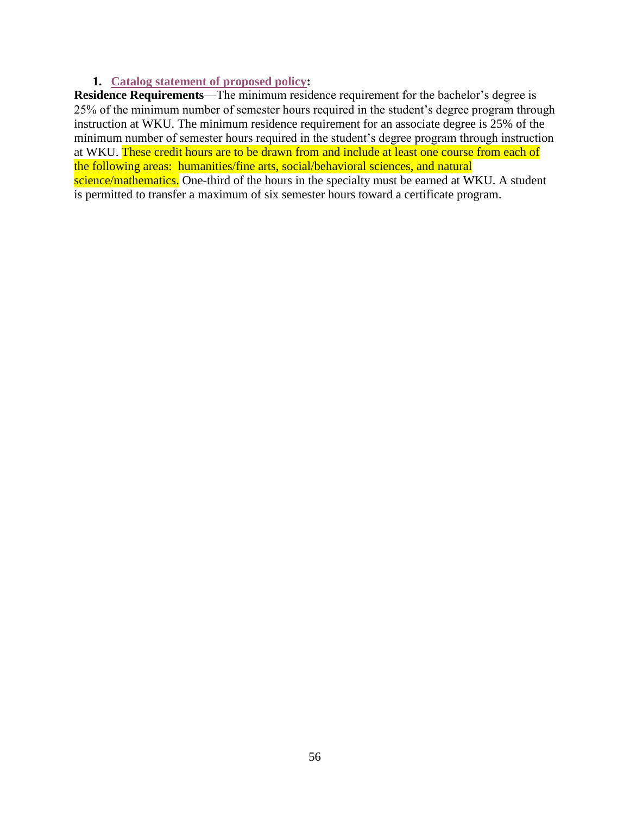## <span id="page-55-0"></span>**1. [Catalog statement of proposed policy:](#page-3-2)**

<span id="page-55-1"></span>**Residence Requirements**—The minimum residence requirement for the bachelor's degree is 25% of the minimum number of semester hours required in the student's degree program through instruction at WKU. The minimum residence requirement for an associate degree is 25% of the minimum number of semester hours required in the student's degree program through instruction at WKU. These credit hours are to be drawn from and include at least one course from each of the following areas: humanities/fine arts, social/behavioral sciences, and natural science/mathematics. One-third of the hours in the specialty must be earned at WKU. A student is permitted to transfer a maximum of six semester hours toward a certificate program.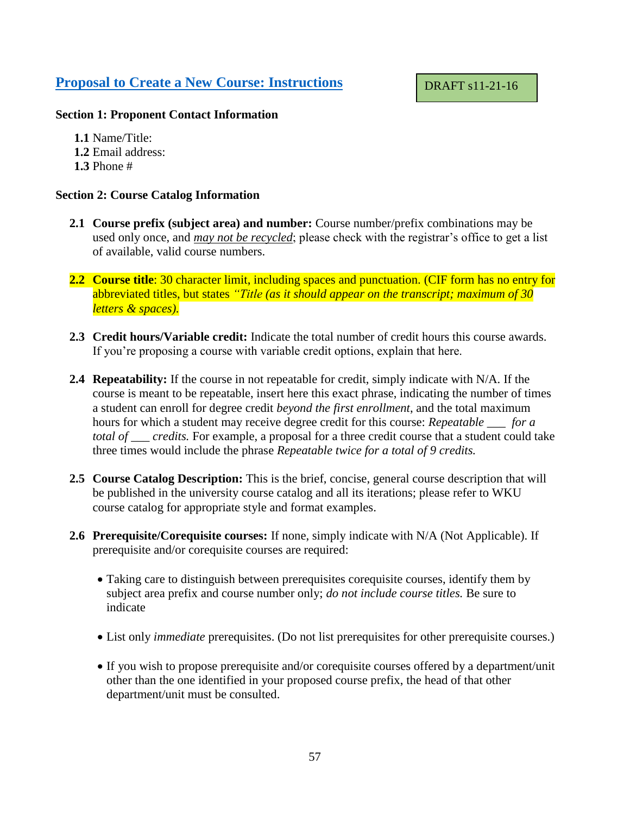## <span id="page-56-0"></span>**[Proposal to Create a New Course: Instructions](#page-3-2)**

## DRAFT s11-21-16

#### **Section 1: Proponent Contact Information**

**1.1** Name/Title: **1.2** Email address: **1.3** Phone #

#### **Section 2: Course Catalog Information**

- **2.1 Course prefix (subject area) and number:** Course number/prefix combinations may be used only once, and *may not be recycled*; please check with the registrar's office to get a list of available, valid course numbers.
- **2.2 Course title**: 30 character limit, including spaces and punctuation. (CIF form has no entry for abbreviated titles, but states *"Title (as it should appear on the transcript; maximum of 30 letters & spaces).*
- **2.3 Credit hours/Variable credit:** Indicate the total number of credit hours this course awards. If you're proposing a course with variable credit options, explain that here.
- **2.4 Repeatability:** If the course in not repeatable for credit, simply indicate with N/A. If the course is meant to be repeatable, insert here this exact phrase, indicating the number of times a student can enroll for degree credit *beyond the first enrollment*, and the total maximum hours for which a student may receive degree credit for this course: *Repeatable \_\_\_ for a total of \_\_\_ credits.* For example, a proposal for a three credit course that a student could take three times would include the phrase *Repeatable twice for a total of 9 credits.*
- **2.5 Course Catalog Description:** This is the brief, concise, general course description that will be published in the university course catalog and all its iterations; please refer to WKU course catalog for appropriate style and format examples.
- **2.6 Prerequisite/Corequisite courses:** If none, simply indicate with N/A (Not Applicable). If prerequisite and/or corequisite courses are required:
	- Taking care to distinguish between prerequisites corequisite courses, identify them by subject area prefix and course number only; *do not include course titles.* Be sure to indicate
	- List only *immediate* prerequisites. (Do not list prerequisites for other prerequisite courses.)
	- If you wish to propose prerequisite and/or corequisite courses offered by a department/unit other than the one identified in your proposed course prefix, the head of that other department/unit must be consulted.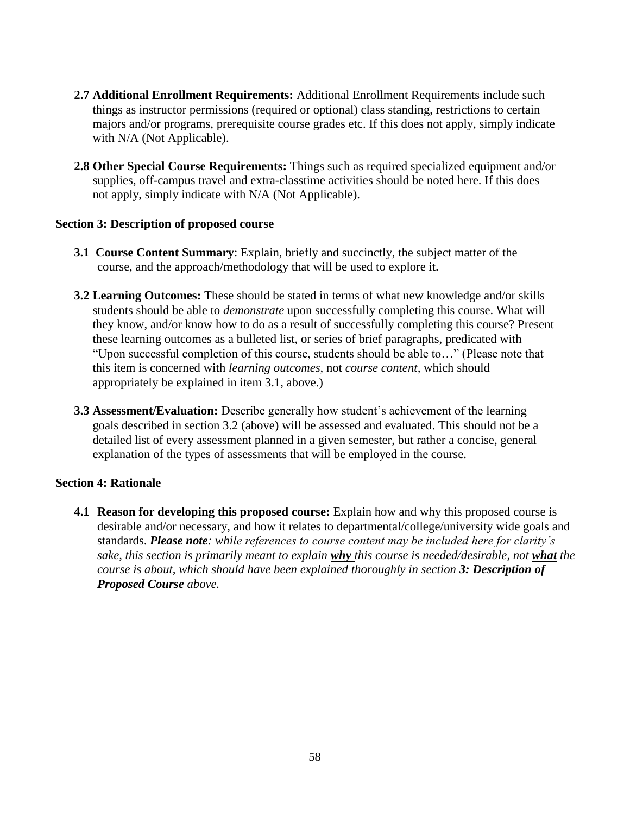- **2.7 Additional Enrollment Requirements:** Additional Enrollment Requirements include such things as instructor permissions (required or optional) class standing, restrictions to certain majors and/or programs, prerequisite course grades etc. If this does not apply, simply indicate with N/A (Not Applicable).
- **2.8 Other Special Course Requirements:** Things such as required specialized equipment and/or supplies, off-campus travel and extra-classtime activities should be noted here. If this does not apply, simply indicate with N/A (Not Applicable).

## **Section 3: Description of proposed course**

- **3.1 Course Content Summary**: Explain, briefly and succinctly, the subject matter of the course, and the approach/methodology that will be used to explore it.
- **3.2 Learning Outcomes:** These should be stated in terms of what new knowledge and/or skills students should be able to *demonstrate* upon successfully completing this course. What will they know, and/or know how to do as a result of successfully completing this course? Present these learning outcomes as a bulleted list, or series of brief paragraphs, predicated with "Upon successful completion of this course, students should be able to…" (Please note that this item is concerned with *learning outcomes*, not *course content,* which should appropriately be explained in item 3.1, above.)
- **3.3 Assessment/Evaluation:** Describe generally how student's achievement of the learning goals described in section 3.2 (above) will be assessed and evaluated. This should not be a detailed list of every assessment planned in a given semester, but rather a concise, general explanation of the types of assessments that will be employed in the course.

## **Section 4: Rationale**

**4.1 Reason for developing this proposed course:** Explain how and why this proposed course is desirable and/or necessary, and how it relates to departmental/college/university wide goals and standards. *Please note: while references to course content may be included here for clarity's sake, this section is primarily meant to explain why this course is needed/desirable, not what the course is about, which should have been explained thoroughly in section 3: Description of Proposed Course above.*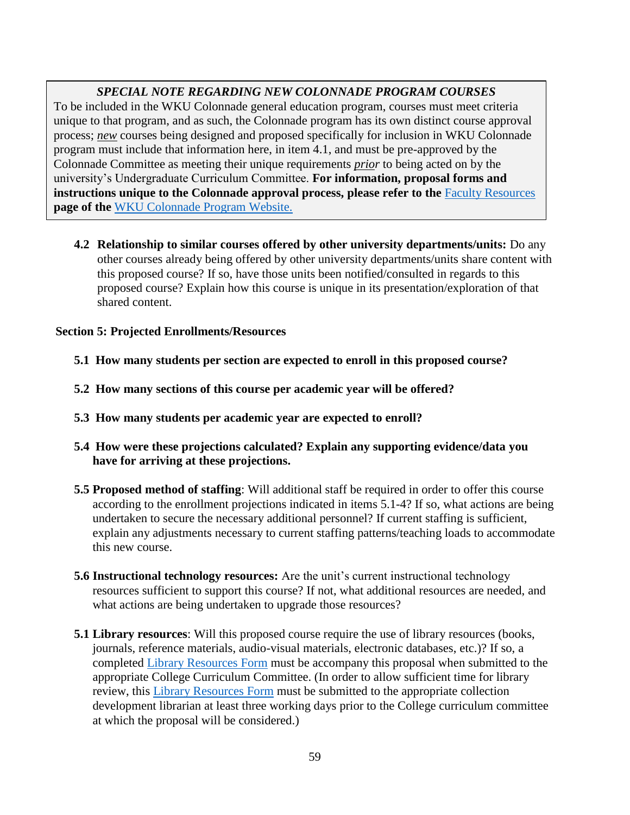## *SPECIAL NOTE REGARDING NEW COLONNADE PROGRAM COURSES*

To be included in the WKU Colonnade general education program, courses must meet criteria unique to that program, and as such, the Colonnade program has its own distinct course approval process; *new* courses being designed and proposed specifically for inclusion in WKU Colonnade program must include that information here, in item 4.1, and must be pre-approved by the Colonnade Committee as meeting their unique requirements *prior* to being acted on by the university's Undergraduate Curriculum Committee. **For information, proposal forms and instructions unique to the Colonnade approval process, please refer to the [Faculty Resources](https://www.wku.edu/colonnade/facultyresources.php) page of the** [WKU Colonnade Program Website.](https://www.wku.edu/colonnade/index.php)

**4.2 Relationship to similar courses offered by other university departments/units:** Do any other courses already being offered by other university departments/units share content with this proposed course? If so, have those units been notified/consulted in regards to this proposed course? Explain how this course is unique in its presentation/exploration of that shared content.

#### **Section 5: Projected Enrollments/Resources**

- **5.1 How many students per section are expected to enroll in this proposed course?**
- **5.2 How many sections of this course per academic year will be offered?**
- **5.3 How many students per academic year are expected to enroll?**
- **5.4 How were these projections calculated? Explain any supporting evidence/data you have for arriving at these projections.**
- **5.5 Proposed method of staffing**: Will additional staff be required in order to offer this course according to the enrollment projections indicated in items 5.1-4? If so, what actions are being undertaken to secure the necessary additional personnel? If current staffing is sufficient, explain any adjustments necessary to current staffing patterns/teaching loads to accommodate this new course.
- **5.6 Instructional technology resources:** Are the unit's current instructional technology resources sufficient to support this course? If not, what additional resources are needed, and what actions are being undertaken to upgrade those resources?
- **5.1 Library resources**: Will this proposed course require the use of library resources (books, journals, reference materials, audio-visual materials, electronic databases, etc.)? If so, a completed [Library Resources Form](https://www.wku.edu/library/forms.php) must be accompany this proposal when submitted to the appropriate College Curriculum Committee. (In order to allow sufficient time for library review, this [Library Resources Form](https://www.wku.edu/library/forms.php) must be submitted to the appropriate collection development librarian at least three working days prior to the College curriculum committee at which the proposal will be considered.)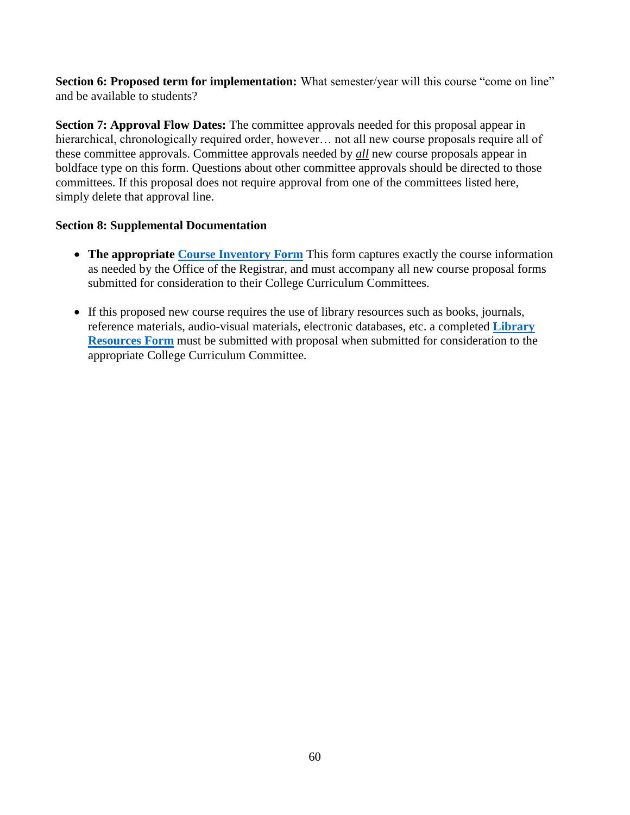**Section 6: Proposed term for implementation:** What semester/year will this course "come on line" and be available to students?

**Section 7: Approval Flow Dates:** The committee approvals needed for this proposal appear in hierarchical, chronologically required order, however... not all new course proposals require all of these committee approvals. Committee approvals needed by *all* new course proposals appear in boldface type on this form. Questions about other committee approvals should be directed to those committees. If this proposal does not require approval from one of the committees listed here, simply delete that approval line.

## **Section 8: Supplemental Documentation**

- The appropriate **Course Inventory Form** This form captures exactly the course information as needed by the Office of the Registrar, and must accompany all new course proposal forms submitted for consideration to their College Curriculum Committees.
- If this proposed new course requires the use of library resources such as books, journals, reference materials, audio-visual materials, electronic databases, etc. a completed **[Library](https://www.wku.edu/library/forms.php)  [Resources Form](https://www.wku.edu/library/forms.php)** must be submitted with proposal when submitted for consideration to the appropriate College Curriculum Committee.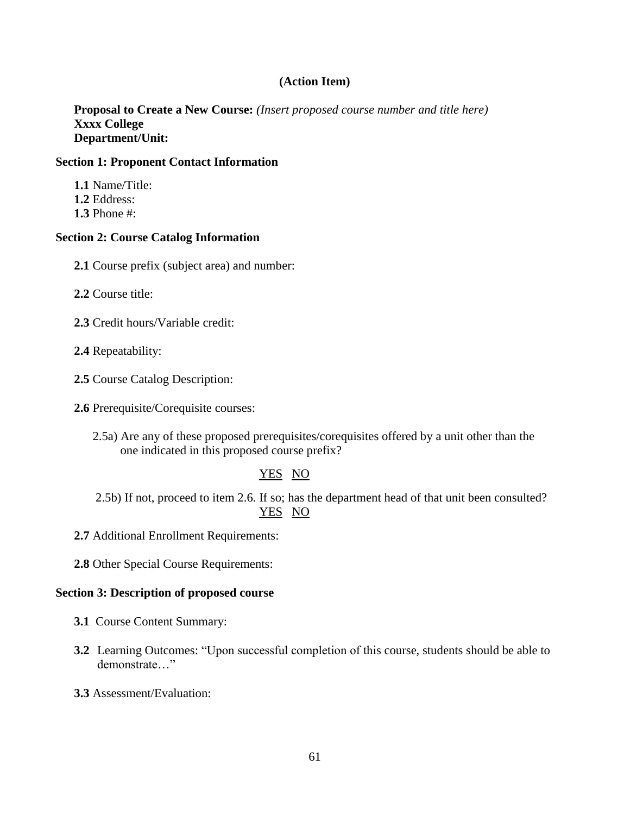## **(Action Item)**

**Proposal to Create a New Course:** *(Insert proposed course number and title here)* **Xxxx College Department/Unit:** 

#### **Section 1: Proponent Contact Information**

**1.1** Name/Title: **1.2** Eddress: **1.3** Phone #:

#### **Section 2: Course Catalog Information**

**2.1** Course prefix (subject area) and number:

**2.2** Course title:

- **2.3** Credit hours/Variable credit:
- **2.4** Repeatability:
- **2.5** Course Catalog Description:
- **2.6** Prerequisite/Corequisite courses:
	- 2.5a) Are any of these proposed prerequisites/corequisites offered by a unit other than the one indicated in this proposed course prefix?

#### YES NO

2.5b) If not, proceed to item 2.6. If so; has the department head of that unit been consulted? YES NO

**2.7** Additional Enrollment Requirements:

**2.8** Other Special Course Requirements:

#### **Section 3: Description of proposed course**

- **3.1** Course Content Summary:
- **3.2** Learning Outcomes: "Upon successful completion of this course, students should be able to demonstrate…"
- **3.3** Assessment/Evaluation: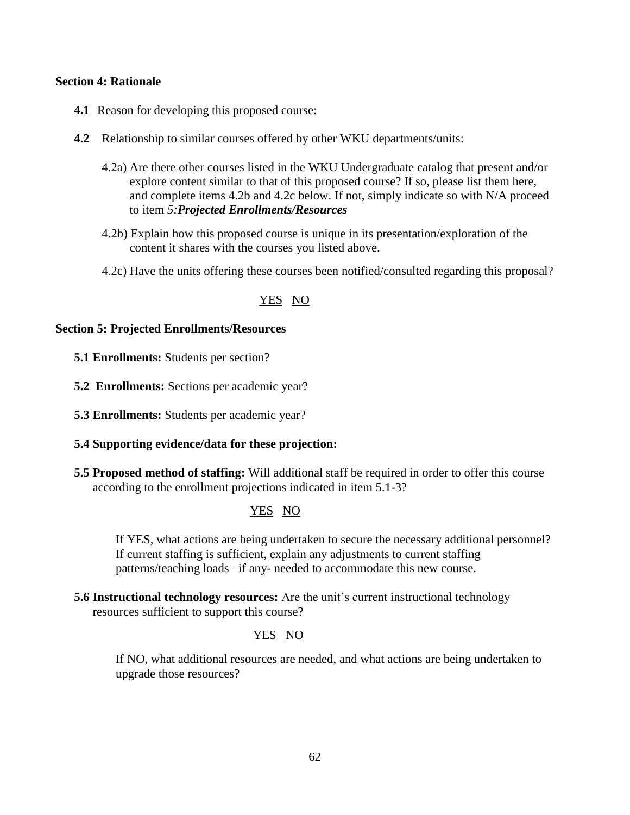#### **Section 4: Rationale**

- **4.1** Reason for developing this proposed course:
- **4.2** Relationship to similar courses offered by other WKU departments/units:
	- 4.2a) Are there other courses listed in the WKU Undergraduate catalog that present and/or explore content similar to that of this proposed course? If so, please list them here, and complete items 4.2b and 4.2c below. If not, simply indicate so with N/A proceed to item *5:Projected Enrollments/Resources*
	- 4.2b) Explain how this proposed course is unique in its presentation/exploration of the content it shares with the courses you listed above.
	- 4.2c) Have the units offering these courses been notified/consulted regarding this proposal?

#### YES NO

#### **Section 5: Projected Enrollments/Resources**

- **5.1 Enrollments:** Students per section?
- **5.2 Enrollments:** Sections per academic year?
- **5.3 Enrollments:** Students per academic year?
- **5.4 Supporting evidence/data for these projection:**
- **5.5 Proposed method of staffing:** Will additional staff be required in order to offer this course according to the enrollment projections indicated in item 5.1-3?

#### YES NO

If YES, what actions are being undertaken to secure the necessary additional personnel? If current staffing is sufficient, explain any adjustments to current staffing patterns/teaching loads –if any- needed to accommodate this new course.

**5.6 Instructional technology resources:** Are the unit's current instructional technology resources sufficient to support this course?

#### YES NO

If NO, what additional resources are needed, and what actions are being undertaken to upgrade those resources?